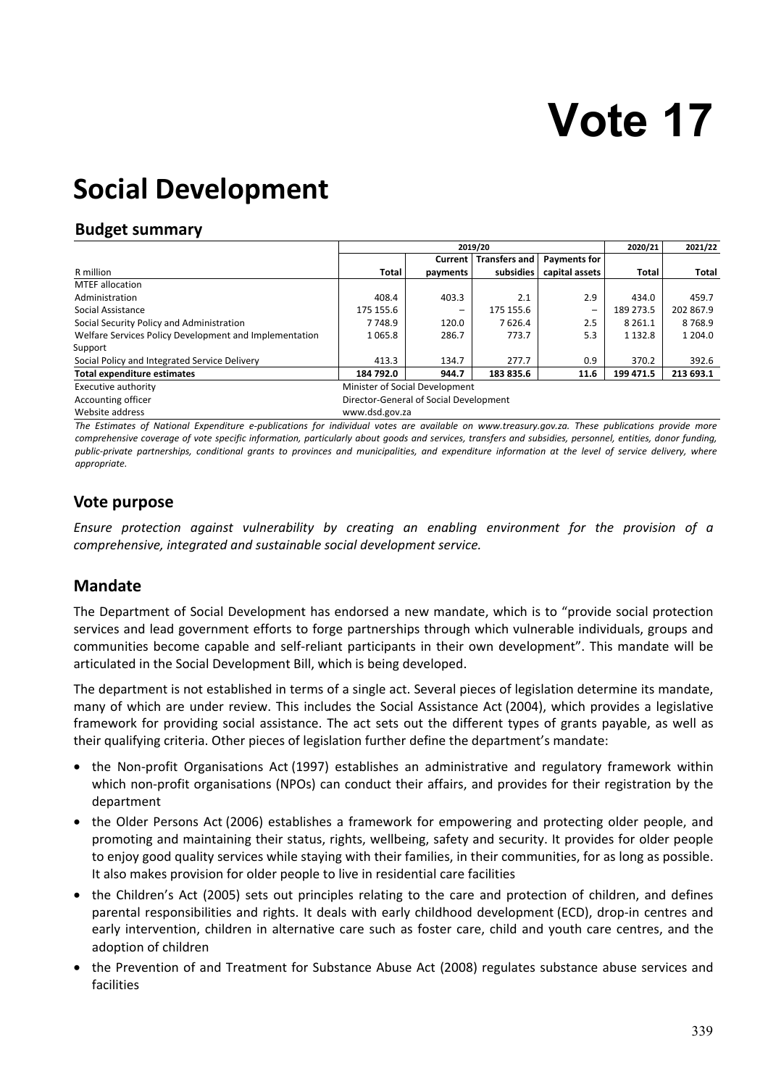# **Vote 17**

## **Social Development**

## **Budget summary**

|                                                        |                                        |          | 2020/21              | 2021/22             |             |              |
|--------------------------------------------------------|----------------------------------------|----------|----------------------|---------------------|-------------|--------------|
|                                                        |                                        | Current  | <b>Transfers and</b> | <b>Payments for</b> |             |              |
| R million                                              | <b>Total</b>                           | payments | subsidies            | capital assets      | Total       | <b>Total</b> |
| <b>MTEF allocation</b>                                 |                                        |          |                      |                     |             |              |
| Administration                                         | 408.4                                  | 403.3    | 2.1                  | 2.9                 | 434.0       | 459.7        |
| Social Assistance                                      | 175 155.6                              |          | 175 155.6            | -                   | 189 273.5   | 202 867.9    |
| Social Security Policy and Administration              | 7 748.9                                | 120.0    | 7626.4               | 2.5                 | 8 2 6 1.1   | 8768.9       |
| Welfare Services Policy Development and Implementation | 1065.8                                 | 286.7    | 773.7                | 5.3                 | 1 1 3 2 . 8 | 1 204.0      |
| Support                                                |                                        |          |                      |                     |             |              |
| Social Policy and Integrated Service Delivery          | 413.3                                  | 134.7    | 277.7                | 0.9                 | 370.2       | 392.6        |
| <b>Total expenditure estimates</b>                     | 184 792.0                              | 944.7    | 183 835.6            | 11.6                | 199 471.5   | 213 693.1    |
| Executive authority                                    | Minister of Social Development         |          |                      |                     |             |              |
| Accounting officer                                     | Director-General of Social Development |          |                      |                     |             |              |
|                                                        |                                        |          |                      |                     |             |              |

Website address www.dsd.gov.za

*The Estimates of National Expenditure e-publications for individual votes are available on www.treasury.gov.za. These publications provide more comprehensive coverage of vote specific information, particularly about goods and services, transfers and subsidies, personnel, entities, donor funding, public-private partnerships, conditional grants to provinces and municipalities, and expenditure information at the level of service delivery, where appropriate.* 

## **Vote purpose**

*Ensure protection against vulnerability by creating an enabling environment for the provision of a comprehensive, integrated and sustainable social development service.* 

## **Mandate**

The Department of Social Development has endorsed a new mandate, which is to "provide social protection services and lead government efforts to forge partnerships through which vulnerable individuals, groups and communities become capable and self-reliant participants in their own development". This mandate will be articulated in the Social Development Bill, which is being developed.

The department is not established in terms of a single act. Several pieces of legislation determine its mandate, many of which are under review. This includes the Social Assistance Act (2004), which provides a legislative framework for providing social assistance. The act sets out the different types of grants payable, as well as their qualifying criteria. Other pieces of legislation further define the department's mandate:

- the Non-profit Organisations Act (1997) establishes an administrative and regulatory framework within which non-profit organisations (NPOs) can conduct their affairs, and provides for their registration by the department
- the Older Persons Act (2006) establishes a framework for empowering and protecting older people, and promoting and maintaining their status, rights, wellbeing, safety and security. It provides for older people to enjoy good quality services while staying with their families, in their communities, for as long as possible. It also makes provision for older people to live in residential care facilities
- the Children's Act (2005) sets out principles relating to the care and protection of children, and defines parental responsibilities and rights. It deals with early childhood development (ECD), drop-in centres and early intervention, children in alternative care such as foster care, child and youth care centres, and the adoption of children
- the Prevention of and Treatment for Substance Abuse Act (2008) regulates substance abuse services and facilities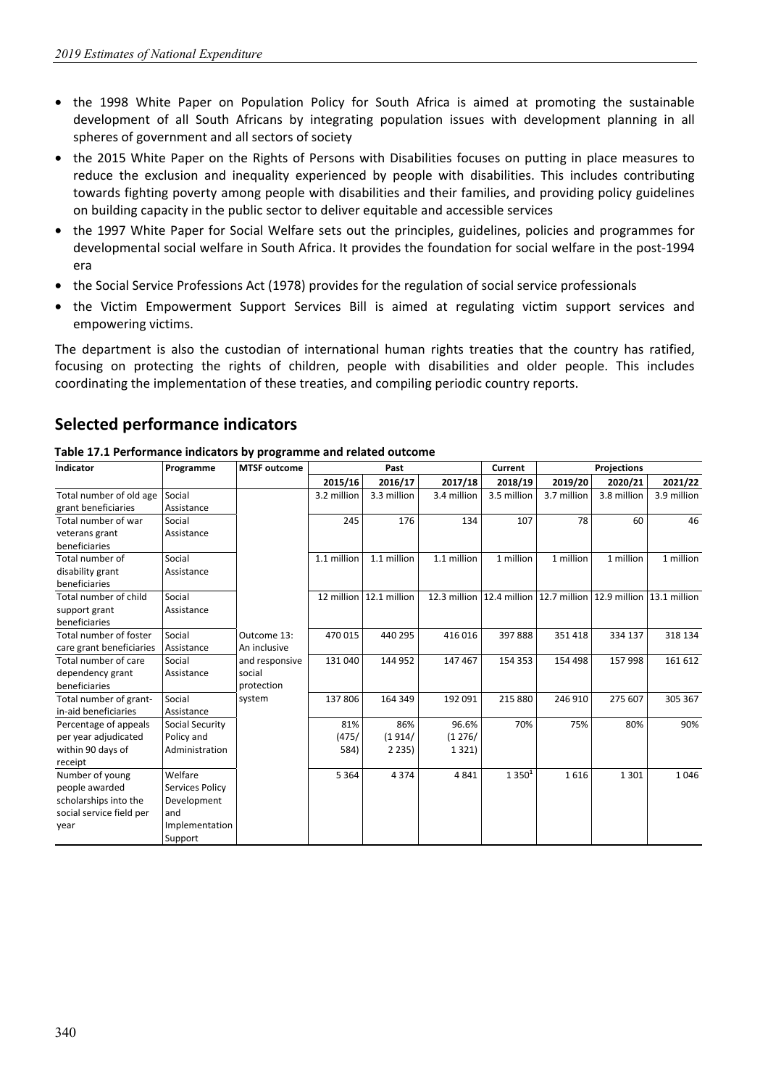- the 1998 White Paper on Population Policy for South Africa is aimed at promoting the sustainable development of all South Africans by integrating population issues with development planning in all spheres of government and all sectors of society
- the 2015 White Paper on the Rights of Persons with Disabilities focuses on putting in place measures to reduce the exclusion and inequality experienced by people with disabilities. This includes contributing towards fighting poverty among people with disabilities and their families, and providing policy guidelines on building capacity in the public sector to deliver equitable and accessible services
- the 1997 White Paper for Social Welfare sets out the principles, guidelines, policies and programmes for developmental social welfare in South Africa. It provides the foundation for social welfare in the post-1994 era
- the Social Service Professions Act (1978) provides for the regulation of social service professionals
- the Victim Empowerment Support Services Bill is aimed at regulating victim support services and empowering victims.

The department is also the custodian of international human rights treaties that the country has ratified, focusing on protecting the rights of children, people with disabilities and older people. This includes coordinating the implementation of these treaties, and compiling periodic country reports.

## **Selected performance indicators**

**Table 17.1 Performance indicators by programme and related outcome**

| Indicator                | Programme       | <b>MTSF outcome</b> |             | Past                    |              | Current           |                                                                |             |              |
|--------------------------|-----------------|---------------------|-------------|-------------------------|--------------|-------------------|----------------------------------------------------------------|-------------|--------------|
|                          |                 |                     | 2015/16     | 2016/17                 | 2017/18      | 2018/19           | 2019/20                                                        | 2020/21     | 2021/22      |
| Total number of old age  | Social          |                     | 3.2 million | 3.3 million             | 3.4 million  | 3.5 million       | 3.7 million                                                    | 3.8 million | 3.9 million  |
| grant beneficiaries      | Assistance      |                     |             |                         |              |                   |                                                                |             |              |
| Total number of war      | Social          |                     | 245         | 176                     | 134          | 107               | 78                                                             | 60          | 46           |
| veterans grant           | Assistance      |                     |             |                         |              |                   |                                                                |             |              |
| beneficiaries            |                 |                     |             |                         |              |                   |                                                                |             |              |
| Total number of          | Social          |                     | 1.1 million | 1.1 million             | 1.1 million  | 1 million         | 1 million                                                      | 1 million   | 1 million    |
| disability grant         | Assistance      |                     |             |                         |              |                   |                                                                |             |              |
| beneficiaries            |                 |                     |             |                         |              |                   |                                                                |             |              |
| Total number of child    | Social          |                     |             | 12 million 12.1 million | 12.3 million |                   | $\vert$ 12.4 million $\vert$ 12.7 million $\vert$ 12.9 million |             | 13.1 million |
| support grant            | Assistance      |                     |             |                         |              |                   |                                                                |             |              |
| beneficiaries            |                 |                     |             |                         |              |                   |                                                                |             |              |
| Total number of foster   | Social          | Outcome 13:         | 470 015     | 440 295                 | 416016       | 397888            | 351418                                                         | 334 137     | 318 134      |
| care grant beneficiaries | Assistance      | An inclusive        |             |                         |              |                   |                                                                |             |              |
| Total number of care     | Social          | and responsive      | 131 040     | 144 952                 | 147467       | 154 353           | 154 498                                                        | 157998      | 161 612      |
| dependency grant         | Assistance      | social              |             |                         |              |                   |                                                                |             |              |
| beneficiaries            |                 | protection          |             |                         |              |                   |                                                                |             |              |
| Total number of grant-   | Social          | system              | 137 806     | 164 349                 | 192 091      | 215 880           | 246 910                                                        | 275 607     | 305 367      |
| in-aid beneficiaries     | Assistance      |                     |             |                         |              |                   |                                                                |             |              |
| Percentage of appeals    | Social Security |                     | 81%         | 86%                     | 96.6%        | 70%               | 75%                                                            | 80%         | 90%          |
| per year adjudicated     | Policy and      |                     | (475/       | (1914/                  | (1276/       |                   |                                                                |             |              |
| within 90 days of        | Administration  |                     | 584)        | 2235)                   | 1 3 2 1 )    |                   |                                                                |             |              |
| receipt                  |                 |                     |             |                         |              |                   |                                                                |             |              |
| Number of young          | Welfare         |                     | 5 3 6 4     | 4374                    | 4841         | 1350 <sup>1</sup> | 1616                                                           | 1 3 0 1     | 1046         |
| people awarded           | Services Policy |                     |             |                         |              |                   |                                                                |             |              |
| scholarships into the    | Development     |                     |             |                         |              |                   |                                                                |             |              |
| social service field per | and             |                     |             |                         |              |                   |                                                                |             |              |
| year                     | Implementation  |                     |             |                         |              |                   |                                                                |             |              |
|                          | Support         |                     |             |                         |              |                   |                                                                |             |              |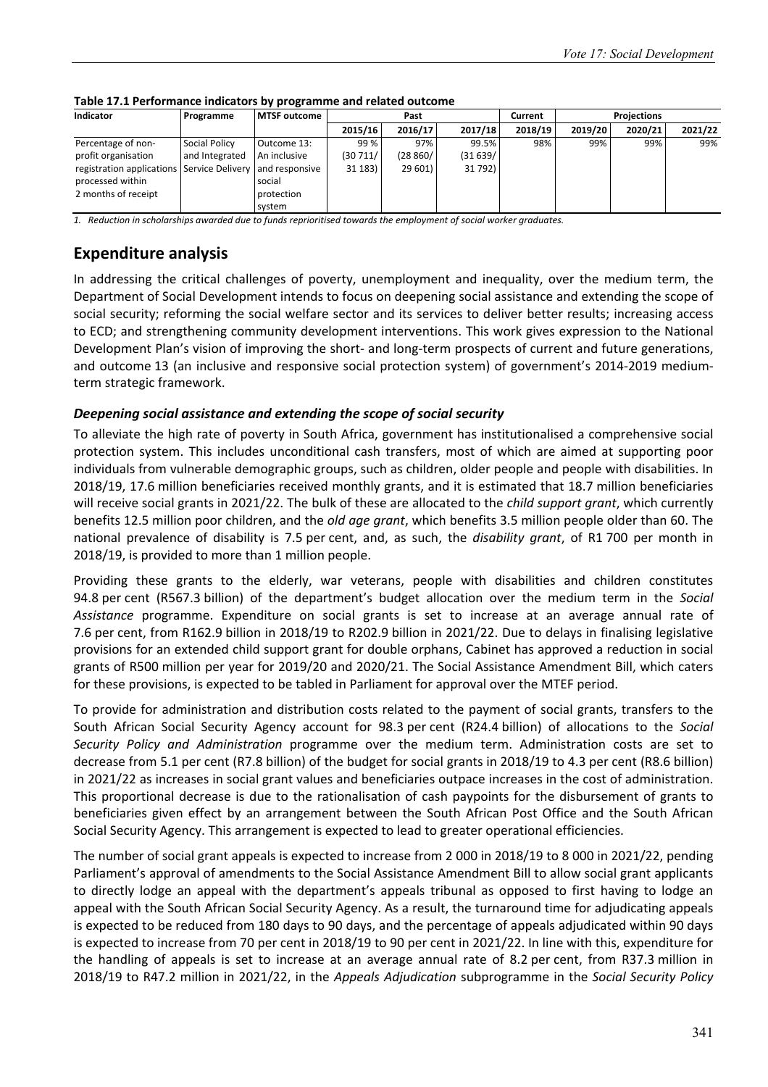| <b>Indicator</b>          | Programme        | MTSF outcome   |         | Past     |         | Current |         |         |         |
|---------------------------|------------------|----------------|---------|----------|---------|---------|---------|---------|---------|
|                           |                  |                | 2015/16 | 2016/17  | 2017/18 | 2018/19 | 2019/20 | 2020/21 | 2021/22 |
| Percentage of non-        | Social Policy    | Outcome 13:    | 99 %    | 97%      | 99.5%   | 98%     | 99%     | 99%     | 99%     |
| profit organisation       | and Integrated   | An inclusive   | (30711/ | (28 860/ | (31639/ |         |         |         |         |
| registration applications | Service Delivery | and responsive | 31 183) | 29 601)  | 31 792) |         |         |         |         |
| processed within          |                  | social         |         |          |         |         |         |         |         |
| 2 months of receipt       |                  | protection     |         |          |         |         |         |         |         |
|                           |                  | system         |         |          |         |         |         |         |         |

#### **Table 17.1 Performance indicators by programme and related outcome**

*1. Reduction in scholarships awarded due to funds reprioritised towards the employment of social worker graduates.* 

## **Expenditure analysis**

In addressing the critical challenges of poverty, unemployment and inequality, over the medium term, the Department of Social Development intends to focus on deepening social assistance and extending the scope of social security; reforming the social welfare sector and its services to deliver better results; increasing access to ECD; and strengthening community development interventions. This work gives expression to the National Development Plan's vision of improving the short- and long-term prospects of current and future generations, and outcome 13 (an inclusive and responsive social protection system) of government's 2014-2019 mediumterm strategic framework.

#### *Deepening social assistance and extending the scope of social security*

To alleviate the high rate of poverty in South Africa, government has institutionalised a comprehensive social protection system. This includes unconditional cash transfers, most of which are aimed at supporting poor individuals from vulnerable demographic groups, such as children, older people and people with disabilities. In 2018/19, 17.6 million beneficiaries received monthly grants, and it is estimated that 18.7 million beneficiaries will receive social grants in 2021/22. The bulk of these are allocated to the *child support grant*, which currently benefits 12.5 million poor children, and the *old age grant*, which benefits 3.5 million people older than 60. The national prevalence of disability is 7.5 per cent, and, as such, the *disability grant*, of R1 700 per month in 2018/19, is provided to more than 1 million people.

Providing these grants to the elderly, war veterans, people with disabilities and children constitutes 94.8 per cent (R567.3 billion) of the department's budget allocation over the medium term in the *Social Assistance* programme. Expenditure on social grants is set to increase at an average annual rate of 7.6 per cent, from R162.9 billion in 2018/19 to R202.9 billion in 2021/22. Due to delays in finalising legislative provisions for an extended child support grant for double orphans, Cabinet has approved a reduction in social grants of R500 million per year for 2019/20 and 2020/21. The Social Assistance Amendment Bill, which caters for these provisions, is expected to be tabled in Parliament for approval over the MTEF period.

To provide for administration and distribution costs related to the payment of social grants, transfers to the South African Social Security Agency account for 98.3 per cent (R24.4 billion) of allocations to the *Social Security Policy and Administration* programme over the medium term. Administration costs are set to decrease from 5.1 per cent (R7.8 billion) of the budget for social grants in 2018/19 to 4.3 per cent (R8.6 billion) in 2021/22 as increases in social grant values and beneficiaries outpace increases in the cost of administration. This proportional decrease is due to the rationalisation of cash paypoints for the disbursement of grants to beneficiaries given effect by an arrangement between the South African Post Office and the South African Social Security Agency. This arrangement is expected to lead to greater operational efficiencies.

The number of social grant appeals is expected to increase from 2 000 in 2018/19 to 8 000 in 2021/22, pending Parliament's approval of amendments to the Social Assistance Amendment Bill to allow social grant applicants to directly lodge an appeal with the department's appeals tribunal as opposed to first having to lodge an appeal with the South African Social Security Agency. As a result, the turnaround time for adjudicating appeals is expected to be reduced from 180 days to 90 days, and the percentage of appeals adjudicated within 90 days is expected to increase from 70 per cent in 2018/19 to 90 per cent in 2021/22. In line with this, expenditure for the handling of appeals is set to increase at an average annual rate of 8.2 per cent, from R37.3 million in 2018/19 to R47.2 million in 2021/22, in the *Appeals Adjudication* subprogramme in the *Social Security Policy*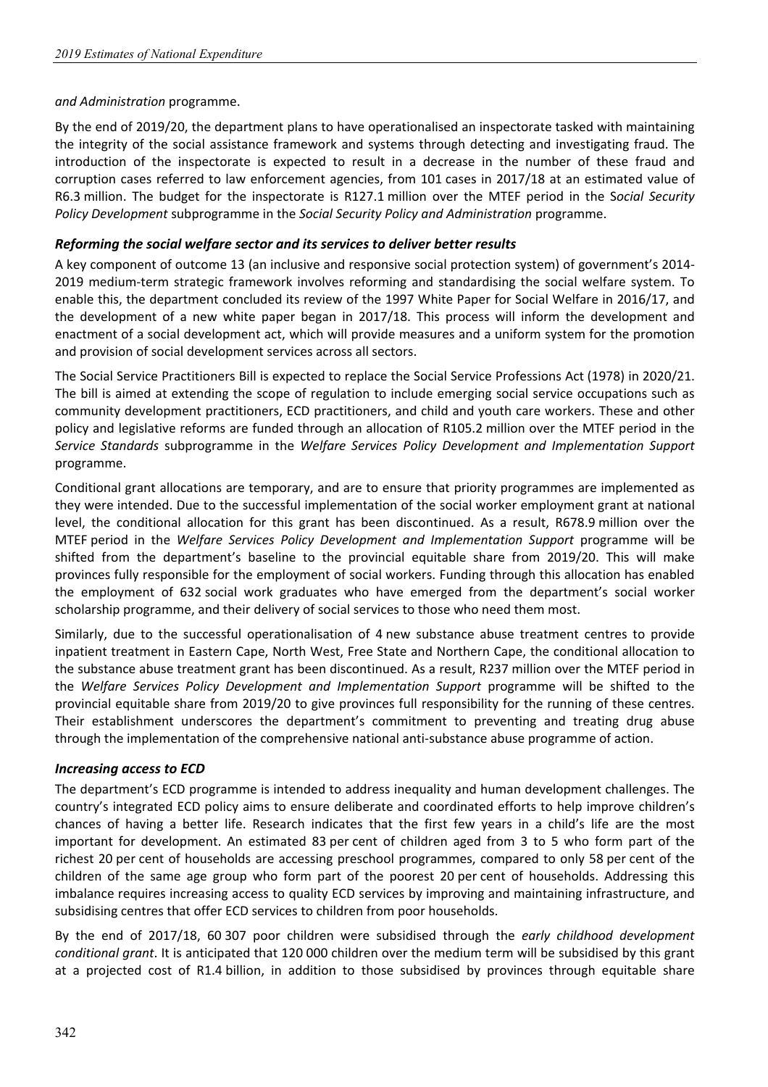#### *and Administration* programme.

By the end of 2019/20, the department plans to have operationalised an inspectorate tasked with maintaining the integrity of the social assistance framework and systems through detecting and investigating fraud. The introduction of the inspectorate is expected to result in a decrease in the number of these fraud and corruption cases referred to law enforcement agencies, from 101 cases in 2017/18 at an estimated value of R6.3 million. The budget for the inspectorate is R127.1 million over the MTEF period in the S*ocial Security Policy Development* subprogramme in the *Social Security Policy and Administration* programme.

#### *Reforming the social welfare sector and its services to deliver better results*

A key component of outcome 13 (an inclusive and responsive social protection system) of government's 2014- 2019 medium-term strategic framework involves reforming and standardising the social welfare system. To enable this, the department concluded its review of the 1997 White Paper for Social Welfare in 2016/17, and the development of a new white paper began in 2017/18. This process will inform the development and enactment of a social development act, which will provide measures and a uniform system for the promotion and provision of social development services across all sectors.

The Social Service Practitioners Bill is expected to replace the Social Service Professions Act (1978) in 2020/21. The bill is aimed at extending the scope of regulation to include emerging social service occupations such as community development practitioners, ECD practitioners, and child and youth care workers. These and other policy and legislative reforms are funded through an allocation of R105.2 million over the MTEF period in the *Service Standards* subprogramme in the *Welfare Services Policy Development and Implementation Support* programme.

Conditional grant allocations are temporary, and are to ensure that priority programmes are implemented as they were intended. Due to the successful implementation of the social worker employment grant at national level, the conditional allocation for this grant has been discontinued. As a result, R678.9 million over the MTEF period in the *Welfare Services Policy Development and Implementation Support* programme will be shifted from the department's baseline to the provincial equitable share from 2019/20. This will make provinces fully responsible for the employment of social workers. Funding through this allocation has enabled the employment of 632 social work graduates who have emerged from the department's social worker scholarship programme, and their delivery of social services to those who need them most.

Similarly, due to the successful operationalisation of 4 new substance abuse treatment centres to provide inpatient treatment in Eastern Cape, North West, Free State and Northern Cape, the conditional allocation to the substance abuse treatment grant has been discontinued. As a result, R237 million over the MTEF period in the *Welfare Services Policy Development and Implementation Support* programme will be shifted to the provincial equitable share from 2019/20 to give provinces full responsibility for the running of these centres. Their establishment underscores the department's commitment to preventing and treating drug abuse through the implementation of the comprehensive national anti-substance abuse programme of action.

#### *Increasing access to ECD*

The department's ECD programme is intended to address inequality and human development challenges. The country's integrated ECD policy aims to ensure deliberate and coordinated efforts to help improve children's chances of having a better life. Research indicates that the first few years in a child's life are the most important for development. An estimated 83 per cent of children aged from 3 to 5 who form part of the richest 20 per cent of households are accessing preschool programmes, compared to only 58 per cent of the children of the same age group who form part of the poorest 20 per cent of households. Addressing this imbalance requires increasing access to quality ECD services by improving and maintaining infrastructure, and subsidising centres that offer ECD services to children from poor households.

By the end of 2017/18, 60 307 poor children were subsidised through the *early childhood development conditional grant*. It is anticipated that 120 000 children over the medium term will be subsidised by this grant at a projected cost of R1.4 billion, in addition to those subsidised by provinces through equitable share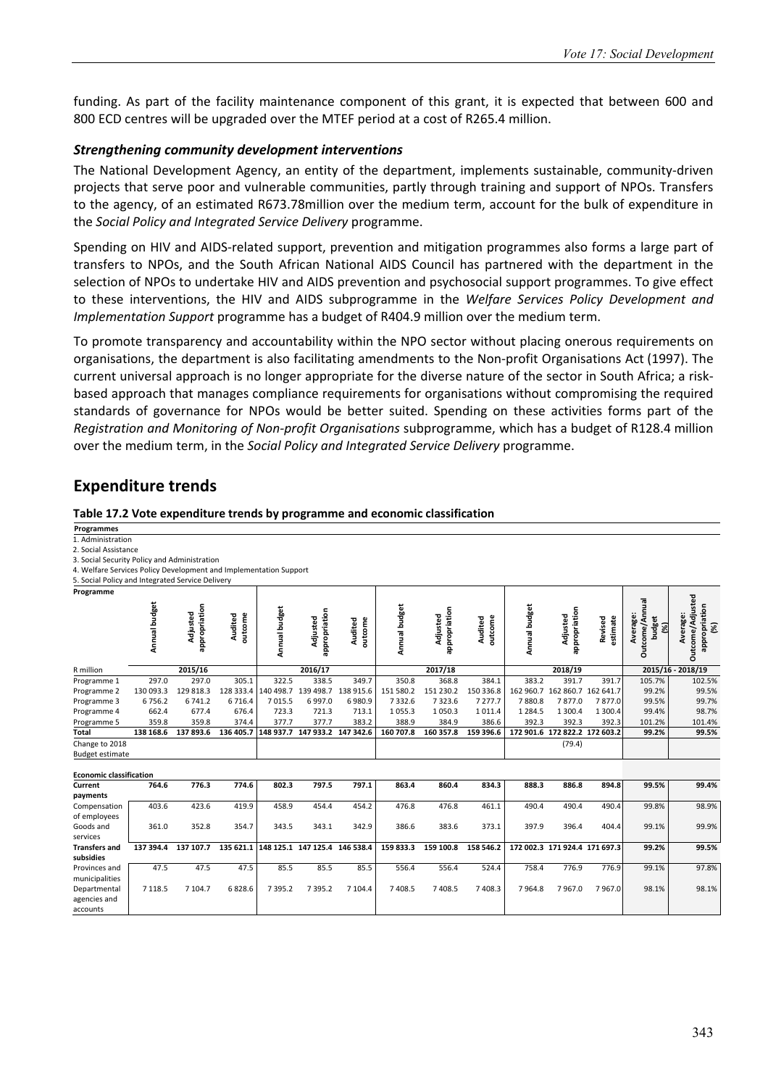funding. As part of the facility maintenance component of this grant, it is expected that between 600 and 800 ECD centres will be upgraded over the MTEF period at a cost of R265.4 million.

#### *Strengthening community development interventions*

The National Development Agency, an entity of the department, implements sustainable, community-driven projects that serve poor and vulnerable communities, partly through training and support of NPOs. Transfers to the agency, of an estimated R673.78million over the medium term, account for the bulk of expenditure in the *Social Policy and Integrated Service Delivery* programme.

Spending on HIV and AIDS-related support, prevention and mitigation programmes also forms a large part of transfers to NPOs, and the South African National AIDS Council has partnered with the department in the selection of NPOs to undertake HIV and AIDS prevention and psychosocial support programmes. To give effect to these interventions, the HIV and AIDS subprogramme in the *Welfare Services Policy Development and Implementation Support* programme has a budget of R404.9 million over the medium term.

To promote transparency and accountability within the NPO sector without placing onerous requirements on organisations, the department is also facilitating amendments to the Non-profit Organisations Act (1997). The current universal approach is no longer appropriate for the diverse nature of the sector in South Africa; a riskbased approach that manages compliance requirements for organisations without compromising the required standards of governance for NPOs would be better suited. Spending on these activities forms part of the *Registration and Monitoring of Non-profit Organisations* subprogramme, which has a budget of R128.4 million over the medium term, in the *Social Policy and Integrated Service Delivery* programme.

## **Expenditure trends**

#### **Table 17.2 Vote expenditure trends by programme and economic classification**

**Programmes** 

1. Administration 2. Social Assistance

3. Social Security Policy and Administration

4. Welfare Services Policy Development and Implementation Support

5. Social Policy and Integrated Service Delivery

| $\sim$ . Social Follow and integrated Service Benvery |               |                           |                    |               |                               |                    |               |                           |                    |               |                               |                     |                                           |                                                      |
|-------------------------------------------------------|---------------|---------------------------|--------------------|---------------|-------------------------------|--------------------|---------------|---------------------------|--------------------|---------------|-------------------------------|---------------------|-------------------------------------------|------------------------------------------------------|
| Programme                                             |               |                           |                    |               |                               |                    |               |                           |                    |               |                               |                     |                                           |                                                      |
|                                                       | Annual budget | appropriation<br>Adjusted | Audited<br>outcome | Annual budget | appropriation<br>Adjusted     | outcome<br>Audited | Annual budget | appropriation<br>Adjusted | Audited<br>outcome | Annual budget | appropriation<br>Adjusted     | estimate<br>Revised | Outcome/Annual<br>Average:<br>budget<br>8 | Outcome/Adjusted<br>appropriation<br>Average:<br>(%) |
| R million                                             |               | 2015/16                   |                    |               | 2016/17                       |                    |               | 2017/18                   |                    |               | 2018/19                       |                     |                                           | 2015/16 - 2018/19                                    |
| Programme 1                                           | 297.0         | 297.0                     | 305.1              | 322.5         | 338.5                         | 349.7              | 350.8         | 368.8                     | 384.1              | 383.2         | 391.7                         | 391.7               | 105.7%                                    | 102.5%                                               |
| Programme 2                                           | 130 093.3     | 129 818.3                 | 128 333.4          | 140 498.7     | 139 498.7                     | 138 915.6          | 151 580.2     | 151 230.2                 | 150 336.8          |               | 162 960.7 162 860.7 162 641.7 |                     | 99.2%                                     | 99.5%                                                |
| Programme 3                                           | 6756.2        | 6741.2                    | 6716.4             | 7015.5        | 6997.0                        | 6980.9             | 7332.6        | 7323.6                    | 7 2 7 7 . 7        | 7880.8        | 7877.0                        | 7877.0              | 99.5%                                     | 99.7%                                                |
| Programme 4                                           | 662.4         | 677.4                     | 676.4              | 723.3         | 721.3                         | 713.1              | 1055.3        | 1050.3                    | 1011.4             | 1 2 8 4 . 5   | 1 300.4                       | 1 300.4             | 99.4%                                     | 98.7%                                                |
| Programme 5                                           | 359.8         | 359.8                     | 374.4              | 377.7         | 377.7                         | 383.2              | 388.9         | 384.9                     | 386.6              | 392.3         | 392.3                         | 392.3               | 101.2%                                    | 101.4%                                               |
| <b>Total</b>                                          | 138 168.6     | 137 893.6                 | 136 405.7          |               | 148 937.7 147 933.2 147 342.6 |                    | 160 707.8     | 160 357.8                 | 159 396.6          |               | 172 901.6 172 822.2 172 603.2 |                     | 99.2%                                     | 99.5%                                                |
| Change to 2018                                        |               |                           |                    |               |                               |                    |               |                           |                    |               | (79.4)                        |                     |                                           |                                                      |
| <b>Budget estimate</b>                                |               |                           |                    |               |                               |                    |               |                           |                    |               |                               |                     |                                           |                                                      |
| <b>Economic classification</b>                        |               |                           |                    |               |                               |                    |               |                           |                    |               |                               |                     |                                           |                                                      |
| Current                                               | 764.6         | 776.3                     | 774.6              | 802.3         | 797.5                         | 797.1              | 863.4         | 860.4                     | 834.3              | 888.3         | 886.8                         | 894.8               | 99.5%                                     | 99.4%                                                |
| payments                                              |               |                           |                    |               |                               |                    |               |                           |                    |               |                               |                     |                                           |                                                      |
| Compensation<br>of employees                          | 403.6         | 423.6                     | 419.9              | 458.9         | 454.4                         | 454.2              | 476.8         | 476.8                     | 461.1              | 490.4         | 490.4                         | 490.4               | 99.8%                                     | 98.9%                                                |
| Goods and                                             | 361.0         | 352.8                     | 354.7              | 343.5         | 343.1                         | 342.9              | 386.6         | 383.6                     | 373.1              | 397.9         | 396.4                         | 404.4               | 99.1%                                     | 99.9%                                                |
| services                                              |               |                           |                    |               |                               |                    |               |                           |                    |               |                               |                     |                                           |                                                      |
| <b>Transfers and</b>                                  | 137 394.4     | 137 107.7                 | 135 621.1          |               | 148 125.1 147 125.4 146 538.4 |                    | 159 833.3     | 159 100.8                 | 158 546.2          |               | 172 002.3 171 924.4 171 697.3 |                     | 99.2%                                     | 99.5%                                                |
| subsidies                                             |               |                           |                    |               |                               |                    |               |                           |                    |               |                               |                     |                                           |                                                      |
| Provinces and                                         | 47.5          | 47.5                      | 47.5               | 85.5          | 85.5                          | 85.5               | 556.4         | 556.4                     | 524.4              | 758.4         | 776.9                         | 776.9               | 99.1%                                     | 97.8%                                                |
| municipalities                                        |               |                           |                    |               |                               |                    |               |                           |                    |               |                               |                     |                                           |                                                      |
| Departmental<br>agencies and                          | 7 1 1 8.5     | 7 104.7                   | 6828.6             | 7 3 9 5 . 2   | 7 3 9 5 . 2                   | 7 104.4            | 7 408.5       | 7 408.5                   | 7 408.3            | 7964.8        | 7967.0                        | 7967.0              | 98.1%                                     | 98.1%                                                |
| accounts                                              |               |                           |                    |               |                               |                    |               |                           |                    |               |                               |                     |                                           |                                                      |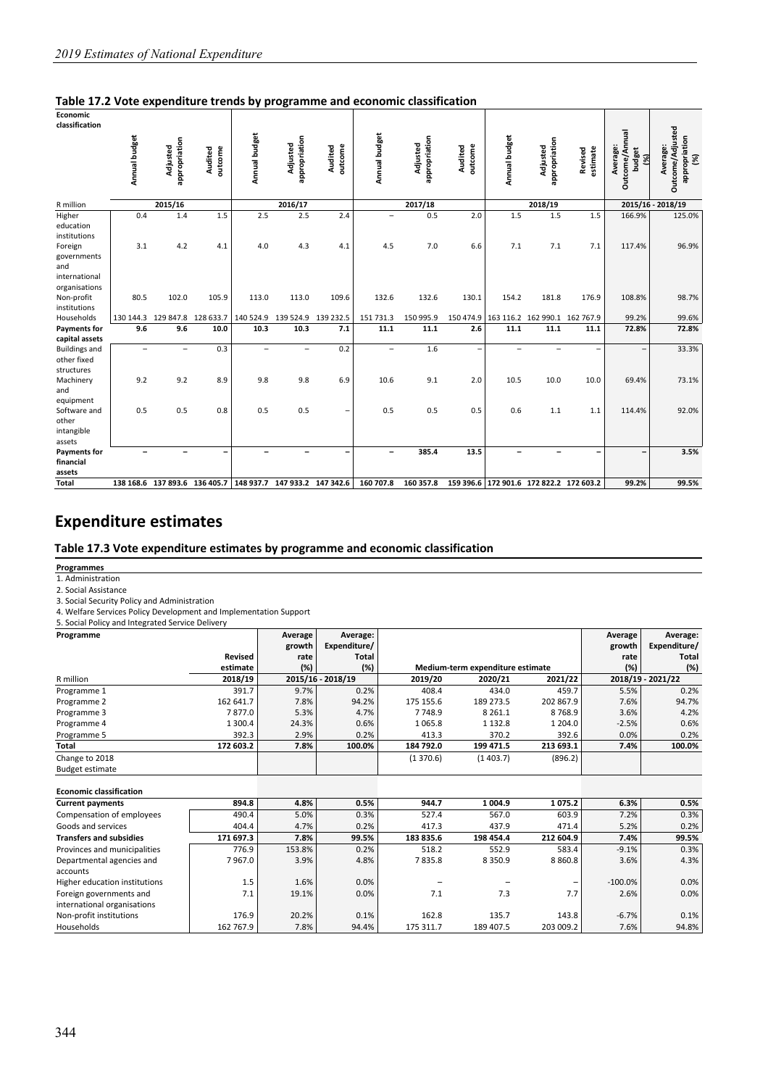| Economic                                                        |                          |                           |                               |                |                               |                    |                          |                           |                          |                          |                                         |                     |                                                    |                                                      |
|-----------------------------------------------------------------|--------------------------|---------------------------|-------------------------------|----------------|-------------------------------|--------------------|--------------------------|---------------------------|--------------------------|--------------------------|-----------------------------------------|---------------------|----------------------------------------------------|------------------------------------------------------|
| classification                                                  |                          |                           |                               |                |                               |                    |                          |                           |                          |                          |                                         |                     |                                                    |                                                      |
|                                                                 | Annual budget            | appropriation<br>Adjusted | outcome<br>Audited            | Annual budget  | appropriation<br>Adjusted     | outcome<br>Audited | Annual budget            | appropriation<br>Adjusted | outcome<br>Audited       | Annual budget            | appropriation<br>Adjusted               | estimate<br>Revised | Outcome/Annual<br>Average:<br><b>budget</b><br>প্ৰ | Outcome/Adjusted<br>appropriation<br>Average:<br>(%) |
| R million                                                       |                          | 2015/16                   |                               |                | 2016/17                       |                    |                          | 2017/18                   |                          |                          | 2018/19                                 |                     |                                                    | 2015/16 - 2018/19                                    |
| Higher<br>education<br>institutions                             | 0.4                      | 1.4                       | 1.5                           | 2.5            | 2.5                           | 2.4                | $\overline{\phantom{0}}$ | 0.5                       | 2.0                      | 1.5                      | 1.5                                     | 1.5                 | 166.9%                                             | 125.0%                                               |
| Foreign<br>governments<br>and<br>international<br>organisations | 3.1                      | 4.2                       | 4.1                           | 4.0            | 4.3                           | 4.1                | 4.5                      | 7.0                       | 6.6                      | 7.1                      | 7.1                                     | 7.1                 | 117.4%                                             | 96.9%                                                |
| Non-profit<br>institutions                                      | 80.5                     | 102.0                     | 105.9                         | 113.0          | 113.0                         | 109.6              | 132.6                    | 132.6                     | 130.1                    | 154.2                    | 181.8                                   | 176.9               | 108.8%                                             | 98.7%                                                |
| Households                                                      | 130 144.3                | 129 847.8 128 633.7       |                               |                | 140 524.9 139 524.9 139 232.5 |                    | 151 731.3                | 150 995.9                 |                          |                          | 150 474.9 163 116.2 162 990.1 162 767.9 |                     | 99.2%                                              | 99.6%                                                |
| <b>Payments for</b>                                             | 9.6                      | 9.6                       | 10.0                          | 10.3           | 10.3                          | 7.1                | 11.1                     | 11.1                      | 2.6                      | 11.1                     | 11.1                                    | 11.1                | 72.8%                                              | 72.8%                                                |
| capital assets                                                  |                          |                           |                               |                |                               |                    |                          |                           |                          |                          |                                         |                     |                                                    |                                                      |
| <b>Buildings and</b><br>other fixed<br>structures               | $\overline{\phantom{0}}$ | $\overline{\phantom{0}}$  | 0.3                           | $\overline{a}$ | $\overline{\phantom{0}}$      | 0.2                | $\overline{a}$           | 1.6                       | $\overline{\phantom{0}}$ | $\overline{\phantom{0}}$ | $\overline{\phantom{0}}$                |                     | $\overline{\phantom{0}}$                           | 33.3%                                                |
| Machinery<br>and<br>equipment                                   | 9.2                      | 9.2                       | 8.9                           | 9.8            | 9.8                           | 6.9                | 10.6                     | 9.1                       | 2.0                      | 10.5                     | 10.0                                    | 10.0                | 69.4%                                              | 73.1%                                                |
| Software and<br>other<br>intangible<br>assets                   | 0.5                      | 0.5                       | 0.8                           | 0.5            | 0.5                           | -                  | 0.5                      | 0.5                       | 0.5                      | 0.6                      | 1.1                                     | 1.1                 | 114.4%                                             | 92.0%                                                |
| <b>Payments for</b><br>financial<br>assets                      |                          |                           |                               |                |                               |                    | -                        | 385.4                     | 13.5                     |                          |                                         |                     |                                                    | 3.5%                                                 |
| Total                                                           |                          |                           | 138 168.6 137 893.6 136 405.7 | 148 937.7      | 147 933.2 147 342.6           |                    | 160 707.8                | 160 357.8                 |                          |                          | 159 396.6 172 901.6 172 822.2 172 603.2 |                     | 99.2%                                              | 99.5%                                                |

## **Expenditure estimates**

#### **Table 17.3 Vote expenditure estimates by programme and economic classification**

**Programmes** 

1. Administration

2. Social Assistance

3. Social Security Policy and Administration

4. Welfare Services Policy Development and Implementation Support 5. Social Policy and Integrated Service Delivery

| Programme                      |                | Average<br>growth | Average:<br>Expenditure/ |           |                                  |           | Average<br>growth | Average:<br>Expenditure/ |
|--------------------------------|----------------|-------------------|--------------------------|-----------|----------------------------------|-----------|-------------------|--------------------------|
|                                | <b>Revised</b> | rate              | Total                    |           |                                  |           | rate              | <b>Total</b>             |
|                                | estimate       | (%)               | (%)                      |           | Medium-term expenditure estimate |           | (%)               | (%)                      |
| R million                      | 2018/19        |                   | 2015/16 - 2018/19        | 2019/20   | 2020/21                          | 2021/22   |                   | 2018/19 - 2021/22        |
| Programme 1                    | 391.7          | 9.7%              | 0.2%                     | 408.4     | 434.0                            | 459.7     | 5.5%              | 0.2%                     |
| Programme 2                    | 162 641.7      | 7.8%              | 94.2%                    | 175 155.6 | 189 273.5                        | 202 867.9 | 7.6%              | 94.7%                    |
| Programme 3                    | 7877.0         | 5.3%              | 4.7%                     | 7748.9    | 8 2 6 1.1                        | 8768.9    | 3.6%              | 4.2%                     |
| Programme 4                    | 1 300.4        | 24.3%             | 0.6%                     | 1065.8    | 1 1 3 2 . 8                      | 1 204.0   | $-2.5%$           | 0.6%                     |
| Programme 5                    | 392.3          | 2.9%              | 0.2%                     | 413.3     | 370.2                            | 392.6     | 0.0%              | 0.2%                     |
| Total                          | 172 603.2      | 7.8%              | 100.0%                   | 184 792.0 | 199 471.5                        | 213 693.1 | 7.4%              | 100.0%                   |
| Change to 2018                 |                |                   |                          | (1370.6)  | (1403.7)                         | (896.2)   |                   |                          |
| <b>Budget estimate</b>         |                |                   |                          |           |                                  |           |                   |                          |
| <b>Economic classification</b> |                |                   |                          |           |                                  |           |                   |                          |
| <b>Current payments</b>        | 894.8          | 4.8%              | 0.5%                     | 944.7     | 1 004.9                          | 1075.2    | 6.3%              | 0.5%                     |
| Compensation of employees      | 490.4          | 5.0%              | 0.3%                     | 527.4     | 567.0                            | 603.9     | 7.2%              | 0.3%                     |
| Goods and services             | 404.4          | 4.7%              | 0.2%                     | 417.3     | 437.9                            | 471.4     | 5.2%              | 0.2%                     |
| <b>Transfers and subsidies</b> | 171 697.3      | 7.8%              | 99.5%                    | 183 835.6 | 198 454.4                        | 212 604.9 | 7.4%              | 99.5%                    |
| Provinces and municipalities   | 776.9          | 153.8%            | 0.2%                     | 518.2     | 552.9                            | 583.4     | $-9.1%$           | 0.3%                     |
| Departmental agencies and      | 7967.0         | 3.9%              | 4.8%                     | 7835.8    | 8 3 5 0.9                        | 8 8 6 0.8 | 3.6%              | 4.3%                     |
| accounts                       |                |                   |                          |           |                                  |           |                   |                          |
| Higher education institutions  | 1.5            | 1.6%              | 0.0%                     |           |                                  |           | $-100.0%$         | 0.0%                     |
| Foreign governments and        | 7.1            | 19.1%             | 0.0%                     | 7.1       | 7.3                              | 7.7       | 2.6%              | 0.0%                     |
| international organisations    |                |                   |                          |           |                                  |           |                   |                          |
| Non-profit institutions        | 176.9          | 20.2%             | 0.1%                     | 162.8     | 135.7                            | 143.8     | $-6.7%$           | 0.1%                     |
| Households                     | 162 767.9      | 7.8%              | 94.4%                    | 175 311.7 | 189 407.5                        | 203 009.2 | 7.6%              | 94.8%                    |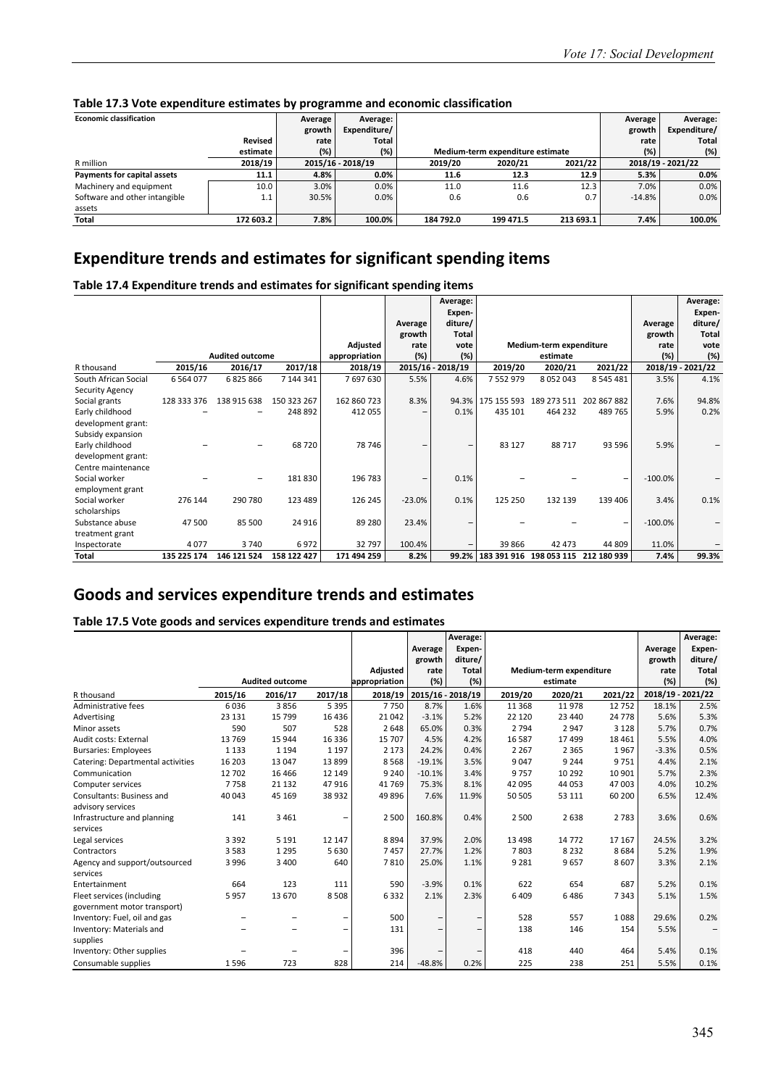|                                |           |         |                   | <u>programma and coordinal crocomments</u> |                                  |           |            |                   |
|--------------------------------|-----------|---------|-------------------|--------------------------------------------|----------------------------------|-----------|------------|-------------------|
| <b>Economic classification</b> |           | Average | Average:          |                                            |                                  |           | Average    | Average:          |
|                                |           | growth  | Expenditure/      |                                            |                                  |           | growth     | Expenditure/      |
|                                | Revised   | rate    | Total             |                                            |                                  |           | rate       | Total             |
|                                | estimate  | (%)     | (%)               |                                            | Medium-term expenditure estimate |           | (%)<br>(%) |                   |
| R million                      | 2018/19   |         | 2015/16 - 2018/19 | 2019/20                                    | 2020/21                          | 2021/22   |            | 2018/19 - 2021/22 |
| Payments for capital assets    | 11.1      | 4.8%    | $0.0\%$           | 11.6                                       | 12.3                             | 12.9      | 5.3%       | $0.0\%$           |
| Machinery and equipment        | 10.0      | 3.0%    | 0.0%              | 11.0                                       | 11.6                             | 12.3      | 7.0%       | 0.0%              |
| Software and other intangible  | 1.1       | 30.5%   | 0.0%              | 0.6                                        | 0.6                              | 0.7       | $-14.8%$   | 0.0%              |
| assets                         |           |         |                   |                                            |                                  |           |            |                   |
| Total                          | 172 603.2 | 7.8%    | 100.0%            | 184 792.0                                  | 199 471.5                        | 213 693.1 | 7.4%       | 100.0%            |

#### **Table 17.3 Vote expenditure estimates by programme and economic classification**

## **Expenditure trends and estimates for significant spending items**

**Table 17.4 Expenditure trends and estimates for significant spending items**

|                      |               |                        |             |               |                   | Average:<br>Expen- |               |                         |               |            | Average:<br>Expen- |
|----------------------|---------------|------------------------|-------------|---------------|-------------------|--------------------|---------------|-------------------------|---------------|------------|--------------------|
|                      |               |                        |             |               | Average           | diture/            |               |                         |               | Average    | diture/            |
|                      |               |                        |             |               | growth            | <b>Total</b>       |               |                         |               | growth     | <b>Total</b>       |
|                      |               |                        |             | Adjusted      | rate              | vote               |               | Medium-term expenditure |               | rate       | vote               |
|                      |               | <b>Audited outcome</b> |             | appropriation | (%)               | (%)                |               | estimate                |               | (%)        | (%)                |
| R thousand           | 2015/16       | 2016/17                | 2017/18     | 2018/19       |                   | 2015/16 - 2018/19  | 2019/20       | 2020/21                 | 2021/22       |            | 2018/19 - 2021/22  |
| South African Social | 6 5 6 4 0 7 7 | 6825866                | 7 144 341   | 7697630       | 5.5%              | 4.6%               | 7 5 5 2 9 7 9 | 8 0 5 2 0 4 3           | 8 5 4 5 4 8 1 | 3.5%       | 4.1%               |
| Security Agency      |               |                        |             |               |                   |                    |               |                         |               |            |                    |
| Social grants        | 128 333 376   | 138 915 638            | 150 323 267 | 162 860 723   | 8.3%              | 94.3%              | 175 155 593   | 189 273 511             | 202 867 882   | 7.6%       | 94.8%              |
| Early childhood      |               |                        | 248 892     | 412 055       | $\qquad \qquad -$ | 0.1%               | 435 101       | 464 232                 | 489 765       | 5.9%       | 0.2%               |
| development grant:   |               |                        |             |               |                   |                    |               |                         |               |            |                    |
| Subsidy expansion    |               |                        |             |               |                   |                    |               |                         |               |            |                    |
| Early childhood      |               |                        | 68720       | 78 746        | -                 |                    | 83 127        | 88717                   | 93 596        | 5.9%       |                    |
| development grant:   |               |                        |             |               |                   |                    |               |                         |               |            |                    |
| Centre maintenance   |               |                        |             |               |                   |                    |               |                         |               |            |                    |
| Social worker        |               | -                      | 181830      | 196 783       | -                 | 0.1%               |               |                         |               | $-100.0\%$ |                    |
| employment grant     |               |                        |             |               |                   |                    |               |                         |               |            |                    |
| Social worker        | 276 144       | 290 780                | 123 489     | 126 245       | $-23.0%$          | 0.1%               | 125 250       | 132 139                 | 139 406       | 3.4%       | 0.1%               |
| scholarships         |               |                        |             |               |                   |                    |               |                         |               |            |                    |
| Substance abuse      | 47 500        | 85 500                 | 24 916      | 89 280        | 23.4%             |                    |               |                         |               | $-100.0\%$ |                    |
| treatment grant      |               |                        |             |               |                   |                    |               |                         |               |            |                    |
| Inspectorate         | 4077          | 3740                   | 6972        | 32797         | 100.4%            |                    | 39 866        | 42 473                  | 44 809        | 11.0%      |                    |
| Total                | 135 225 174   | 146 121 524            | 158 122 427 | 171 494 259   | 8.2%              | 99.2%              | 183 391 916   | 198 053 115             | 212 180 939   | 7.4%       | 99.3%              |

## **Goods and services expenditure trends and estimates**

#### **Table 17.5 Vote goods and services expenditure trends and estimates**

|                                   |         |                        |                          |               |                   | Average:                 |         |                         |         |                   | Average:     |
|-----------------------------------|---------|------------------------|--------------------------|---------------|-------------------|--------------------------|---------|-------------------------|---------|-------------------|--------------|
|                                   |         |                        |                          |               | Average           | Expen-                   |         |                         |         | Average           | Expen-       |
|                                   |         |                        |                          |               | growth            | diture/                  |         |                         |         | growth            | diture/      |
|                                   |         |                        |                          | Adjusted      | rate              | <b>Total</b>             |         | Medium-term expenditure |         | rate              | <b>Total</b> |
|                                   |         | <b>Audited outcome</b> |                          | appropriation | (%)               | (%)                      |         | estimate                |         | (%)               | (%)          |
| R thousand                        | 2015/16 | 2016/17                | 2017/18                  | 2018/19       | 2015/16 - 2018/19 |                          | 2019/20 | 2020/21                 | 2021/22 | 2018/19 - 2021/22 |              |
| Administrative fees               | 6036    | 3856                   | 5 3 9 5                  | 7750          | 8.7%              | 1.6%                     | 11 3 68 | 11978                   | 12752   | 18.1%             | 2.5%         |
| Advertising                       | 23 13 1 | 15799                  | 16 4 36                  | 21 0 42       | $-3.1%$           | 5.2%                     | 22 120  | 23 4 4 0                | 24 7 78 | 5.6%              | 5.3%         |
| Minor assets                      | 590     | 507                    | 528                      | 2648          | 65.0%             | 0.3%                     | 2 7 9 4 | 2947                    | 3 1 2 8 | 5.7%              | 0.7%         |
| Audit costs: External             | 13769   | 15 944                 | 16 3 36                  | 15 707        | 4.5%              | 4.2%                     | 16 587  | 17499                   | 18 4 61 | 5.5%              | 4.0%         |
| <b>Bursaries: Employees</b>       | 1 1 3 3 | 1 1 9 4                | 1 1 9 7                  | 2 1 7 3       | 24.2%             | 0.4%                     | 2 2 6 7 | 2 3 6 5                 | 1967    | $-3.3%$           | 0.5%         |
| Catering: Departmental activities | 16 203  | 13 047                 | 13899                    | 8568          | $-19.1%$          | 3.5%                     | 9047    | 9 2 4 4                 | 9751    | 4.4%              | 2.1%         |
| Communication                     | 12702   | 16 4 66                | 12 14 9                  | 9 2 4 0       | $-10.1%$          | 3.4%                     | 9757    | 10 2 9 2                | 10 901  | 5.7%              | 2.3%         |
| Computer services                 | 7758    | 21 1 32                | 47916                    | 41769         | 75.3%             | 8.1%                     | 42 095  | 44 053                  | 47 003  | 4.0%              | 10.2%        |
| Consultants: Business and         | 40 043  | 45 169                 | 38 9 32                  | 49896         | 7.6%              | 11.9%                    | 50 505  | 53 111                  | 60 200  | 6.5%              | 12.4%        |
| advisory services                 |         |                        |                          |               |                   |                          |         |                         |         |                   |              |
| Infrastructure and planning       | 141     | 3 4 6 1                | -                        | 2 500         | 160.8%            | 0.4%                     | 2 500   | 2638                    | 2 7 8 3 | 3.6%              | 0.6%         |
| services                          |         |                        |                          |               |                   |                          |         |                         |         |                   |              |
| Legal services                    | 3 3 9 2 | 5 1 9 1                | 12 147                   | 8894          | 37.9%             | 2.0%                     | 13 4 98 | 14 7 72                 | 17 167  | 24.5%             | 3.2%         |
| Contractors                       | 3583    | 1 2 9 5                | 5630                     | 7457          | 27.7%             | 1.2%                     | 7803    | 8 2 3 2                 | 8684    | 5.2%              | 1.9%         |
| Agency and support/outsourced     | 3996    | 3 4 0 0                | 640                      | 7810          | 25.0%             | 1.1%                     | 9 2 8 1 | 9657                    | 8607    | 3.3%              | 2.1%         |
| services                          |         |                        |                          |               |                   |                          |         |                         |         |                   |              |
| Entertainment                     | 664     | 123                    | 111                      | 590           | $-3.9%$           | 0.1%                     | 622     | 654                     | 687     | 5.2%              | 0.1%         |
| Fleet services (including         | 5957    | 13 670                 | 8508                     | 6332          | 2.1%              | 2.3%                     | 6409    | 6486                    | 7343    | 5.1%              | 1.5%         |
| government motor transport)       |         |                        |                          |               |                   |                          |         |                         |         |                   |              |
| Inventory: Fuel, oil and gas      |         |                        | -                        | 500           | $\qquad \qquad -$ | -                        | 528     | 557                     | 1088    | 29.6%             | 0.2%         |
| Inventory: Materials and          |         |                        | $\overline{\phantom{0}}$ | 131           | $\qquad \qquad -$ | $\overline{\phantom{0}}$ | 138     | 146                     | 154     | 5.5%              |              |
| supplies                          |         |                        |                          |               |                   |                          |         |                         |         |                   |              |
| Inventory: Other supplies         |         |                        | -                        | 396           | -                 |                          | 418     | 440                     | 464     | 5.4%              | 0.1%         |
| Consumable supplies               | 1596    | 723                    | 828                      | 214           | $-48.8%$          | 0.2%                     | 225     | 238                     | 251     | 5.5%              | 0.1%         |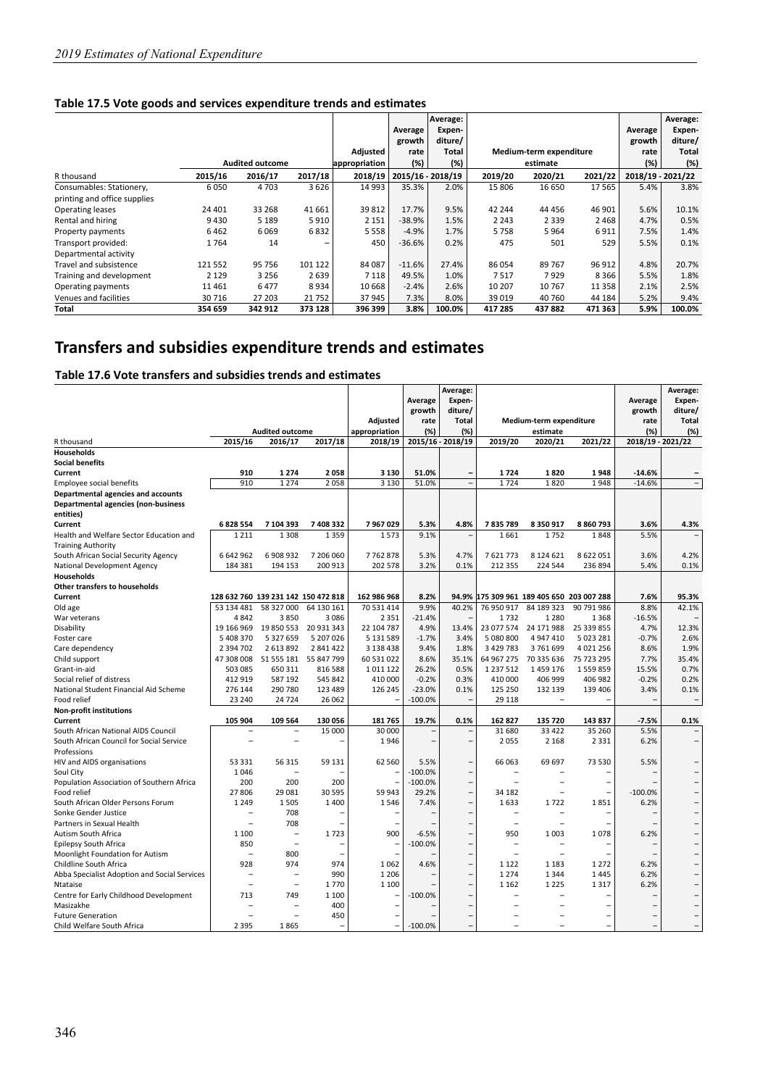#### **Table 17.5 Vote goods and services expenditure trends and estimates**

|                              |         |                        |         |               |          | Average:          |         |                         |         |                   | Average:     |
|------------------------------|---------|------------------------|---------|---------------|----------|-------------------|---------|-------------------------|---------|-------------------|--------------|
|                              |         |                        |         |               | Average  | Expen-            |         |                         |         | Average           | Expen-       |
|                              |         |                        |         |               | growth   | diture/           |         |                         |         | growth            | diture/      |
|                              |         |                        |         | Adjusted      | rate     | Total             |         | Medium-term expenditure |         | rate              | <b>Total</b> |
|                              |         | <b>Audited outcome</b> |         | appropriation | (%)      | (%)               |         | estimate                |         | (%)               | (%)          |
| R thousand                   | 2015/16 | 2016/17                | 2017/18 | 2018/19       |          | 2015/16 - 2018/19 | 2019/20 | 2020/21                 | 2021/22 | 2018/19 - 2021/22 |              |
| Consumables: Stationery,     | 6050    | 4 7 0 3                | 3626    | 14 9 93       | 35.3%    | 2.0%              | 15 806  | 16 650                  | 17 5 65 | 5.4%              | 3.8%         |
| printing and office supplies |         |                        |         |               |          |                   |         |                         |         |                   |              |
| Operating leases             | 24 401  | 33 268                 | 41 661  | 39 812        | 17.7%    | 9.5%              | 42 244  | 44 456                  | 46 901  | 5.6%              | 10.1%        |
| Rental and hiring            | 9430    | 5 1 8 9                | 5910    | 2 1 5 1       | $-38.9%$ | 1.5%              | 2 2 4 3 | 2 3 3 9                 | 2468    | 4.7%              | 0.5%         |
| Property payments            | 6462    | 6069                   | 6832    | 5 5 5 8       | $-4.9%$  | 1.7%              | 5758    | 5964                    | 6911    | 7.5%              | 1.4%         |
| Transport provided:          | 1764    | 14                     | -       | 450           | $-36.6%$ | 0.2%              | 475     | 501                     | 529     | 5.5%              | 0.1%         |
| Departmental activity        |         |                        |         |               |          |                   |         |                         |         |                   |              |
| Travel and subsistence       | 121 552 | 95 756                 | 101 122 | 84 087        | $-11.6%$ | 27.4%             | 86 054  | 89767                   | 96 912  | 4.8%              | 20.7%        |
| Training and development     | 2 1 2 9 | 3 2 5 6                | 2639    | 7 1 1 8       | 49.5%    | 1.0%              | 7517    | 7929                    | 8366    | 5.5%              | 1.8%         |
| Operating payments           | 11461   | 6477                   | 8934    | 10 668        | $-2.4%$  | 2.6%              | 10 207  | 10767                   | 11 358  | 2.1%              | 2.5%         |
| Venues and facilities        | 30716   | 27 203                 | 21752   | 37945         | 7.3%     | 8.0%              | 39 0 19 | 40 760                  | 44 184  | 5.2%              | 9.4%         |
| Total                        | 354 659 | 342 912                | 373 128 | 396 399       | 3.8%     | 100.0%            | 417 285 | 437882                  | 471 363 | 5.9%              | 100.0%       |

## **Transfers and subsidies expenditure trends and estimates**

#### **Table 17.6 Vote transfers and subsidies trends and estimates**

|                                              |                                     |                                  |                          |                          |           | Average:                 |                          |                                           |                          |                          | Average:                 |
|----------------------------------------------|-------------------------------------|----------------------------------|--------------------------|--------------------------|-----------|--------------------------|--------------------------|-------------------------------------------|--------------------------|--------------------------|--------------------------|
|                                              |                                     |                                  |                          |                          | Average   | Expen-                   |                          |                                           |                          | Average                  | Expen-                   |
|                                              |                                     |                                  |                          |                          | growth    | diture/                  |                          |                                           |                          | growth                   | diture/                  |
|                                              |                                     |                                  |                          | Adjusted                 | rate      | <b>Total</b>             |                          | Medium-term expenditure                   |                          | rate                     | <b>Total</b>             |
|                                              |                                     | <b>Audited outcome</b>           |                          | appropriation            | (%)       | $(\%)$                   |                          | estimate                                  |                          | (%)                      | (%)                      |
| R thousand                                   | 2015/16                             | 2016/17                          | 2017/18                  | 2018/19                  |           | 2015/16 - 2018/19        | 2019/20                  | 2020/21                                   | 2021/22                  | 2018/19 - 2021/22        |                          |
| Households                                   |                                     |                                  |                          |                          |           |                          |                          |                                           |                          |                          |                          |
| <b>Social benefits</b>                       |                                     |                                  |                          |                          |           |                          |                          |                                           |                          |                          |                          |
| Current                                      | 910                                 | 1274                             | 2058                     | 3 1 3 0                  | 51.0%     | $\overline{\phantom{0}}$ | 1724                     | 1820                                      | 1948                     | $-14.6%$                 |                          |
| Employee social benefits                     | 910                                 | 1 2 7 4                          | 2058                     | 3 1 3 0                  | 51.0%     | $\overline{a}$           | 1724                     | 1820                                      | 1948                     | $-14.6%$                 | $\overline{\phantom{0}}$ |
| Departmental agencies and accounts           |                                     |                                  |                          |                          |           |                          |                          |                                           |                          |                          |                          |
| Departmental agencies (non-business          |                                     |                                  |                          |                          |           |                          |                          |                                           |                          |                          |                          |
| entities)                                    |                                     |                                  |                          |                          |           |                          |                          |                                           |                          |                          |                          |
| Current                                      | 6828554                             | 7 104 393                        | 7 408 332                | 7967029                  | 5.3%      | 4.8%                     | 7835789                  | 8 3 5 0 9 1 7                             | 8860793                  | 3.6%                     | 4.3%                     |
| Health and Welfare Sector Education and      | 1 2 1 1                             | 1 3 0 8                          | 1359                     | 1573                     | 9.1%      |                          | 1661                     | 1752                                      | 1848                     | 5.5%                     |                          |
| <b>Training Authority</b>                    |                                     |                                  |                          |                          |           |                          |                          |                                           |                          |                          |                          |
| South African Social Security Agency         | 6642962                             | 6908932                          | 7 206 060                | 7762878                  | 5.3%      | 4.7%                     | 7621773                  | 8 1 2 4 6 2 1                             | 8622051                  | 3.6%                     | 4.2%                     |
| National Development Agency                  | 184 381                             | 194 153                          | 200 913                  | 202 578                  | 3.2%      | 0.1%                     | 212 355                  | 224 544                                   | 236 894                  | 5.4%                     | 0.1%                     |
| Households                                   |                                     |                                  |                          |                          |           |                          |                          |                                           |                          |                          |                          |
| <b>Other transfers to households</b>         |                                     |                                  |                          |                          |           |                          |                          |                                           |                          |                          |                          |
| Current                                      | 128 632 760 139 231 142 150 472 818 |                                  |                          | 162 986 968              | 8.2%      |                          |                          | 94.9% 175 309 961 189 405 650 203 007 288 |                          | 7.6%                     | 95.3%                    |
| Old age                                      | 53 134 481                          | 58 327 000                       | 64 130 161               | 70 531 414               | 9.9%      | 40.2%                    | 76 950 917               | 84 189 323                                | 90 791 986               | 8.8%                     | 42.1%                    |
| War veterans                                 | 4842                                | 3850                             | 3086                     | 2 3 5 1                  | $-21.4%$  |                          | 1732                     | 1 2 8 0                                   | 1368                     | $-16.5%$                 |                          |
| Disability                                   | 19 166 969                          | 19 850 553                       | 20 931 343               | 22 104 787               | 4.9%      | 13.4%                    |                          | 23 077 574 24 171 988                     | 25 339 855               | 4.7%                     | 12.3%                    |
| Foster care                                  | 5 408 370                           | 5 327 659                        | 5 207 026                | 5 131 589                | $-1.7%$   | 3.4%                     | 5 080 800                | 4 947 410                                 | 5 023 281                | $-0.7%$                  | 2.6%                     |
| Care dependency                              | 2 3 9 4 7 0 2                       | 2 613 892                        | 2 841 422                | 3 138 438                | 9.4%      | 1.8%                     | 3 4 2 9 7 8 3            | 3761699                                   | 4 0 2 1 2 5 6            | 8.6%                     | 1.9%                     |
| Child support                                |                                     | 47 308 008 51 555 181 55 847 799 |                          | 60 531 022               | 8.6%      | 35.1%                    |                          | 64 967 275 70 335 636                     | 75 723 295               | 7.7%                     | 35.4%                    |
| Grant-in-aid                                 | 503 085                             | 650 311                          | 816 588                  | 1011122                  | 26.2%     | 0.5%                     | 1 2 3 7 5 1 2            | 1459176                                   | 1559859                  | 15.5%                    | 0.7%                     |
| Social relief of distress                    | 412 919                             | 587 192                          | 545 842                  | 410 000                  | $-0.2%$   | 0.3%                     | 410 000                  | 406 999                                   | 406 982                  | $-0.2%$                  | 0.2%                     |
| National Student Financial Aid Scheme        | 276 144                             | 290 780                          | 123 489                  | 126 245                  | $-23.0%$  | 0.1%                     | 125 250                  | 132 139                                   | 139 406                  | 3.4%                     | 0.1%                     |
| Food relief                                  | 23 240                              | 24 7 24                          | 26 062                   |                          | $-100.0%$ |                          | 29 1 18                  | $\overline{a}$                            |                          |                          |                          |
| <b>Non-profit institutions</b>               |                                     |                                  |                          |                          |           |                          |                          |                                           |                          |                          |                          |
| Current                                      | 105 904                             | 109 564                          | 130 056                  | 181765                   | 19.7%     | 0.1%                     | 162 827                  | 135 720                                   | 143837                   | $-7.5%$                  | 0.1%                     |
| South African National AIDS Council          | $\overline{\phantom{0}}$            | $\overline{a}$                   | 15 000                   | 30 000                   |           |                          | 31 680                   | 33 4 22                                   | 35 260                   | 5.5%                     | $\qquad \qquad -$        |
| South African Council for Social Service     | $\overline{\phantom{0}}$            | $\overline{\phantom{0}}$         |                          | 1946                     |           | $\overline{a}$           | 2055                     | 2 1 6 8                                   | 2 3 3 1                  | 6.2%                     | $\qquad \qquad -$        |
| Professions                                  |                                     |                                  |                          |                          |           |                          |                          |                                           |                          |                          |                          |
| HIV and AIDS organisations                   | 53 3 3 1                            | 56 315                           | 59 131                   | 62 560                   | 5.5%      | $\overline{\phantom{0}}$ | 66 063                   | 69 697                                    | 73 530                   | 5.5%                     |                          |
| Soul City                                    | 1046                                |                                  |                          |                          | $-100.0%$ | $\overline{\phantom{0}}$ |                          |                                           |                          |                          | $\overline{a}$           |
| Population Association of Southern Africa    | 200                                 | 200                              | 200                      |                          | $-100.0%$ | $\overline{a}$           | $\overline{a}$           |                                           |                          |                          | $\overline{\phantom{0}}$ |
| Food relief                                  | 27806                               | 29 08 1                          | 30 595                   | 59 943                   | 29.2%     | -                        | 34 182                   | $\overline{a}$                            |                          | $-100.0%$                | $\overline{a}$           |
| South African Older Persons Forum            | 1 2 4 9                             | 1505                             | 1400                     | 1546                     | 7.4%      | -                        | 1633                     | 1722                                      | 1851                     | 6.2%                     | $\overline{\phantom{0}}$ |
| Sonke Gender Justice                         |                                     | 708                              |                          |                          |           |                          | $\overline{\phantom{0}}$ |                                           |                          |                          | $\overline{a}$           |
| Partners in Sexual Health                    | $\overline{\phantom{0}}$            | 708                              |                          |                          |           | $\overline{\phantom{0}}$ | $\overline{\phantom{0}}$ | $\overline{\phantom{0}}$                  |                          |                          | $\qquad \qquad -$        |
| Autism South Africa                          | 1 1 0 0                             | $\qquad \qquad -$                | 1723                     | 900                      | $-6.5%$   | -                        | 950                      | 1003                                      | 1078                     | 6.2%                     | $\overline{\phantom{0}}$ |
| Epilepsy South Africa                        | 850                                 | $\overline{\phantom{0}}$         |                          | $\overline{a}$           | $-100.0%$ | $\overline{\phantom{0}}$ | $\overline{\phantom{0}}$ |                                           |                          |                          | $\overline{\phantom{0}}$ |
| Moonlight Foundation for Autism              | $\overline{\phantom{0}}$            | 800                              | $\overline{\phantom{0}}$ |                          |           | $\overline{a}$           | $\overline{a}$           | $\overline{\phantom{a}}$                  |                          |                          | $\overline{\phantom{0}}$ |
| Childline South Africa                       | 928                                 | 974                              | 974                      | 1062                     | 4.6%      | $\overline{a}$           | 1 1 2 2                  | 1 1 8 3                                   | 1 2 7 2                  | 6.2%                     | $\overline{a}$           |
| Abba Specialist Adoption and Social Services | $\overline{\phantom{0}}$            | $\overline{\phantom{0}}$         | 990                      | 1 2 0 6                  |           | $\overline{\phantom{0}}$ | 1 2 7 4                  | 1 3 4 4                                   | 1445                     | 6.2%                     | $\overline{\phantom{0}}$ |
| Ntataise                                     |                                     | $\overline{\phantom{a}}$         | 1770                     | 1 1 0 0                  |           | -                        | 1 1 6 2                  | 1 2 2 5                                   | 1317                     | 6.2%                     | $\qquad \qquad -$        |
| Centre for Early Childhood Development       | 713                                 | 749                              | 1 100                    |                          | $-100.0%$ | $\overline{a}$           |                          |                                           |                          |                          | $\overline{\phantom{0}}$ |
| Masizakhe                                    |                                     |                                  | 400                      | $\overline{a}$           |           | $\overline{a}$           |                          |                                           |                          |                          | $\overline{\phantom{0}}$ |
| <b>Future Generation</b>                     |                                     | $\overline{a}$                   | 450                      | $\overline{\phantom{0}}$ |           | $\overline{\phantom{0}}$ |                          |                                           |                          |                          | $\overline{\phantom{0}}$ |
| Child Welfare South Africa                   | 2 3 9 5                             | 1865                             | $\overline{\phantom{0}}$ | $\qquad \qquad -$        | $-100.0%$ | $\overline{\phantom{0}}$ |                          | $\overline{\phantom{a}}$                  | $\overline{\phantom{0}}$ | $\overline{\phantom{0}}$ | $\qquad \qquad -$        |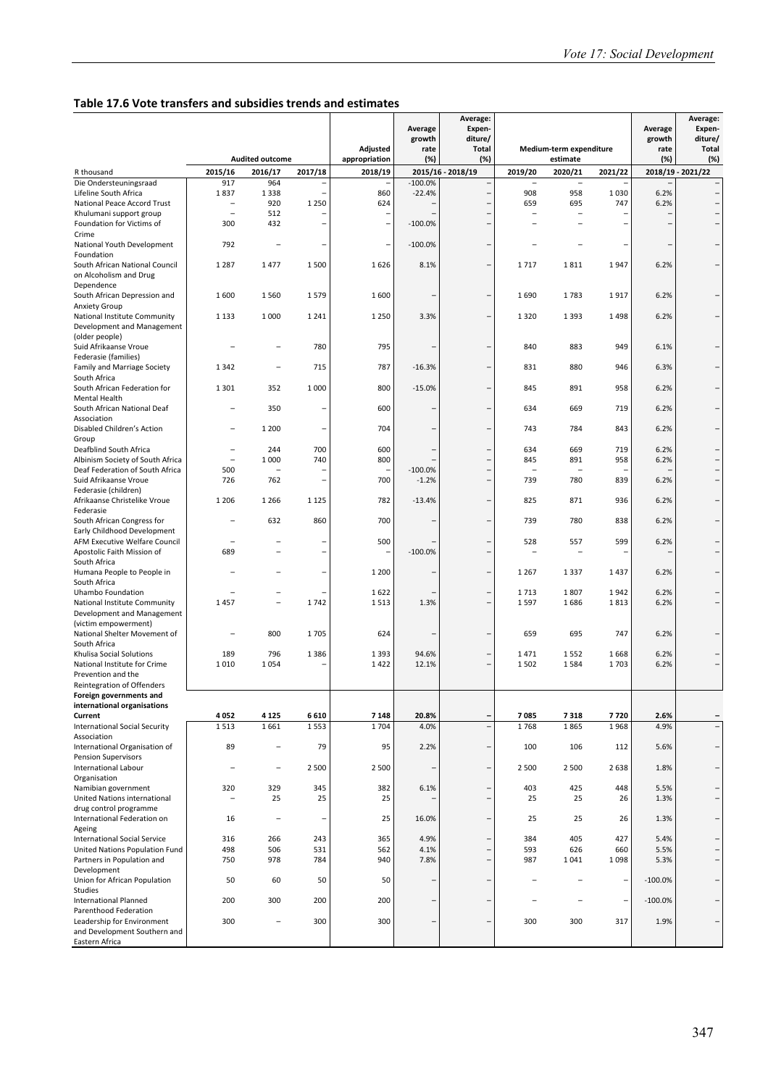#### **Table 17.6 Vote transfers and subsidies trends and estimates**

|                                                             |                                 |                                   |                |                          |                                                      | Average:<br>Expen-       |                          |                          |                |                   | Average:<br>Expen-       |
|-------------------------------------------------------------|---------------------------------|-----------------------------------|----------------|--------------------------|------------------------------------------------------|--------------------------|--------------------------|--------------------------|----------------|-------------------|--------------------------|
|                                                             |                                 |                                   |                |                          | Average<br>growth                                    | diture/                  |                          |                          |                | Average<br>growth | diture/                  |
|                                                             |                                 |                                   |                | Adjusted                 | rate                                                 | <b>Total</b>             |                          | Medium-term expenditure  |                | rate              | <b>Total</b>             |
| R thousand                                                  | 2015/16                         | <b>Audited outcome</b><br>2016/17 | 2017/18        | appropriation<br>2018/19 | (%)                                                  | (%)<br>2015/16 - 2018/19 | 2019/20                  | estimate<br>2020/21      | 2021/22        | (%)               | (%)<br>2018/19 - 2021/22 |
| Die Ondersteuningsraad                                      | 917                             | 964                               |                |                          | $-100.0%$                                            |                          | $\overline{a}$           | $\overline{\phantom{0}}$ |                |                   |                          |
| Lifeline South Africa                                       | 1837                            | 1 3 3 8                           |                | 860                      | $-22.4%$                                             |                          | 908                      | 958                      | 1030           | 6.2%              | $\overline{\phantom{0}}$ |
| National Peace Accord Trust                                 |                                 | 920                               | 1 2 5 0        | 624                      |                                                      |                          | 659                      | 695                      | 747            | 6.2%              |                          |
| Khulumani support group<br>Foundation for Victims of        | $\overline{\phantom{0}}$<br>300 | 512<br>432                        |                |                          | $\overline{\phantom{0}}$<br>$-100.0%$                |                          | $\overline{\phantom{0}}$ |                          |                |                   | $\overline{\phantom{0}}$ |
| Crime                                                       |                                 |                                   |                |                          |                                                      |                          |                          |                          |                |                   |                          |
| National Youth Development                                  | 792                             |                                   |                |                          | $-100.0%$                                            |                          |                          |                          | $\overline{ }$ |                   |                          |
| Foundation                                                  | 1 2 8 7                         | 1477                              | 1500           | 1626                     | 8.1%                                                 |                          | 1717                     | 1811                     | 1947           | 6.2%              |                          |
| South African National Council<br>on Alcoholism and Drug    |                                 |                                   |                |                          |                                                      |                          |                          |                          |                |                   |                          |
| Dependence                                                  |                                 |                                   |                |                          |                                                      |                          |                          |                          |                |                   |                          |
| South African Depression and                                | 1600                            | 1560                              | 1579           | 1600                     | $\overline{\phantom{0}}$                             |                          | 1690                     | 1783                     | 1917           | 6.2%              |                          |
| Anxiety Group<br>National Institute Community               | 1 1 3 3                         | 1 0 0 0                           | 1241           | 1 2 5 0                  | 3.3%                                                 |                          | 1320                     | 1 3 9 3                  | 1498           | 6.2%              |                          |
| Development and Management                                  |                                 |                                   |                |                          |                                                      |                          |                          |                          |                |                   |                          |
| (older people)                                              |                                 |                                   |                |                          |                                                      |                          |                          |                          |                |                   |                          |
| Suid Afrikaanse Vroue                                       |                                 |                                   | 780            | 795                      |                                                      |                          | 840                      | 883                      | 949            | 6.1%              |                          |
| Federasie (families)<br>Family and Marriage Society         | 1342                            |                                   | 715            | 787                      | $-16.3%$                                             |                          | 831                      | 880                      | 946            | 6.3%              |                          |
| South Africa                                                |                                 |                                   |                |                          |                                                      |                          |                          |                          |                |                   |                          |
| South African Federation for                                | 1301                            | 352                               | 1000           | 800                      | $-15.0%$                                             |                          | 845                      | 891                      | 958            | 6.2%              |                          |
| Mental Health<br>South African National Deaf                |                                 | 350                               |                | 600                      |                                                      |                          | 634                      | 669                      | 719            | 6.2%              |                          |
| Association                                                 |                                 |                                   |                |                          |                                                      |                          |                          |                          |                |                   |                          |
| Disabled Children's Action                                  |                                 | 1 200                             |                | 704                      |                                                      |                          | 743                      | 784                      | 843            | 6.2%              |                          |
| Group                                                       |                                 |                                   |                |                          |                                                      |                          |                          |                          |                |                   |                          |
| Deafblind South Africa<br>Albinism Society of South Africa  | $\overline{\phantom{0}}$        | 244<br>1 0 0 0                    | 700<br>740     | 600<br>800               | $\overline{\phantom{0}}$<br>$\overline{\phantom{0}}$ |                          | 634<br>845               | 669<br>891               | 719<br>958     | 6.2%<br>6.2%      |                          |
| Deaf Federation of South Africa                             | 500                             |                                   |                |                          | $-100.0%$                                            |                          | $\overline{\phantom{0}}$ |                          |                |                   |                          |
| Suid Afrikaanse Vroue                                       | 726                             | 762                               | $\overline{a}$ | 700                      | $-1.2%$                                              |                          | 739                      | 780                      | 839            | 6.2%              | $\overline{a}$           |
| Federasie (children)<br>Afrikaanse Christelike Vroue        | 1 2 0 6                         | 1 2 6 6                           | 1 1 2 5        | 782                      | $-13.4%$                                             |                          | 825                      | 871                      | 936            | 6.2%              |                          |
| Federasie                                                   |                                 |                                   |                |                          |                                                      |                          |                          |                          |                |                   |                          |
| South African Congress for                                  |                                 | 632                               | 860            | 700                      |                                                      |                          | 739                      | 780                      | 838            | 6.2%              |                          |
| Early Childhood Development                                 |                                 |                                   |                |                          |                                                      |                          |                          |                          |                |                   |                          |
| AFM Executive Welfare Council<br>Apostolic Faith Mission of | 689                             |                                   |                | 500                      | $-100.0%$                                            |                          | 528                      | 557                      | 599            | 6.2%              |                          |
| South Africa                                                |                                 |                                   |                |                          |                                                      |                          |                          |                          |                |                   |                          |
| Humana People to People in                                  |                                 |                                   |                | 1 2 0 0                  |                                                      |                          | 1 2 6 7                  | 1 3 3 7                  | 1437           | 6.2%              |                          |
| South Africa<br>Uhambo Foundation                           |                                 |                                   |                | 1622                     |                                                      |                          | 1713                     | 1807                     | 1942           | 6.2%              |                          |
| National Institute Community                                | 1457                            | $\overline{a}$                    | 1742           | 1513                     | 1.3%                                                 |                          | 1597                     | 1686                     | 1813           | 6.2%              |                          |
| Development and Management                                  |                                 |                                   |                |                          |                                                      |                          |                          |                          |                |                   |                          |
| (victim empowerment)                                        |                                 |                                   |                |                          |                                                      |                          |                          |                          |                |                   |                          |
| National Shelter Movement of<br>South Africa                |                                 | 800                               | 1705           | 624                      |                                                      |                          | 659                      | 695                      | 747            | 6.2%              |                          |
| Khulisa Social Solutions                                    | 189                             | 796                               | 1386           | 1 3 9 3                  | 94.6%                                                |                          | 1471                     | 1552                     | 1668           | 6.2%              |                          |
| National Institute for Crime                                | 1010                            | 1054                              |                | 1422                     | 12.1%                                                |                          | 1502                     | 1584                     | 1703           | 6.2%              |                          |
| Prevention and the<br>Reintegration of Offenders            |                                 |                                   |                |                          |                                                      |                          |                          |                          |                |                   |                          |
| Foreign governments and                                     |                                 |                                   |                |                          |                                                      |                          |                          |                          |                |                   |                          |
| international organisations                                 |                                 |                                   |                |                          |                                                      |                          |                          |                          |                |                   |                          |
| Current                                                     | 4052                            | 4 1 2 5                           | 6610           | 7 1 4 8                  | 20.8%                                                | Ξ                        | 7085                     | 7318                     | 7720           | 2.6%              |                          |
| <b>International Social Security</b><br>Association         | 1513                            | 1661                              | 1553           | 1704                     | 4.0%                                                 | $\overline{a}$           | 1768                     | 1865                     | 1968           | 4.9%              | $\qquad \qquad -$        |
| International Organisation of                               | 89                              | $\overline{\phantom{0}}$          | 79             | 95                       | 2.2%                                                 |                          | 100                      | 106                      | 112            | 5.6%              | $\overline{\phantom{0}}$ |
| <b>Pension Supervisors</b>                                  |                                 |                                   |                |                          |                                                      |                          |                          |                          |                |                   |                          |
| <b>International Labour</b>                                 |                                 |                                   | 2 5 0 0        | 2 500                    |                                                      |                          | 2 5 0 0                  | 2 5 0 0                  | 2638           | 1.8%              |                          |
| Organisation<br>Namibian government                         | 320                             | 329                               | 345            | 382                      | 6.1%                                                 |                          | 403                      | 425                      | 448            | 5.5%              |                          |
| United Nations international                                | $\overline{\phantom{0}}$        | 25                                | 25             | 25                       | $\overline{\phantom{0}}$                             | -                        | 25                       | 25                       | 26             | 1.3%              | $\overline{\phantom{0}}$ |
| drug control programme                                      |                                 |                                   |                |                          |                                                      |                          |                          |                          |                |                   |                          |
| International Federation on                                 | 16                              | $\overline{\phantom{0}}$          |                | 25                       | 16.0%                                                |                          | 25                       | 25                       | 26             | 1.3%              |                          |
| Ageing<br>International Social Service                      | 316                             | 266                               | 243            | 365                      | 4.9%                                                 |                          | 384                      | 405                      | 427            | 5.4%              |                          |
| United Nations Population Fund                              | 498                             | 506                               | 531            | 562                      | 4.1%                                                 |                          | 593                      | 626                      | 660            | 5.5%              |                          |
| Partners in Population and                                  | 750                             | 978                               | 784            | 940                      | 7.8%                                                 | -                        | 987                      | 1041                     | 1098           | 5.3%              | $\overline{\phantom{0}}$ |
| Development<br>Union for African Population                 | 50                              | 60                                | 50             | 50                       | -                                                    |                          |                          |                          | $\overline{ }$ | $-100.0%$         |                          |
| Studies                                                     |                                 |                                   |                |                          |                                                      |                          |                          |                          |                |                   |                          |
| <b>International Planned</b>                                | 200                             | 300                               | 200            | 200                      | $\overline{\phantom{0}}$                             |                          |                          |                          | $\overline{ }$ | $-100.0%$         |                          |
| Parenthood Federation<br>Leadership for Environment         | 300                             |                                   | 300            | 300                      | -                                                    |                          | 300                      | 300                      | 317            | 1.9%              |                          |
| and Development Southern and                                |                                 |                                   |                |                          |                                                      |                          |                          |                          |                |                   |                          |
| Eastern Africa                                              |                                 |                                   |                |                          |                                                      |                          |                          |                          |                |                   |                          |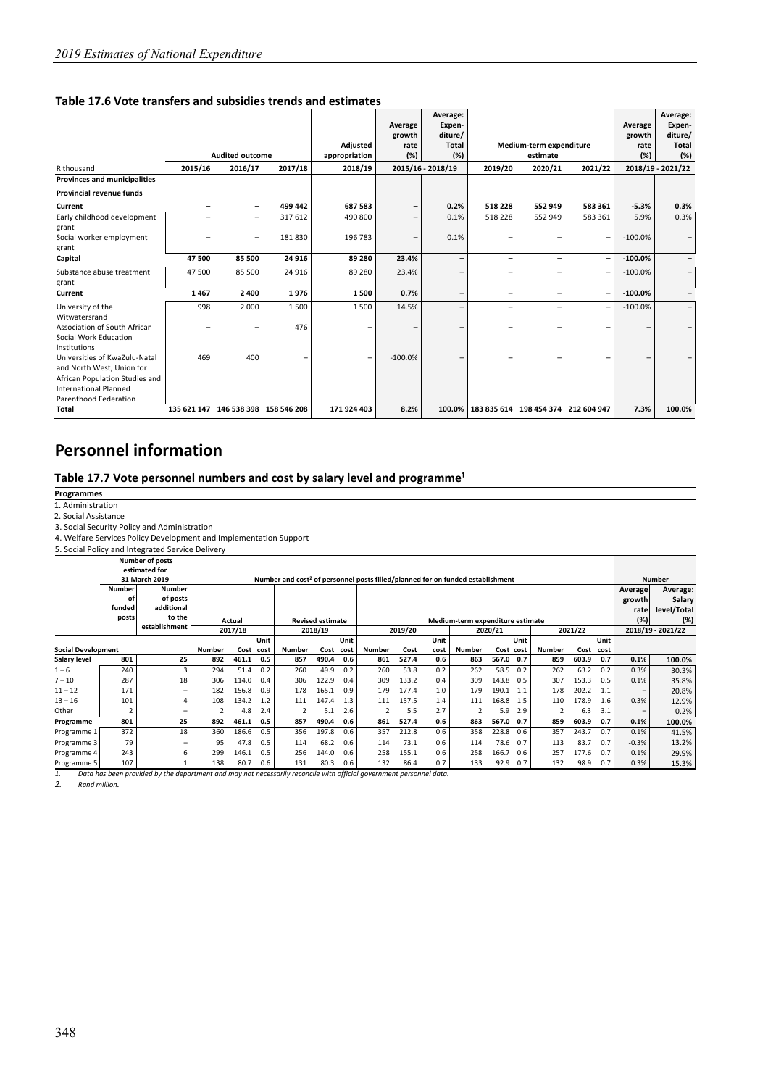#### **Table 17.6 Vote transfers and subsidies trends and estimates**

|                                                                                         |         |                                     |         |                | Average<br>growth | Average:<br>Expen-<br>diture/ |         |                                     |                          | Average<br>growth | Average:<br>Expen-<br>diture/ |
|-----------------------------------------------------------------------------------------|---------|-------------------------------------|---------|----------------|-------------------|-------------------------------|---------|-------------------------------------|--------------------------|-------------------|-------------------------------|
|                                                                                         |         |                                     |         | Adjusted       | rate              | <b>Total</b>                  |         | Medium-term expenditure             |                          | rate              | Total                         |
|                                                                                         |         | <b>Audited outcome</b>              |         | appropriation  | (%)               | (%)                           |         | estimate                            |                          | (%)               | (%)                           |
| R thousand                                                                              | 2015/16 | 2016/17                             | 2017/18 | 2018/19        |                   | 2015/16 - 2018/19             | 2019/20 | 2020/21                             | 2021/22                  |                   | 2018/19 - 2021/22             |
| <b>Provinces and municipalities</b>                                                     |         |                                     |         |                |                   |                               |         |                                     |                          |                   |                               |
| <b>Provincial revenue funds</b>                                                         |         |                                     |         |                |                   |                               |         |                                     |                          |                   |                               |
| Current                                                                                 |         | $\qquad \qquad \blacksquare$        | 499 442 | 687 583        | -                 | 0.2%                          | 518 228 | 552 949                             | 583 361                  | $-5.3%$           | 0.3%                          |
| Early childhood development<br>grant                                                    |         | $\overline{\phantom{0}}$            | 317 612 | 490 800        | -                 | 0.1%                          | 518 228 | 552 949                             | 583 361                  | 5.9%              | 0.3%                          |
| Social worker employment<br>grant                                                       |         |                                     | 181830  | 196 783        | -                 | 0.1%                          |         |                                     | $\overline{\phantom{0}}$ | $-100.0%$         |                               |
| Capital                                                                                 | 47 500  | 85 500                              | 24 9 16 | 89 280         | 23.4%             | $\qquad \qquad$               | -       |                                     | $\overline{\phantom{a}}$ | $-100.0%$         |                               |
| Substance abuse treatment<br>grant                                                      | 47500   | 85 500                              | 24 9 16 | 89 280         | 23.4%             | $\qquad \qquad -$             | -       |                                     | $\qquad \qquad -$        | $-100.0%$         |                               |
| Current                                                                                 | 1467    | 2 4 0 0                             | 1976    | 1500           | 0.7%              | -                             | -       | -                                   | $\overline{\phantom{a}}$ | $-100.0\%$        |                               |
| University of the<br>Witwatersrand                                                      | 998     | 2 0 0 0                             | 1500    | 1500           | 14.5%             | $\overline{\phantom{0}}$      | -       |                                     | $\qquad \qquad -$        | $-100.0%$         | -                             |
| Association of South African<br>Social Work Education<br>Institutions                   |         |                                     | 476     |                |                   |                               |         |                                     | -                        |                   |                               |
| Universities of KwaZulu-Natal<br>and North West, Union for                              | 469     | 400                                 |         | $\overline{a}$ | $-100.0%$         |                               |         |                                     |                          |                   |                               |
| African Population Studies and<br><b>International Planned</b><br>Parenthood Federation |         |                                     |         |                |                   |                               |         |                                     |                          |                   |                               |
| <b>Total</b>                                                                            |         | 135 621 147 146 538 398 158 546 208 |         | 171 924 403    | 8.2%              | 100.0%                        |         | 183 835 614 198 454 374 212 604 947 |                          | 7.3%              | 100.0%                        |

## **Personnel information**

#### Table 17.7 Vote personnel numbers and cost by salary level and programme<sup>1</sup>

**Programmes** 

1. Administration

2. Social Assistance

3. Social Security Policy and Administration

4. Welfare Services Policy Development and Implementation Support

5. Social Policy and Integrated Service Delivery

|                           |               | <b>Number of posts</b><br>estimated for |               |                                |      |                                                                                            |                         |                              |                               |       |               |                                  |       |               |           |       |                   |         |               |
|---------------------------|---------------|-----------------------------------------|---------------|--------------------------------|------|--------------------------------------------------------------------------------------------|-------------------------|------------------------------|-------------------------------|-------|---------------|----------------------------------|-------|---------------|-----------|-------|-------------------|---------|---------------|
|                           |               | 31 March 2019                           |               |                                |      | Number and cost <sup>2</sup> of personnel posts filled/planned for on funded establishment |                         |                              |                               |       |               |                                  |       |               |           |       |                   |         | <b>Number</b> |
|                           | <b>Number</b> | <b>Number</b>                           |               |                                |      |                                                                                            |                         |                              |                               |       |               |                                  |       |               |           |       |                   | Average | Average:      |
|                           | οf            | of posts                                |               |                                |      |                                                                                            |                         |                              |                               |       |               |                                  |       |               |           |       |                   | growth  | Salary        |
|                           | funded        | additional                              |               |                                |      |                                                                                            |                         |                              |                               |       |               |                                  |       |               |           |       |                   | rate    | level/Total   |
|                           | posts         | to the                                  |               | Actual                         |      |                                                                                            | <b>Revised estimate</b> |                              |                               |       |               | Medium-term expenditure estimate |       |               |           |       |                   | (%)     | (%)           |
|                           |               | establishment                           |               | 2017/18                        |      |                                                                                            | 2018/19                 |                              | 2019/20<br>2021/22<br>2020/21 |       |               |                                  |       |               |           |       | 2018/19 - 2021/22 |         |               |
|                           |               |                                         |               |                                | Unit |                                                                                            |                         | Unit<br>Unit<br>Unit<br>Unit |                               |       |               |                                  |       |               |           |       |                   |         |               |
| <b>Social Development</b> |               |                                         | <b>Number</b> | Cost<br>Cost<br>Number<br>cost |      |                                                                                            | cost                    | <b>Number</b>                | Cost                          | cost  | <b>Number</b> | Cost cost                        |       | <b>Number</b> | Cost cost |       |                   |         |               |
| Salary level              | 801           | 25                                      | 892           | 461.1                          | 0.5  | 857                                                                                        | 490.4                   | 0.6                          | 861                           | 527.4 | 0.6           | 863                              | 567.0 | 0.7           | 859       | 603.9 | 0.7               | 0.1%    | 100.0%        |
| $1 - 6$                   | 240           | 3                                       | 294           | 51.4                           | 0.2  | 260                                                                                        | 49.9                    | 0.2                          | 260                           | 53.8  | 0.2           | 262                              | 58.5  | 0.2           | 262       | 63.2  | 0.2               | 0.3%    | 30.3%         |
| $7 - 10$                  | 287           | 18                                      | 306           | 114.0                          | 0.4  | 306                                                                                        | 122.9                   | 0.4                          | 309                           | 133.2 | 0.4           | 309                              | 143.8 | 0.5           | 307       | 153.3 | 0.5               | 0.1%    | 35.8%         |
| $11 - 12$                 | 171           |                                         | 182           | 156.8                          | 0.9  | 178                                                                                        | 165.1                   | 0.9                          | 179                           | 177.4 | 1.0           | 179                              | 190.1 | 1.1           | 178       | 202.2 | 1.1               |         | 20.8%         |
| $13 - 16$                 | 101           |                                         | 108           | 134.2                          | 1.2  | 111                                                                                        | 147.4                   | 1.3                          | 111                           | 157.5 | 1.4           | 111                              | 168.8 | 1.5           | 110       | 178.9 | 1.6               | $-0.3%$ | 12.9%         |
| Other                     |               | -                                       |               | 4.8                            | 2.4  | $\overline{2}$                                                                             | 5.1                     | 2.6                          | 2                             | 5.5   | 2.7           |                                  | 5.9   | 2.9           |           | 6.3   | 3.1               |         | 0.2%          |
| Programme                 | 801           | 25                                      | 892           | 461.1                          | 0.5  | 857                                                                                        | 490.4                   | 0.6                          | 861                           | 527.4 | 0.6           | 863                              | 567.0 | 0.7           | 859       | 603.9 | 0.7               | 0.1%    | 100.0%        |
| Programme 1               | 372           | 18                                      | 360           | 186.6                          | 0.5  | 356                                                                                        | 197.8                   | 0.6                          | 357                           | 212.8 | 0.6           | 358                              | 228.8 | 0.6           | 357       | 243.7 | 0.7               | 0.1%    | 41.5%         |
| Programme 3               | 79            |                                         | 95            | 47.8                           | 0.5  | 114                                                                                        | 68.2                    | 0.6                          | 114                           | 73.1  | 0.6           | 114                              | 78.6  | 0.7           | 113       | 83.7  | 0.7               | $-0.3%$ | 13.2%         |
| Programme 4               | 243           |                                         | 299           | 146.1                          | 0.5  | 256                                                                                        | 144.0                   | 0.6                          | 258                           | 155.1 | 0.6           | 258                              | 166.7 | 0.6           | 257       | 177.6 | 0.7               | 0.1%    | 29.9%         |
| Programme 5               | 107           |                                         | 138           | 80.7                           | 0.6  | 131                                                                                        | 80.3                    | 0.6                          | 132                           | 86.4  | 0.7           | 133                              | 92.9  | 0.7           | 132       | 98.9  | 0.7               | 0.3%    | 15.3%         |

*1. Data has been provided by the department and may not necessarily reconcile with official government personnel data.* 

*2. Rand million.*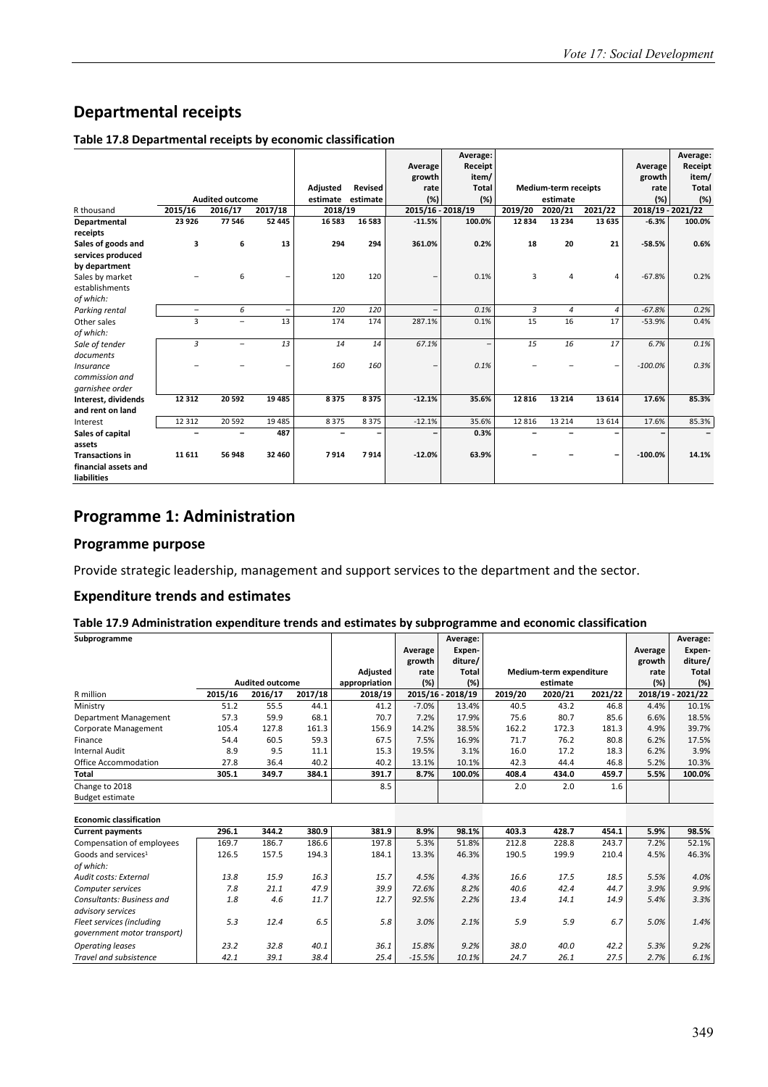## **Departmental receipts**

#### **Table 17.8 Departmental receipts by economic classification**

|                        |                    |                          |                          |                     |                |                               | Average:                 |         |                             |                    |                              | Average:     |
|------------------------|--------------------|--------------------------|--------------------------|---------------------|----------------|-------------------------------|--------------------------|---------|-----------------------------|--------------------|------------------------------|--------------|
|                        |                    |                          |                          |                     |                | Average                       | Receipt                  |         |                             |                    | Average                      | Receipt      |
|                        |                    |                          |                          |                     |                | growth                        | item/                    |         |                             |                    | growth                       | item/        |
|                        |                    | <b>Audited outcome</b>   |                          | Adjusted            | <b>Revised</b> | rate                          | <b>Total</b>             |         | <b>Medium-term receipts</b> |                    | rate                         | <b>Total</b> |
|                        |                    |                          | 2017/18                  | estimate<br>2018/19 | estimate       | (%)                           | (%)                      | 2019/20 | estimate                    |                    | (%)                          | (%)          |
| R thousand             | 2015/16<br>23 9 26 | 2016/17<br>77 546        | 52 445                   | 16 583              | 16 5 8 3       | 2015/16 - 2018/19<br>$-11.5%$ | 100.0%                   | 12834   | 2020/21<br>13 2 34          | 2021/22<br>13 6 35 | 2018/19 - 2021/22<br>$-6.3%$ | 100.0%       |
| Departmental           |                    |                          |                          |                     |                |                               |                          |         |                             |                    |                              |              |
| receipts               |                    |                          | 13                       |                     |                |                               |                          |         |                             |                    |                              |              |
| Sales of goods and     | 3                  | 6                        |                          | 294                 | 294            | 361.0%                        | 0.2%                     | 18      | 20                          | 21                 | $-58.5%$                     | 0.6%         |
| services produced      |                    |                          |                          |                     |                |                               |                          |         |                             |                    |                              |              |
| by department          |                    |                          |                          |                     |                |                               |                          |         |                             |                    |                              |              |
| Sales by market        |                    | 6                        | $\overline{\phantom{0}}$ | 120                 | 120            |                               | 0.1%                     | 3       | $\overline{4}$              | 4                  | $-67.8%$                     | 0.2%         |
| establishments         |                    |                          |                          |                     |                |                               |                          |         |                             |                    |                              |              |
| of which:              |                    |                          |                          |                     |                |                               |                          |         |                             |                    |                              |              |
| Parking rental         | $\qquad \qquad -$  | 6                        | $\overline{\phantom{a}}$ | 120                 | 120            |                               | 0.1%                     | 3       | $\overline{4}$              | $\overline{4}$     | $-67.8%$                     | 0.2%         |
| Other sales            | 3                  | $\overline{\phantom{0}}$ | 13                       | 174                 | 174            | 287.1%                        | 0.1%                     | 15      | 16                          | 17                 | $-53.9%$                     | 0.4%         |
| of which:              |                    |                          |                          |                     |                |                               |                          |         |                             |                    |                              |              |
| Sale of tender         | 3                  | $\overline{\phantom{0}}$ | 13                       | 14                  | 14             | 67.1%                         | $\overline{\phantom{0}}$ | 15      | 16                          | 17                 | 6.7%                         | 0.1%         |
| documents              |                    |                          |                          |                     |                |                               |                          |         |                             |                    |                              |              |
| Insurance              |                    |                          | $\overline{\phantom{0}}$ | 160                 | 160            | -                             | 0.1%                     |         |                             | $\qquad \qquad -$  | $-100.0%$                    | 0.3%         |
| commission and         |                    |                          |                          |                     |                |                               |                          |         |                             |                    |                              |              |
| garnishee order        |                    |                          |                          |                     |                |                               |                          |         |                             |                    |                              |              |
| Interest, dividends    | 12 3 12            | 20 592                   | 19 4 85                  | 8375                | 8375           | $-12.1%$                      | 35.6%                    | 12816   | 13 2 14                     | 13 6 14            | 17.6%                        | 85.3%        |
| and rent on land       |                    |                          |                          |                     |                |                               |                          |         |                             |                    |                              |              |
| Interest               | 12 3 12            | 20 5 92                  | 19 4 8 5                 | 8375                | 8375           | $-12.1%$                      | 35.6%                    | 12 8 16 | 13 2 14                     | 13 6 14            | 17.6%                        | 85.3%        |
| Sales of capital       | -                  |                          | 487                      |                     |                | -                             | 0.3%                     |         |                             |                    |                              |              |
| assets                 |                    |                          |                          |                     |                |                               |                          |         |                             |                    |                              |              |
| <b>Transactions in</b> | 11611              | 56 948                   | 32 460                   | 7914                | 7914           | $-12.0%$                      | 63.9%                    |         |                             | -                  | $-100.0%$                    | 14.1%        |
| financial assets and   |                    |                          |                          |                     |                |                               |                          |         |                             |                    |                              |              |
| <b>liabilities</b>     |                    |                          |                          |                     |                |                               |                          |         |                             |                    |                              |              |

## **Programme 1: Administration**

#### **Programme purpose**

Provide strategic leadership, management and support services to the department and the sector.

#### **Expenditure trends and estimates**

#### **Table 17.9 Administration expenditure trends and estimates by subprogramme and economic classification**

| Subprogramme                    |         |                        |         |               |          | Average:          |         |                         |         |         | Average:          |
|---------------------------------|---------|------------------------|---------|---------------|----------|-------------------|---------|-------------------------|---------|---------|-------------------|
|                                 |         |                        |         |               | Average  | Expen-            |         |                         |         | Average | Expen-            |
|                                 |         |                        |         |               | growth   | diture/           |         |                         |         | growth  | diture/           |
|                                 |         |                        |         | Adjusted      | rate     | Total             |         | Medium-term expenditure |         | rate    | Total             |
|                                 |         | <b>Audited outcome</b> |         | appropriation | (%)      | (%)               |         | estimate                |         | (%)     | (%)               |
| R million                       | 2015/16 | 2016/17                | 2017/18 | 2018/19       |          | 2015/16 - 2018/19 | 2019/20 | 2020/21                 | 2021/22 |         | 2018/19 - 2021/22 |
| Ministry                        | 51.2    | 55.5                   | 44.1    | 41.2          | $-7.0%$  | 13.4%             | 40.5    | 43.2                    | 46.8    | 4.4%    | 10.1%             |
| Department Management           | 57.3    | 59.9                   | 68.1    | 70.7          | 7.2%     | 17.9%             | 75.6    | 80.7                    | 85.6    | 6.6%    | 18.5%             |
| <b>Corporate Management</b>     | 105.4   | 127.8                  | 161.3   | 156.9         | 14.2%    | 38.5%             | 162.2   | 172.3                   | 181.3   | 4.9%    | 39.7%             |
| Finance                         | 54.4    | 60.5                   | 59.3    | 67.5          | 7.5%     | 16.9%             | 71.7    | 76.2                    | 80.8    | 6.2%    | 17.5%             |
| <b>Internal Audit</b>           | 8.9     | 9.5                    | 11.1    | 15.3          | 19.5%    | 3.1%              | 16.0    | 17.2                    | 18.3    | 6.2%    | 3.9%              |
| <b>Office Accommodation</b>     | 27.8    | 36.4                   | 40.2    | 40.2          | 13.1%    | 10.1%             | 42.3    | 44.4                    | 46.8    | 5.2%    | 10.3%             |
| <b>Total</b>                    | 305.1   | 349.7                  | 384.1   | 391.7         | 8.7%     | 100.0%            | 408.4   | 434.0                   | 459.7   | 5.5%    | 100.0%            |
| Change to 2018                  |         |                        |         | 8.5           |          |                   | 2.0     | 2.0                     | 1.6     |         |                   |
| <b>Budget estimate</b>          |         |                        |         |               |          |                   |         |                         |         |         |                   |
|                                 |         |                        |         |               |          |                   |         |                         |         |         |                   |
| <b>Economic classification</b>  |         |                        |         |               |          |                   |         |                         |         |         |                   |
| <b>Current payments</b>         | 296.1   | 344.2                  | 380.9   | 381.9         | 8.9%     | 98.1%             | 403.3   | 428.7                   | 454.1   | 5.9%    | 98.5%             |
| Compensation of employees       | 169.7   | 186.7                  | 186.6   | 197.8         | 5.3%     | 51.8%             | 212.8   | 228.8                   | 243.7   | 7.2%    | 52.1%             |
| Goods and services <sup>1</sup> | 126.5   | 157.5                  | 194.3   | 184.1         | 13.3%    | 46.3%             | 190.5   | 199.9                   | 210.4   | 4.5%    | 46.3%             |
| of which:                       |         |                        |         |               |          |                   |         |                         |         |         |                   |
| Audit costs: External           | 13.8    | 15.9                   | 16.3    | 15.7          | 4.5%     | 4.3%              | 16.6    | 17.5                    | 18.5    | 5.5%    | 4.0%              |
| Computer services               | 7.8     | 21.1                   | 47.9    | 39.9          | 72.6%    | 8.2%              | 40.6    | 42.4                    | 44.7    | 3.9%    | 9.9%              |
| Consultants: Business and       | 1.8     | 4.6                    | 11.7    | 12.7          | 92.5%    | 2.2%              | 13.4    | 14.1                    | 14.9    | 5.4%    | 3.3%              |
| advisory services               |         |                        |         |               |          |                   |         |                         |         |         |                   |
| Fleet services (including       | 5.3     | 12.4                   | 6.5     | 5.8           | 3.0%     | 2.1%              | 5.9     | 5.9                     | 6.7     | 5.0%    | 1.4%              |
| qovernment motor transport)     |         |                        |         |               |          |                   |         |                         |         |         |                   |
| <b>Operating leases</b>         | 23.2    | 32.8                   | 40.1    | 36.1          | 15.8%    | 9.2%              | 38.0    | 40.0                    | 42.2    | 5.3%    | 9.2%              |
| Travel and subsistence          | 42.1    | 39.1                   | 38.4    | 25.4          | $-15.5%$ | 10.1%             | 24.7    | 26.1                    | 27.5    | 2.7%    | 6.1%              |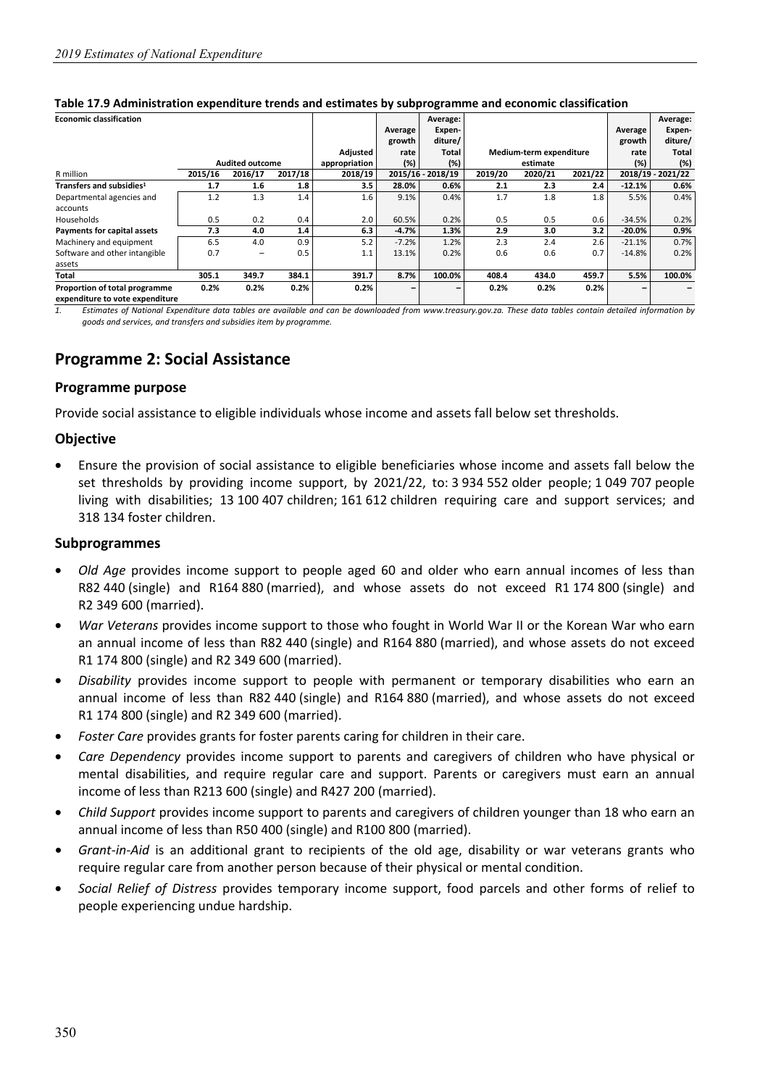| <b>Economic classification</b>       |         |                        |         |               |         | Average:          |         |                         |         |           | Average:          |
|--------------------------------------|---------|------------------------|---------|---------------|---------|-------------------|---------|-------------------------|---------|-----------|-------------------|
|                                      |         |                        |         |               | Average | Expen-            |         |                         |         | Average   | Expen-            |
|                                      |         |                        |         |               | growth  | diture/           |         |                         |         | growth    | diture/           |
|                                      |         |                        |         | Adjusted      | rate    | Total             |         | Medium-term expenditure |         | rate      | Total             |
|                                      |         | <b>Audited outcome</b> |         | appropriation | (%)     | (%)               |         | estimate                |         | (%)       | (%)               |
| R million                            | 2015/16 | 2016/17                | 2017/18 | 2018/19       |         | 2015/16 - 2018/19 | 2019/20 | 2020/21                 | 2021/22 |           | 2018/19 - 2021/22 |
| Transfers and subsidies <sup>1</sup> | 1.7     | 1.6                    | 1.8     | 3.5           | 28.0%   | 0.6%              | 2.1     | 2.3                     | 2.4     | $-12.1%$  | 0.6%              |
| Departmental agencies and            | 1.2     | 1.3                    | 1.4     | 1.6           | 9.1%    | 0.4%              | 1.7     | 1.8                     | 1.8     | 5.5%      | 0.4%              |
| accounts                             |         |                        |         |               |         |                   |         |                         |         |           |                   |
| Households                           | 0.5     | 0.2                    | 0.4     | 2.0           | 60.5%   | 0.2%              | 0.5     | 0.5                     | 0.6     | $-34.5%$  | 0.2%              |
| Payments for capital assets          | 7.3     | 4.0                    | 1.4     | 6.3           | $-4.7%$ | 1.3%              | 2.9     | 3.0                     | 3.2     | $-20.0\%$ | 0.9%              |
| Machinery and equipment              | 6.5     | 4.0                    | 0.9     | 5.2           | $-7.2%$ | 1.2%              | 2.3     | 2.4                     | 2.6     | $-21.1%$  | 0.7%              |
| Software and other intangible        | 0.7     | -                      | 0.5     | 1.1           | 13.1%   | 0.2%              | 0.6     | 0.6                     | 0.7     | $-14.8%$  | 0.2%              |
| assets                               |         |                        |         |               |         |                   |         |                         |         |           |                   |
| Total                                | 305.1   | 349.7                  | 384.1   | 391.7         | 8.7%    | 100.0%            | 408.4   | 434.0                   | 459.7   | 5.5%      | 100.0%            |
| Proportion of total programme        | 0.2%    | 0.2%                   | 0.2%    | 0.2%          |         |                   | 0.2%    | 0.2%                    | 0.2%    |           |                   |
| exnenditure to vote exnenditure      |         |                        |         |               |         |                   |         |                         |         |           |                   |

#### **Table 17.9 Administration expenditure trends and estimates by subprogramme and economic classification**

**expenditure to vote expenditure** 

*1. Estimates of National Expenditure data tables are available and can be downloaded from www.treasury.gov.za. These data tables contain detailed information by goods and services, and transfers and subsidies item by programme.* 

## **Programme 2: Social Assistance**

#### **Programme purpose**

Provide social assistance to eligible individuals whose income and assets fall below set thresholds.

#### **Objective**

• Ensure the provision of social assistance to eligible beneficiaries whose income and assets fall below the set thresholds by providing income support, by 2021/22, to: 3 934 552 older people; 1 049 707 people living with disabilities; 13 100 407 children; 161 612 children requiring care and support services; and 318 134 foster children.

#### **Subprogrammes**

- *Old Age* provides income support to people aged 60 and older who earn annual incomes of less than R82 440 (single) and R164 880 (married), and whose assets do not exceed R1 174 800 (single) and R2 349 600 (married).
- *War Veterans* provides income support to those who fought in World War II or the Korean War who earn an annual income of less than R82 440 (single) and R164 880 (married), and whose assets do not exceed R1 174 800 (single) and R2 349 600 (married).
- *Disability* provides income support to people with permanent or temporary disabilities who earn an annual income of less than R82 440 (single) and R164 880 (married), and whose assets do not exceed R1 174 800 (single) and R2 349 600 (married).
- *Foster Care* provides grants for foster parents caring for children in their care.
- *Care Dependency* provides income support to parents and caregivers of children who have physical or mental disabilities, and require regular care and support. Parents or caregivers must earn an annual income of less than R213 600 (single) and R427 200 (married).
- *Child Support* provides income support to parents and caregivers of children younger than 18 who earn an annual income of less than R50 400 (single) and R100 800 (married).
- *Grant-in-Aid* is an additional grant to recipients of the old age, disability or war veterans grants who require regular care from another person because of their physical or mental condition.
- *Social Relief of Distress* provides temporary income support, food parcels and other forms of relief to people experiencing undue hardship.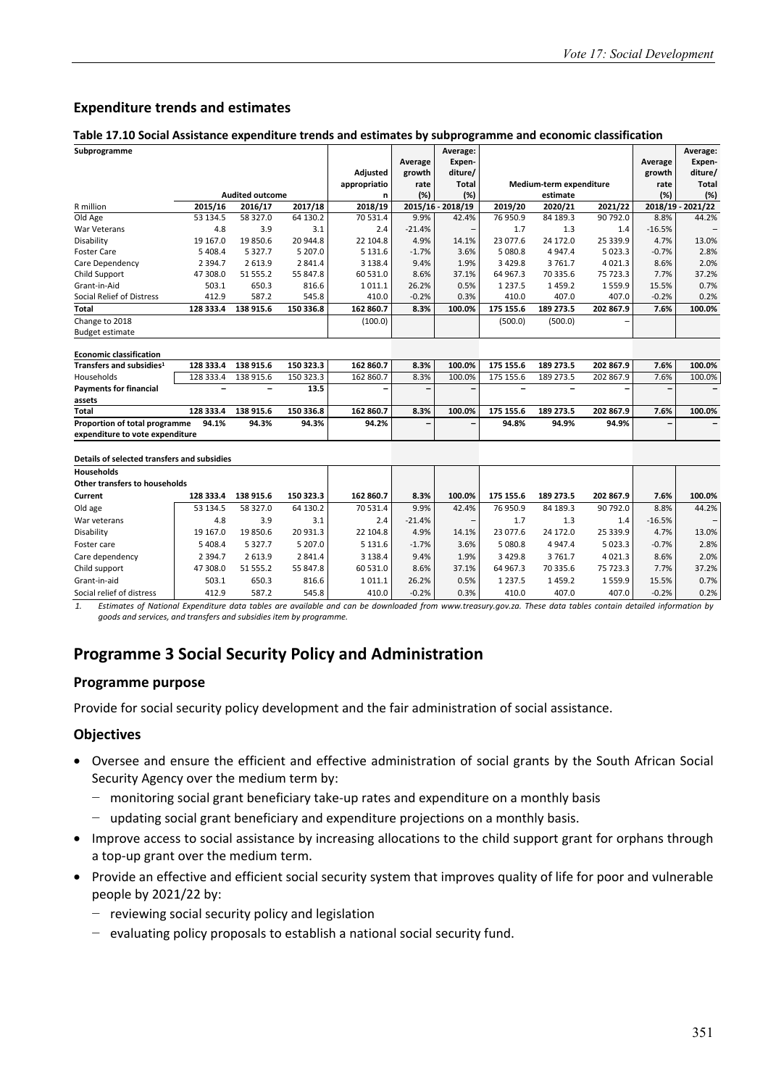### **Expenditure trends and estimates**

#### **Table 17.10 Social Assistance expenditure trends and estimates by subprogramme and economic classification**

| Subprogramme                                |           |                        |           |              |          | Average:          |             |                         |             |          | Average:          |
|---------------------------------------------|-----------|------------------------|-----------|--------------|----------|-------------------|-------------|-------------------------|-------------|----------|-------------------|
|                                             |           |                        |           |              | Average  | Expen-            |             |                         |             | Average  | Expen-            |
|                                             |           |                        |           | Adjusted     | growth   | diture/           |             |                         |             | growth   | diture/           |
|                                             |           |                        |           | appropriatio | rate     | <b>Total</b>      |             | Medium-term expenditure |             | rate     | <b>Total</b>      |
|                                             |           | <b>Audited outcome</b> |           | n            | (%)      | (%)               |             | estimate                |             | (%)      | (%)               |
| R million                                   | 2015/16   | 2016/17                | 2017/18   | 2018/19      |          | 2015/16 - 2018/19 | 2019/20     | 2020/21                 | 2021/22     |          | 2018/19 - 2021/22 |
| Old Age                                     | 53 134.5  | 58 327.0               | 64 130.2  | 70 531.4     | 9.9%     | 42.4%             | 76 950.9    | 84 189.3                | 90 792.0    | 8.8%     | 44.2%             |
| War Veterans                                | 4.8       | 3.9                    | 3.1       | 2.4          | $-21.4%$ | $\qquad \qquad -$ | 1.7         | 1.3                     | 1.4         | $-16.5%$ |                   |
| Disability                                  | 19 167.0  | 19850.6                | 20 944.8  | 22 104.8     | 4.9%     | 14.1%             | 23 077.6    | 24 172.0                | 25 339.9    | 4.7%     | 13.0%             |
| <b>Foster Care</b>                          | 5 4 0 8.4 | 5 3 2 7 . 7            | 5 207.0   | 5 1 3 1 .6   | $-1.7%$  | 3.6%              | 5 080.8     | 4 9 4 7 . 4             | 5 0 2 3 . 3 | $-0.7%$  | 2.8%              |
| Care Dependency                             | 2 3 9 4.7 | 2613.9                 | 2841.4    | 3 1 3 8 . 4  | 9.4%     | 1.9%              | 3 4 2 9.8   | 3761.7                  | 4 0 2 1 . 3 | 8.6%     | 2.0%              |
| Child Support                               | 47 308.0  | 51 555.2               | 55 847.8  | 60 531.0     | 8.6%     | 37.1%             | 64 967.3    | 70 335.6                | 75 723.3    | 7.7%     | 37.2%             |
| Grant-in-Aid                                | 503.1     | 650.3                  | 816.6     | 1011.1       | 26.2%    | 0.5%              | 1 2 3 7 . 5 | 1459.2                  | 1559.9      | 15.5%    | 0.7%              |
| Social Relief of Distress                   | 412.9     | 587.2                  | 545.8     | 410.0        | $-0.2%$  | 0.3%              | 410.0       | 407.0                   | 407.0       | $-0.2%$  | 0.2%              |
| Total                                       | 128 333.4 | 138 915.6              | 150 336.8 | 162 860.7    | 8.3%     | 100.0%            | 175 155.6   | 189 273.5               | 202 867.9   | 7.6%     | 100.0%            |
| Change to 2018                              |           |                        |           | (100.0)      |          |                   | (500.0)     | (500.0)                 |             |          |                   |
| <b>Budget estimate</b>                      |           |                        |           |              |          |                   |             |                         |             |          |                   |
|                                             |           |                        |           |              |          |                   |             |                         |             |          |                   |
| <b>Economic classification</b>              |           |                        |           |              |          |                   |             |                         |             |          |                   |
| Transfers and subsidies <sup>1</sup>        | 128 333.4 | 138 915.6              | 150 323.3 | 162 860.7    | 8.3%     | 100.0%            | 175 155.6   | 189 273.5               | 202 867.9   | 7.6%     | 100.0%            |
| Households                                  | 128 333.4 | 138 915.6              | 150 323.3 | 162 860.7    | 8.3%     | 100.0%            | 175 155.6   | 189 273.5               | 202 867.9   | 7.6%     | 100.0%            |
| <b>Payments for financial</b>               |           |                        | 13.5      |              |          |                   |             |                         |             |          |                   |
| assets                                      |           |                        |           |              |          |                   |             |                         |             |          |                   |
| Total                                       | 128 333.4 | 138 915.6              | 150 336.8 | 162 860.7    | 8.3%     | 100.0%            | 175 155.6   | 189 273.5               | 202 867.9   | 7.6%     | 100.0%            |
| Proportion of total programme               | 94.1%     | 94.3%                  | 94.3%     | 94.2%        |          |                   | 94.8%       | 94.9%                   | 94.9%       |          |                   |
| expenditure to vote expenditure             |           |                        |           |              |          |                   |             |                         |             |          |                   |
|                                             |           |                        |           |              |          |                   |             |                         |             |          |                   |
| Details of selected transfers and subsidies |           |                        |           |              |          |                   |             |                         |             |          |                   |
| <b>Households</b>                           |           |                        |           |              |          |                   |             |                         |             |          |                   |
| <b>Other transfers to households</b>        |           |                        |           |              |          |                   |             |                         |             |          |                   |
| Current                                     | 128 333.4 | 138 915.6              | 150 323.3 | 162 860.7    | 8.3%     | 100.0%            | 175 155.6   | 189 273.5               | 202 867.9   | 7.6%     | 100.0%            |
| Old age                                     | 53 134.5  | 58 327.0               | 64 130.2  | 70 531.4     | 9.9%     | 42.4%             | 76 950.9    | 84 189.3                | 90 792.0    | 8.8%     | 44.2%             |
| War veterans                                | 4.8       | 3.9                    | 3.1       | 2.4          | $-21.4%$ | -                 | 1.7         | 1.3                     | 1.4         | $-16.5%$ |                   |
| Disability                                  | 19 167.0  | 19850.6                | 20 931.3  | 22 104.8     | 4.9%     | 14.1%             | 23 077.6    | 24 172.0                | 25 339.9    | 4.7%     | 13.0%             |
| Foster care                                 | 5 408.4   | 5 3 2 7 . 7            | 5 207.0   | 5 1 3 1 . 6  | $-1.7%$  | 3.6%              | 5 080.8     | 4 9 4 7.4               | 5 0 2 3 . 3 | $-0.7%$  | 2.8%              |
| Care dependency                             | 2 3 9 4.7 | 2613.9                 | 2841.4    | 3 1 3 8 . 4  | 9.4%     | 1.9%              | 3 4 2 9.8   | 3761.7                  | 4 0 2 1 . 3 | 8.6%     | 2.0%              |
| Child support                               | 47 308.0  | 51 555.2               | 55 847.8  | 60 531.0     | 8.6%     | 37.1%             | 64 967.3    | 70 335.6                | 75 723.3    | 7.7%     | 37.2%             |
| Grant-in-aid                                | 503.1     | 650.3                  | 816.6     | 1011.1       | 26.2%    | 0.5%              | 1 2 3 7 . 5 | 1459.2                  | 1559.9      | 15.5%    | 0.7%              |
| Social relief of distress                   | 412.9     | 587.2                  | 545.8     | 410.0        | $-0.2%$  | 0.3%              | 410.0       | 407.0                   | 407.0       | $-0.2%$  | 0.2%              |

*1. Estimates of National Expenditure data tables are available and can be downloaded from www.treasury.gov.za. These data tables contain detailed information by goods and services, and transfers and subsidies item by programme.* 

## **Programme 3 Social Security Policy and Administration**

#### **Programme purpose**

Provide for social security policy development and the fair administration of social assistance.

#### **Objectives**

- Oversee and ensure the efficient and effective administration of social grants by the South African Social Security Agency over the medium term by:
	- − monitoring social grant beneficiary take-up rates and expenditure on a monthly basis
	- − updating social grant beneficiary and expenditure projections on a monthly basis.
- Improve access to social assistance by increasing allocations to the child support grant for orphans through a top-up grant over the medium term.
- Provide an effective and efficient social security system that improves quality of life for poor and vulnerable people by 2021/22 by:
	- − reviewing social security policy and legislation
	- − evaluating policy proposals to establish a national social security fund.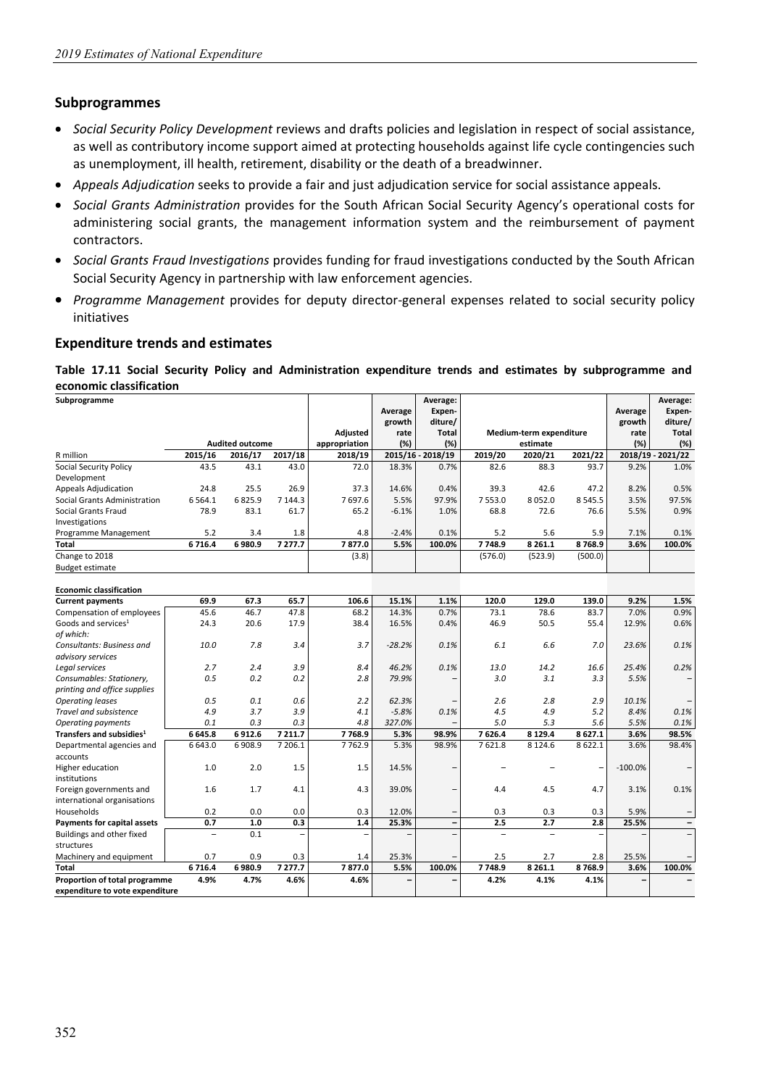#### **Subprogrammes**

- *Social Security Policy Development* reviews and drafts policies and legislation in respect of social assistance, as well as contributory income support aimed at protecting households against life cycle contingencies such as unemployment, ill health, retirement, disability or the death of a breadwinner.
- *Appeals Adjudication* seeks to provide a fair and just adjudication service for social assistance appeals.
- *Social Grants Administration* provides for the South African Social Security Agency's operational costs for administering social grants, the management information system and the reimbursement of payment contractors.
- *Social Grants Fraud Investigations* provides funding for fraud investigations conducted by the South African Social Security Agency in partnership with law enforcement agencies.
- *Programme Management* provides for deputy director-general expenses related to social security policy initiatives

#### **Expenditure trends and estimates**

**Table 17.11 Social Security Policy and Administration expenditure trends and estimates by subprogramme and economic classification** 

| Subprogramme                                           |                          |                        |         |                 |          | Average:                 |         |                         |         |           | Average:                 |
|--------------------------------------------------------|--------------------------|------------------------|---------|-----------------|----------|--------------------------|---------|-------------------------|---------|-----------|--------------------------|
|                                                        |                          |                        |         |                 | Average  | Expen-                   |         |                         |         | Average   | Expen-                   |
|                                                        |                          |                        |         |                 | growth   | diture/                  |         |                         |         | growth    | diture/                  |
|                                                        |                          |                        |         | <b>Adjusted</b> | rate     | <b>Total</b>             |         | Medium-term expenditure |         | rate      | Total                    |
|                                                        |                          | <b>Audited outcome</b> |         | appropriation   | (%)      | (%)                      |         | estimate                |         | (%)       | (%)                      |
| R million                                              | 2015/16                  | 2016/17                | 2017/18 | 2018/19         |          | 2015/16 - 2018/19        | 2019/20 | 2020/21                 | 2021/22 |           | 2018/19 - 2021/22        |
| <b>Social Security Policy</b>                          | 43.5                     | 43.1                   | 43.0    | 72.0            | 18.3%    | 0.7%                     | 82.6    | 88.3                    | 93.7    | 9.2%      | 1.0%                     |
| Development                                            |                          |                        |         |                 |          |                          |         |                         |         |           |                          |
| <b>Appeals Adjudication</b>                            | 24.8                     | 25.5                   | 26.9    | 37.3            | 14.6%    | 0.4%                     | 39.3    | 42.6                    | 47.2    | 8.2%      | 0.5%                     |
| Social Grants Administration                           | 6 5 6 4 . 1              | 6825.9                 | 7 144.3 | 7697.6          | 5.5%     | 97.9%                    | 7553.0  | 8052.0                  | 8545.5  | 3.5%      | 97.5%                    |
| Social Grants Fraud<br>Investigations                  | 78.9                     | 83.1                   | 61.7    | 65.2            | $-6.1%$  | 1.0%                     | 68.8    | 72.6                    | 76.6    | 5.5%      | 0.9%                     |
| Programme Management                                   | 5.2                      | 3.4                    | 1.8     | 4.8             | $-2.4%$  | 0.1%                     | 5.2     | 5.6                     | 5.9     | 7.1%      | 0.1%                     |
| Total                                                  | 6716.4                   | 6980.9                 | 7277.7  | 7877.0          | 5.5%     | 100.0%                   | 7748.9  | 8 2 6 1.1               | 8768.9  | 3.6%      | 100.0%                   |
| Change to 2018                                         |                          |                        |         | (3.8)           |          |                          | (576.0) | (523.9)                 | (500.0) |           |                          |
| <b>Budget estimate</b>                                 |                          |                        |         |                 |          |                          |         |                         |         |           |                          |
| <b>Economic classification</b>                         |                          |                        |         |                 |          |                          |         |                         |         |           |                          |
| <b>Current payments</b>                                | 69.9                     | 67.3                   | 65.7    | 106.6           | 15.1%    | 1.1%                     | 120.0   | 129.0                   | 139.0   | 9.2%      | 1.5%                     |
| Compensation of employees                              | 45.6                     | 46.7                   | 47.8    | 68.2            | 14.3%    | 0.7%                     | 73.1    | 78.6                    | 83.7    | 7.0%      | 0.9%                     |
| Goods and services <sup>1</sup>                        | 24.3                     | 20.6                   | 17.9    | 38.4            | 16.5%    | 0.4%                     | 46.9    | 50.5                    | 55.4    | 12.9%     | 0.6%                     |
| of which:                                              |                          |                        |         |                 |          |                          |         |                         |         |           |                          |
| Consultants: Business and                              | 10.0                     | 7.8                    | 3.4     | 3.7             | $-28.2%$ | 0.1%                     | 6.1     | 6.6                     | 7.0     | 23.6%     | 0.1%                     |
| advisory services                                      |                          |                        |         |                 |          |                          |         |                         |         |           |                          |
| Legal services                                         | 2.7                      | 2.4                    | 3.9     | 8.4             | 46.2%    | 0.1%                     | 13.0    | 14.2                    | 16.6    | 25.4%     | 0.2%                     |
| Consumables: Stationery,                               | 0.5                      | 0.2                    | 0.2     | 2.8             | 79.9%    |                          | 3.0     | 3.1                     | 3.3     | 5.5%      |                          |
| printing and office supplies                           |                          |                        |         |                 |          |                          |         |                         |         |           |                          |
| <b>Operating leases</b>                                | 0.5                      | 0.1                    | 0.6     | 2.2             | 62.3%    |                          | 2.6     | 2.8                     | 2.9     | 10.1%     |                          |
| Travel and subsistence                                 | 4.9                      | 3.7                    | 3.9     | 4.1             | $-5.8%$  | 0.1%                     | 4.5     | 4.9                     | 5.2     | 8.4%      | 0.1%                     |
| Operating payments                                     | 0.1                      | 0.3                    | 0.3     | 4.8             | 327.0%   |                          | 5.0     | 5.3                     | 5.6     | 5.5%      | 0.1%                     |
| Transfers and subsidies <sup>1</sup>                   | 6645.8                   | 6912.6                 | 7 211.7 | 7768.9          | 5.3%     | 98.9%                    | 7626.4  | 8 1 2 9 . 4             | 8627.1  | 3.6%      | 98.5%                    |
| Departmental agencies and<br>accounts                  | 6 643.0                  | 6 9 0 8.9              | 7 206.1 | 7762.9          | 5.3%     | 98.9%                    | 7621.8  | 8 1 2 4 . 6             | 8622.1  | 3.6%      | 98.4%                    |
| Higher education<br>institutions                       | 1.0                      | 2.0                    | 1.5     | 1.5             | 14.5%    | ۰                        |         |                         |         | $-100.0%$ | $\equiv$                 |
| Foreign governments and<br>international organisations | 1.6                      | 1.7                    | 4.1     | 4.3             | 39.0%    | $\overline{\phantom{0}}$ | 4.4     | 4.5                     | 4.7     | 3.1%      | 0.1%                     |
| Households                                             | 0.2                      | 0.0                    | 0.0     | 0.3             | 12.0%    | -                        | 0.3     | 0.3                     | 0.3     | 5.9%      |                          |
| Payments for capital assets                            | 0.7                      | $1.0$                  | 0.3     | 1.4             | 25.3%    | $\overline{\phantom{0}}$ | 2.5     | 2.7                     | 2.8     | 25.5%     | $\qquad \qquad$          |
| Buildings and other fixed                              | $\overline{\phantom{0}}$ | 0.1                    |         |                 |          | $\overline{\phantom{a}}$ |         | $\overline{a}$          |         |           | $\overline{\phantom{0}}$ |
| structures                                             |                          |                        |         |                 |          |                          |         |                         |         |           |                          |
| Machinery and equipment                                | 0.7                      | 0.9                    | 0.3     | 1.4             | 25.3%    |                          | 2.5     | 2.7                     | 2.8     | 25.5%     |                          |
| Total                                                  | 6716.4                   | 6980.9                 | 7 277.7 | 7877.0          | 5.5%     | 100.0%                   | 7748.9  | 8 2 6 1.1               | 8768.9  | 3.6%      | 100.0%                   |
| Proportion of total programme                          | 4.9%                     | 4.7%                   | 4.6%    | 4.6%            |          |                          | 4.2%    | 4.1%                    | 4.1%    |           |                          |
| expenditure to vote expenditure                        |                          |                        |         |                 |          |                          |         |                         |         |           |                          |
|                                                        |                          |                        |         |                 |          |                          |         |                         |         |           |                          |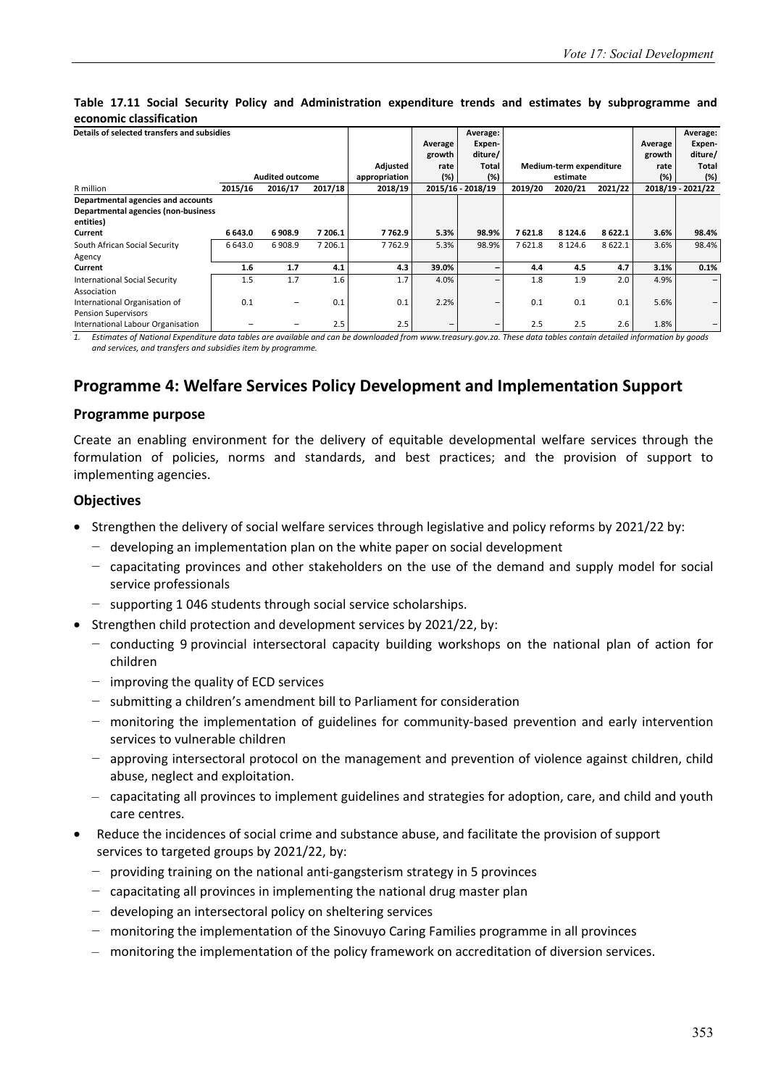#### **Table 17.11 Social Security Policy and Administration expenditure trends and estimates by subprogramme and economic classification**

| Details of selected transfers and subsidies |         |                        |         |               |                          | Average:                 |         |                         |         |         | Average:          |
|---------------------------------------------|---------|------------------------|---------|---------------|--------------------------|--------------------------|---------|-------------------------|---------|---------|-------------------|
|                                             |         |                        |         |               | Average                  | Expen-                   |         |                         |         | Average | Expen-            |
|                                             |         |                        |         |               | growth                   | diture/                  |         |                         |         | growth  | diture/           |
|                                             |         |                        |         | Adjusted      | rate                     | <b>Total</b>             |         | Medium-term expenditure |         | rate    | Total             |
|                                             |         | <b>Audited outcome</b> |         | appropriation | (%)                      | (%)                      |         | estimate                |         | (%)     | (%)               |
| R million                                   | 2015/16 | 2016/17                | 2017/18 | 2018/19       |                          | 2015/16 - 2018/19        | 2019/20 | 2020/21                 | 2021/22 |         | 2018/19 - 2021/22 |
| Departmental agencies and accounts          |         |                        |         |               |                          |                          |         |                         |         |         |                   |
| Departmental agencies (non-business         |         |                        |         |               |                          |                          |         |                         |         |         |                   |
| entities)                                   |         |                        |         |               |                          |                          |         |                         |         |         |                   |
| Current                                     | 6 643.0 | 6908.9                 | 7 206.1 | 7762.9        | 5.3%                     | 98.9%                    | 7621.8  | 8 1 2 4 . 6             | 8622.1  | 3.6%    | 98.4%             |
| South African Social Security               | 6 643.0 | 6908.9                 | 7 206.1 | 7762.9        | 5.3%                     | 98.9%                    | 7621.8  | 8 1 2 4 . 6             | 8622.1  | 3.6%    | 98.4%             |
| Agency                                      |         |                        |         |               |                          |                          |         |                         |         |         |                   |
| Current                                     | 1.6     | 1.7                    | 4.1     | 4.3           | 39.0%                    | -                        | 4.4     | 4.5                     | 4.7     | 3.1%    | 0.1%              |
| <b>International Social Security</b>        | 1.5     | 1.7                    | 1.6     | 1.7           | 4.0%                     | -                        | 1.8     | 1.9                     | 2.0     | 4.9%    | -                 |
| Association                                 |         |                        |         |               |                          |                          |         |                         |         |         |                   |
| International Organisation of               | 0.1     |                        | 0.1     | 0.1           | 2.2%                     | -                        | 0.1     | 0.1                     | 0.1     | 5.6%    |                   |
| <b>Pension Supervisors</b>                  |         |                        |         |               |                          |                          |         |                         |         |         |                   |
| International Labour Organisation           |         |                        | 2.5     | 2.5           | $\overline{\phantom{0}}$ | $\overline{\phantom{a}}$ | 2.5     | 2.5                     | 2.6     | 1.8%    |                   |

*1. Estimates of National Expenditure data tables are available and can be downloaded from www.treasury.gov.za. These data tables contain detailed information by goods and services, and transfers and subsidies item by programme.* 

## **Programme 4: Welfare Services Policy Development and Implementation Support**

#### **Programme purpose**

Create an enabling environment for the delivery of equitable developmental welfare services through the formulation of policies, norms and standards, and best practices; and the provision of support to implementing agencies.

#### **Objectives**

- Strengthen the delivery of social welfare services through legislative and policy reforms by 2021/22 by:
	- − developing an implementation plan on the white paper on social development
	- − capacitating provinces and other stakeholders on the use of the demand and supply model for social service professionals
	- − supporting 1 046 students through social service scholarships.
- Strengthen child protection and development services by 2021/22, by:
	- − conducting 9 provincial intersectoral capacity building workshops on the national plan of action for children
	- − improving the quality of ECD services
	- − submitting a children's amendment bill to Parliament for consideration
	- − monitoring the implementation of guidelines for community-based prevention and early intervention services to vulnerable children
	- − approving intersectoral protocol on the management and prevention of violence against children, child abuse, neglect and exploitation.
	- capacitating all provinces to implement guidelines and strategies for adoption, care, and child and youth care centres.
- Reduce the incidences of social crime and substance abuse, and facilitate the provision of support services to targeted groups by 2021/22, by:
	- − providing training on the national anti-gangsterism strategy in 5 provinces
	- − capacitating all provinces in implementing the national drug master plan
	- − developing an intersectoral policy on sheltering services
	- − monitoring the implementation of the Sinovuyo Caring Families programme in all provinces
	- monitoring the implementation of the policy framework on accreditation of diversion services.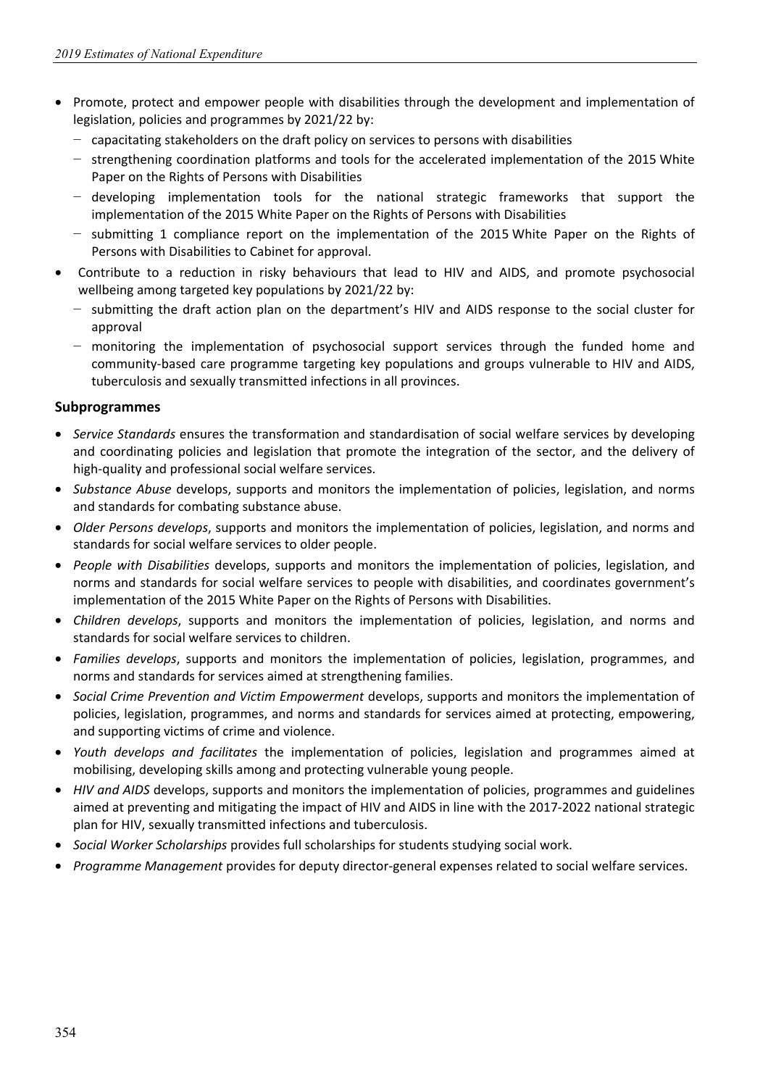- Promote, protect and empower people with disabilities through the development and implementation of legislation, policies and programmes by 2021/22 by:
	- − capacitating stakeholders on the draft policy on services to persons with disabilities
	- − strengthening coordination platforms and tools for the accelerated implementation of the 2015 White Paper on the Rights of Persons with Disabilities
	- − developing implementation tools for the national strategic frameworks that support the implementation of the 2015 White Paper on the Rights of Persons with Disabilities
	- − submitting 1 compliance report on the implementation of the 2015 White Paper on the Rights of Persons with Disabilities to Cabinet for approval.
- Contribute to a reduction in risky behaviours that lead to HIV and AIDS, and promote psychosocial wellbeing among targeted key populations by 2021/22 by:
	- − submitting the draft action plan on the department's HIV and AIDS response to the social cluster for approval
	- − monitoring the implementation of psychosocial support services through the funded home and community-based care programme targeting key populations and groups vulnerable to HIV and AIDS, tuberculosis and sexually transmitted infections in all provinces.

### **Subprogrammes**

- *Service Standards* ensures the transformation and standardisation of social welfare services by developing and coordinating policies and legislation that promote the integration of the sector, and the delivery of high-quality and professional social welfare services.
- *Substance Abuse* develops, supports and monitors the implementation of policies, legislation, and norms and standards for combating substance abuse.
- *Older Persons develops*, supports and monitors the implementation of policies, legislation, and norms and standards for social welfare services to older people.
- *People with Disabilities* develops, supports and monitors the implementation of policies, legislation, and norms and standards for social welfare services to people with disabilities, and coordinates government's implementation of the 2015 White Paper on the Rights of Persons with Disabilities.
- *Children develops*, supports and monitors the implementation of policies, legislation, and norms and standards for social welfare services to children.
- *Families develops*, supports and monitors the implementation of policies, legislation, programmes, and norms and standards for services aimed at strengthening families.
- *Social Crime Prevention and Victim Empowerment* develops, supports and monitors the implementation of policies, legislation, programmes, and norms and standards for services aimed at protecting, empowering, and supporting victims of crime and violence.
- *Youth develops and facilitates* the implementation of policies, legislation and programmes aimed at mobilising, developing skills among and protecting vulnerable young people.
- *HIV and AIDS* develops, supports and monitors the implementation of policies, programmes and guidelines aimed at preventing and mitigating the impact of HIV and AIDS in line with the 2017-2022 national strategic plan for HIV, sexually transmitted infections and tuberculosis.
- *Social Worker Scholarships* provides full scholarships for students studying social work.
- *Programme Management* provides for deputy director-general expenses related to social welfare services.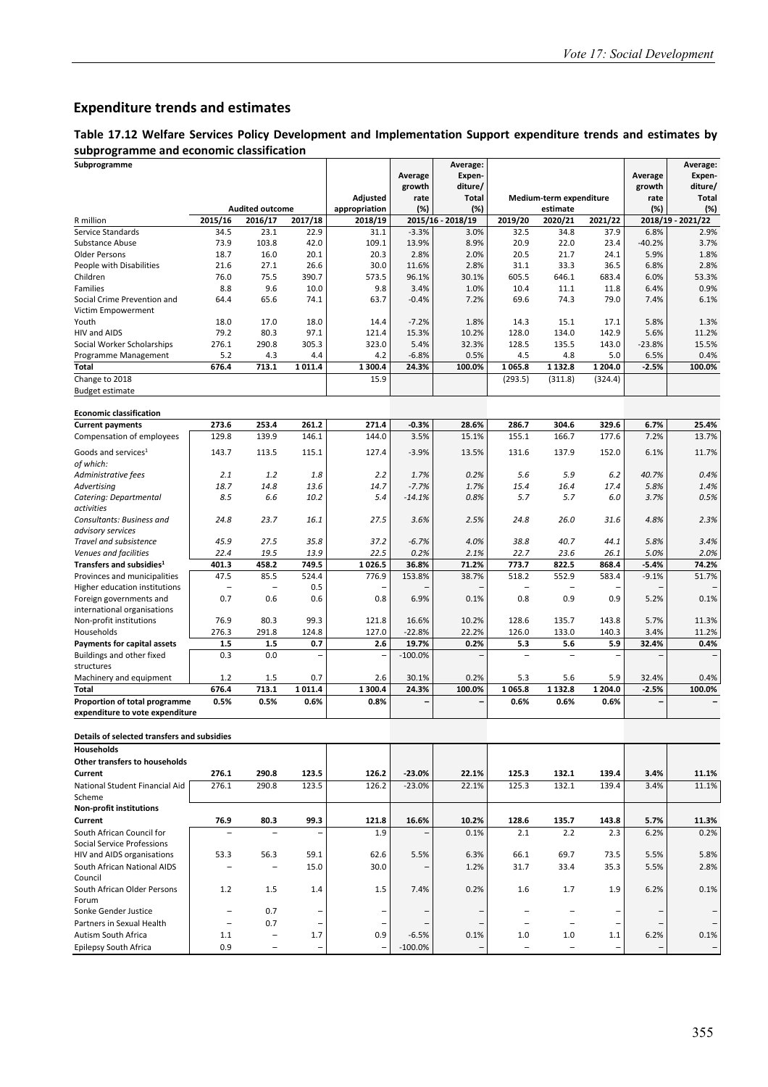## **Expenditure trends and estimates**

#### **Table 17.12 Welfare Services Policy Development and Implementation Support expenditure trends and estimates by subprogramme and economic classification**

| Subprogramme                                                     |                          |                                  |                          |                           |             | Average:          |                          |                                     |         |                                     | Average:            |
|------------------------------------------------------------------|--------------------------|----------------------------------|--------------------------|---------------------------|-------------|-------------------|--------------------------|-------------------------------------|---------|-------------------------------------|---------------------|
|                                                                  |                          |                                  |                          |                           | Average     | Expen-            |                          |                                     |         | Average                             | Expen-              |
|                                                                  |                          |                                  |                          |                           | growth      | diture/           |                          |                                     |         | growth                              | diture/             |
|                                                                  |                          | <b>Audited outcome</b>           |                          | Adjusted<br>appropriation | rate<br>(%) | Total<br>(%)      |                          | Medium-term expenditure<br>estimate |         | rate<br>(%)                         | <b>Total</b><br>(%) |
| R million                                                        | 2015/16                  | 2016/17                          | 2017/18                  | 2018/19                   |             | 2015/16 - 2018/19 | 2019/20                  | 2020/21                             | 2021/22 |                                     | 2018/19 - 2021/22   |
| Service Standards                                                | 34.5                     | 23.1                             | 22.9                     | 31.1                      | $-3.3%$     | 3.0%              | 32.5                     | 34.8                                | 37.9    | 6.8%                                | 2.9%                |
| Substance Abuse                                                  | 73.9                     | 103.8                            | 42.0                     | 109.1                     | 13.9%       | 8.9%              | 20.9                     | 22.0                                | 23.4    | $-40.2%$                            | 3.7%                |
| Older Persons                                                    | 18.7                     | 16.0                             | 20.1                     | 20.3                      | 2.8%        | 2.0%              | 20.5                     | 21.7                                | 24.1    | 5.9%                                | 1.8%                |
| People with Disabilities                                         | 21.6                     | 27.1                             | 26.6                     | 30.0                      | 11.6%       | 2.8%              | 31.1                     | 33.3                                | 36.5    | 6.8%                                | 2.8%                |
| Children                                                         | 76.0                     | 75.5                             | 390.7                    | 573.5                     | 96.1%       | 30.1%             | 605.5                    | 646.1                               | 683.4   | 6.0%                                | 53.3%               |
| Families                                                         | 8.8                      | 9.6                              | 10.0                     | 9.8                       | 3.4%        | 1.0%              | 10.4                     | 11.1                                | 11.8    | 6.4%                                | 0.9%                |
| Social Crime Prevention and                                      | 64.4                     | 65.6                             | 74.1                     | 63.7                      | $-0.4%$     | 7.2%              | 69.6                     | 74.3                                | 79.0    | 7.4%                                | 6.1%                |
| Victim Empowerment                                               |                          |                                  |                          |                           |             |                   |                          |                                     |         |                                     |                     |
| Youth                                                            | 18.0                     | 17.0                             | 18.0                     | 14.4                      | $-7.2%$     | 1.8%              | 14.3                     | 15.1                                | 17.1    | 5.8%                                | 1.3%                |
| HIV and AIDS                                                     | 79.2                     | 80.3                             | 97.1                     | 121.4                     | 15.3%       | 10.2%             | 128.0                    | 134.0                               | 142.9   | 5.6%                                | 11.2%               |
| Social Worker Scholarships                                       | 276.1                    | 290.8                            | 305.3                    | 323.0                     | 5.4%        | 32.3%             | 128.5                    | 135.5                               | 143.0   | $-23.8%$                            | 15.5%               |
| Programme Management                                             | 5.2                      | 4.3                              | 4.4                      | 4.2                       | $-6.8%$     | 0.5%              | 4.5                      | 4.8                                 | 5.0     | 6.5%                                | 0.4%                |
| Total                                                            | 676.4                    | 713.1                            | 1011.4                   | 1 300.4                   | 24.3%       | 100.0%            | 1065.8                   | 1 1 3 2.8                           | 1 204.0 | $-2.5%$                             | 100.0%              |
| Change to 2018                                                   |                          |                                  |                          | 15.9                      |             |                   | (293.5)                  | (311.8)                             | (324.4) |                                     |                     |
| <b>Budget estimate</b>                                           |                          |                                  |                          |                           |             |                   |                          |                                     |         |                                     |                     |
| <b>Economic classification</b>                                   |                          |                                  |                          |                           |             |                   |                          |                                     |         |                                     |                     |
| <b>Current payments</b>                                          | 273.6                    | 253.4                            | 261.2                    | 271.4                     | $-0.3%$     | 28.6%             | 286.7                    | 304.6                               | 329.6   | 6.7%                                | 25.4%               |
| Compensation of employees                                        | 129.8                    | 139.9                            | 146.1                    | 144.0                     | 3.5%        | 15.1%             | 155.1                    | 166.7                               | 177.6   | 7.2%                                | 13.7%               |
| Goods and services <sup>1</sup>                                  | 143.7                    | 113.5                            | 115.1                    | 127.4                     | $-3.9%$     | 13.5%             | 131.6                    | 137.9                               | 152.0   | 6.1%                                | 11.7%               |
| of which:                                                        |                          |                                  |                          |                           |             |                   |                          |                                     |         |                                     |                     |
| Administrative fees                                              | 2.1                      | 1.2                              | 1.8                      | 2.2                       | 1.7%        | 0.2%              | 5.6                      | 5.9                                 | 6.2     | 40.7%                               | 0.4%                |
| Advertising                                                      | 18.7                     | 14.8                             | 13.6                     | 14.7                      | $-7.7%$     | 1.7%              | 15.4                     | 16.4                                | 17.4    | 5.8%                                | 1.4%                |
| Catering: Departmental<br>activities                             | 8.5                      | 6.6                              | 10.2                     | 5.4                       | $-14.1%$    | 0.8%              | 5.7                      | 5.7                                 | 6.0     | 3.7%                                | 0.5%                |
| Consultants: Business and                                        | 24.8                     | 23.7                             | 16.1                     | 27.5                      | 3.6%        | 2.5%              | 24.8                     | 26.0                                | 31.6    | 4.8%                                | 2.3%                |
| advisory services                                                |                          |                                  |                          |                           |             |                   |                          |                                     |         |                                     |                     |
| Travel and subsistence                                           | 45.9                     | 27.5                             | 35.8                     | 37.2                      | $-6.7%$     | 4.0%              | 38.8                     | 40.7                                | 44.1    | 5.8%                                | 3.4%                |
| Venues and facilities                                            | 22.4                     | 19.5                             | 13.9                     | 22.5                      | 0.2%        | 2.1%              | 22.7                     | 23.6                                | 26.1    | 5.0%                                | 2.0%                |
| Transfers and subsidies <sup>1</sup>                             | 401.3                    | 458.2                            | 749.5                    | 1026.5                    | 36.8%       | 71.2%             | 773.7                    | 822.5                               | 868.4   | $-5.4%$                             | 74.2%               |
| Provinces and municipalities<br>Higher education institutions    | 47.5                     | 85.5<br>$\overline{\phantom{a}}$ | 524.4<br>0.5             | 776.9                     | 153.8%      | 38.7%             | 518.2                    | 552.9                               | 583.4   | $-9.1%$                             | 51.7%               |
| Foreign governments and                                          | 0.7                      | 0.6                              | 0.6                      | 0.8                       | 6.9%        | 0.1%              | 0.8                      | 0.9                                 | 0.9     | 5.2%                                | 0.1%                |
| international organisations                                      |                          |                                  |                          |                           |             |                   |                          |                                     |         |                                     |                     |
| Non-profit institutions                                          | 76.9                     | 80.3                             | 99.3                     | 121.8                     | 16.6%       | 10.2%             | 128.6                    | 135.7                               | 143.8   | 5.7%                                | 11.3%               |
| Households                                                       | 276.3                    | 291.8                            | 124.8                    | 127.0                     | $-22.8%$    | 22.2%             | 126.0                    | 133.0                               | 140.3   | 3.4%                                | 11.2%               |
| <b>Payments for capital assets</b>                               | 1.5                      | 1.5                              | 0.7                      | 2.6                       | 19.7%       | 0.2%              | 5.3                      | 5.6                                 | 5.9     | 32.4%                               | 0.4%                |
| Buildings and other fixed                                        | 0.3                      | 0.0                              |                          |                           | $-100.0%$   |                   |                          |                                     |         |                                     |                     |
| structures                                                       |                          |                                  |                          |                           |             |                   |                          |                                     |         |                                     |                     |
| Machinery and equipment                                          | $1.2$                    | 1.5                              | 0.7                      | 2.6                       | 30.1%       | 0.2%              | 5.3                      | 5.6                                 | 5.9     | 32.4%                               | 0.4%                |
| Total                                                            | 676.4                    | 713.1                            | 1011.4                   | 1 300.4                   | 24.3%       | 100.0%            | 1065.8                   | 1 1 3 2.8                           | 1 204.0 | $-2.5%$<br>$\overline{\phantom{0}}$ | 100.0%              |
| Proportion of total programme<br>expenditure to vote expenditure | 0.5%                     | 0.5%                             | 0.6%                     | 0.8%                      |             |                   | 0.6%                     | 0.6%                                | 0.6%    |                                     |                     |
| Details of selected transfers and subsidies                      |                          |                                  |                          |                           |             |                   |                          |                                     |         |                                     |                     |
| Households                                                       |                          |                                  |                          |                           |             |                   |                          |                                     |         |                                     |                     |
| <b>Other transfers to households</b>                             |                          |                                  |                          |                           |             |                   |                          |                                     |         |                                     |                     |
| Current                                                          | 276.1                    | 290.8                            | 123.5                    | 126.2                     | $-23.0%$    | 22.1%             | 125.3                    | 132.1                               | 139.4   | 3.4%                                | 11.1%               |
| National Student Financial Aid                                   | 276.1                    | 290.8                            | 123.5                    | 126.2                     | $-23.0%$    | 22.1%             | 125.3                    | 132.1                               | 139.4   | 3.4%                                | 11.1%               |
| Scheme                                                           |                          |                                  |                          |                           |             |                   |                          |                                     |         |                                     |                     |
| <b>Non-profit institutions</b>                                   |                          |                                  |                          |                           |             |                   |                          |                                     |         |                                     |                     |
| Current                                                          | 76.9                     | 80.3                             | 99.3                     | 121.8                     | 16.6%       | 10.2%             | 128.6                    | 135.7                               | 143.8   | 5.7%                                | 11.3%               |
| South African Council for                                        | $\overline{\phantom{a}}$ | $\overline{\phantom{a}}$         | $\overline{\phantom{0}}$ | 1.9                       |             | 0.1%              | 2.1                      | 2.2                                 | 2.3     | 6.2%                                | 0.2%                |
| Social Service Professions                                       |                          |                                  |                          |                           |             |                   |                          |                                     |         |                                     |                     |
| HIV and AIDS organisations                                       | 53.3                     | 56.3                             | 59.1                     | 62.6                      | 5.5%        | 6.3%              | 66.1                     | 69.7                                | 73.5    | 5.5%                                | 5.8%                |
| South African National AIDS                                      | $\qquad \qquad -$        | $\overline{\phantom{a}}$         | 15.0                     | 30.0                      |             | 1.2%              | 31.7                     | 33.4                                | 35.3    | 5.5%                                | 2.8%                |
| Council                                                          |                          |                                  |                          |                           |             |                   |                          |                                     |         |                                     |                     |
| South African Older Persons                                      | $1.2$                    | 1.5                              | 1.4                      | 1.5                       | 7.4%        | 0.2%              | 1.6                      | 1.7                                 | 1.9     | 6.2%                                | 0.1%                |
| Forum                                                            |                          |                                  |                          |                           |             |                   |                          |                                     |         |                                     |                     |
| Sonke Gender Justice                                             | $\qquad \qquad -$        | 0.7                              | $\overline{\phantom{0}}$ |                           |             |                   | ۳                        | $\overline{\phantom{0}}$            |         |                                     |                     |
| Partners in Sexual Health                                        | $\overline{\phantom{a}}$ | 0.7                              | $\qquad \qquad -$        |                           |             |                   | $\overline{\phantom{a}}$ | $\overline{\phantom{a}}$            |         |                                     |                     |
| Autism South Africa                                              | 1.1                      | $\qquad \qquad -$                | 1.7                      | 0.9                       | $-6.5%$     | 0.1%              | 1.0                      | 1.0                                 | 1.1     | 6.2%                                | 0.1%                |
| <b>Epilepsy South Africa</b>                                     | 0.9                      | $\qquad \qquad -$                | $\overline{\phantom{0}}$ |                           | $-100.0%$   |                   | $\qquad \qquad -$        | $\qquad \qquad -$                   |         |                                     |                     |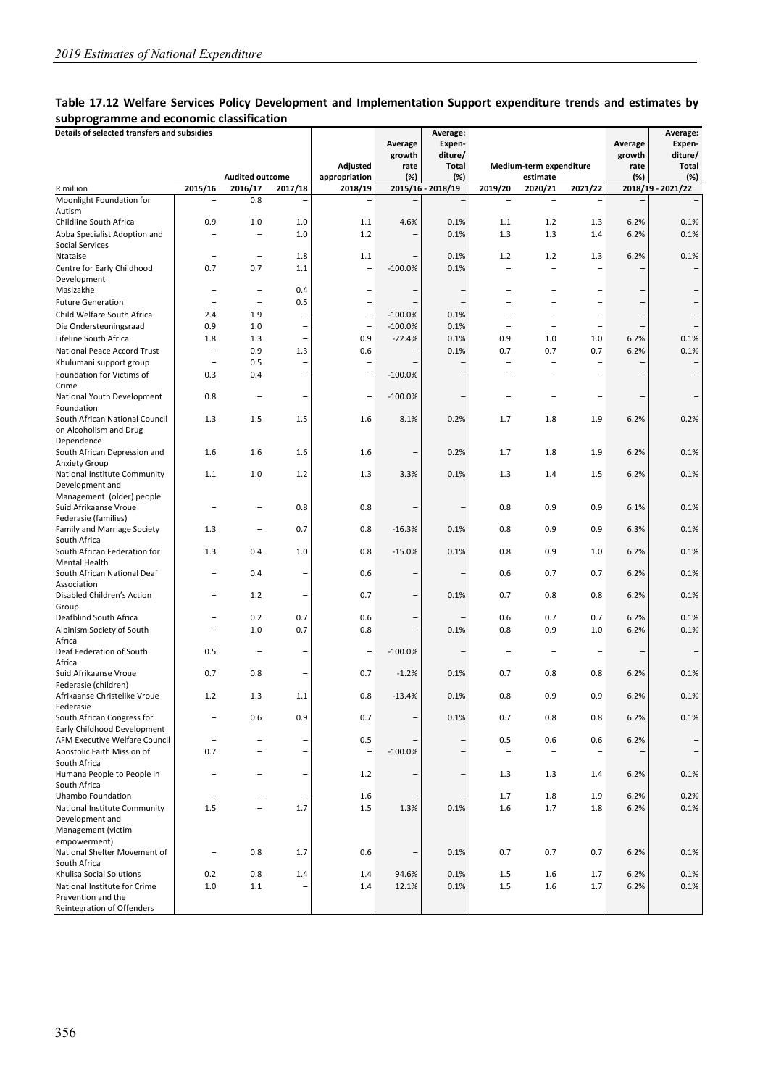#### **Table 17.12 Welfare Services Policy Development and Implementation Support expenditure trends and estimates by subprogramme and economic classification**

| .                                                  |                          |                                   |                          |                          |                           |                                        |                   |                          |                          |                           |                                               |
|----------------------------------------------------|--------------------------|-----------------------------------|--------------------------|--------------------------|---------------------------|----------------------------------------|-------------------|--------------------------|--------------------------|---------------------------|-----------------------------------------------|
| Details of selected transfers and subsidies        |                          |                                   |                          | Adjusted                 | Average<br>growth<br>rate | Average:<br>Expen-<br>diture/<br>Total |                   | Medium-term expenditure  |                          | Average<br>growth<br>rate | Average:<br>Expen-<br>diture/<br><b>Total</b> |
| R million                                          | 2015/16                  | <b>Audited outcome</b><br>2016/17 | 2017/18                  | appropriation<br>2018/19 | (%)                       | (%)<br>2015/16 - 2018/19               | 2019/20           | estimate<br>2020/21      | 2021/22                  | (%)                       | $(\%)$<br>2018/19 - 2021/22                   |
| Moonlight Foundation for                           | ÷                        | 0.8                               | -                        | ۰                        |                           |                                        |                   |                          | $\overline{\phantom{a}}$ |                           | $\overline{\phantom{0}}$                      |
| Autism                                             |                          |                                   |                          |                          |                           |                                        |                   |                          |                          |                           |                                               |
| Childline South Africa                             | 0.9                      | 1.0                               | 1.0                      | 1.1                      | 4.6%                      | 0.1%                                   | 1.1               | 1.2                      | 1.3                      | 6.2%                      | 0.1%                                          |
| Abba Specialist Adoption and                       | ÷                        | $\overline{\phantom{0}}$          | 1.0                      | 1.2                      |                           | 0.1%                                   | 1.3               | 1.3                      | 1.4                      | 6.2%                      | 0.1%                                          |
| Social Services                                    |                          |                                   |                          |                          |                           |                                        |                   |                          |                          |                           |                                               |
| Ntataise                                           | ÷                        | $\overline{\phantom{0}}$          | 1.8                      | 1.1                      |                           | 0.1%                                   | 1.2               | 1.2                      | 1.3                      | 6.2%                      | 0.1%                                          |
| Centre for Early Childhood                         | 0.7                      | 0.7                               | 1.1                      | -                        | $-100.0%$                 | 0.1%                                   |                   |                          |                          |                           |                                               |
| Development                                        |                          |                                   |                          |                          |                           |                                        |                   |                          |                          |                           |                                               |
| Masizakhe                                          | ÷                        | ۰<br>L.                           | 0.4                      | ۰                        |                           |                                        |                   |                          |                          |                           | -                                             |
| <b>Future Generation</b>                           |                          |                                   | 0.5                      | $\overline{\phantom{0}}$ |                           | $\overline{\phantom{a}}$               |                   | $\equiv$                 | $\overline{\phantom{0}}$ |                           | -                                             |
| Child Welfare South Africa                         | 2.4                      | 1.9                               |                          | $\qquad \qquad -$        | $-100.0%$<br>$-100.0%$    | 0.1%                                   | $\overline{a}$    |                          |                          |                           | <sup>-</sup>                                  |
| Die Ondersteuningsraad<br>Lifeline South Africa    | 0.9<br>1.8               | 1.0<br>1.3                        | -<br>$\overline{a}$      | $\qquad \qquad -$<br>0.9 | $-22.4%$                  | 0.1%<br>0.1%                           | 0.9               | 1.0                      | -<br>1.0                 | 6.2%                      | $\overline{\phantom{0}}$<br>0.1%              |
| National Peace Accord Trust                        | $\overline{\phantom{0}}$ | 0.9                               | 1.3                      | 0.6                      |                           | 0.1%                                   | 0.7               | 0.7                      | 0.7                      | 6.2%                      | 0.1%                                          |
| Khulumani support group                            | $\overline{\phantom{0}}$ | 0.5                               | ۰                        | $\overline{\phantom{a}}$ |                           |                                        | $\equiv$          | $\overline{\phantom{a}}$ |                          |                           | $\qquad \qquad -$                             |
| Foundation for Victims of                          | 0.3                      | 0.4                               | $\overline{a}$           | $\overline{\phantom{0}}$ | $-100.0%$                 |                                        |                   |                          |                          |                           |                                               |
| Crime                                              |                          |                                   |                          |                          |                           |                                        |                   |                          |                          |                           |                                               |
| National Youth Development                         | 0.8                      | $\overline{\phantom{0}}$          | ٠                        | -                        | $-100.0%$                 | $\overline{\phantom{a}}$               |                   |                          | -                        |                           | <b>-</b>                                      |
| Foundation<br>South African National Council       | 1.3                      | 1.5                               | 1.5                      | 1.6                      | 8.1%                      | 0.2%                                   | 1.7               | 1.8                      | 1.9                      | 6.2%                      | 0.2%                                          |
| on Alcoholism and Drug                             |                          |                                   |                          |                          |                           |                                        |                   |                          |                          |                           |                                               |
| Dependence                                         |                          |                                   |                          |                          |                           |                                        |                   |                          |                          |                           |                                               |
| South African Depression and                       | 1.6                      | 1.6                               | 1.6                      | 1.6                      |                           | 0.2%                                   | 1.7               | 1.8                      | 1.9                      | 6.2%                      | 0.1%                                          |
| <b>Anxiety Group</b>                               |                          |                                   |                          |                          |                           |                                        |                   |                          |                          |                           |                                               |
| National Institute Community                       | 1.1                      | 1.0                               | 1.2                      | 1.3                      | 3.3%                      | 0.1%                                   | 1.3               | 1.4                      | 1.5                      | 6.2%                      | 0.1%                                          |
| Development and                                    |                          |                                   |                          |                          |                           |                                        |                   |                          |                          |                           |                                               |
| Management (older) people<br>Suid Afrikaanse Vroue |                          |                                   | 0.8                      | 0.8                      |                           |                                        | 0.8               | 0.9                      | 0.9                      | 6.1%                      | 0.1%                                          |
| Federasie (families)                               |                          |                                   |                          |                          |                           |                                        |                   |                          |                          |                           |                                               |
| <b>Family and Marriage Society</b>                 | 1.3                      | ۰                                 | 0.7                      | 0.8                      | $-16.3%$                  | 0.1%                                   | 0.8               | 0.9                      | 0.9                      | 6.3%                      | 0.1%                                          |
| South Africa                                       |                          |                                   |                          |                          |                           |                                        |                   |                          |                          |                           |                                               |
| South African Federation for                       | 1.3                      | 0.4                               | 1.0                      | 0.8                      | $-15.0%$                  | 0.1%                                   | 0.8               | 0.9                      | 1.0                      | 6.2%                      | 0.1%                                          |
| Mental Health                                      |                          |                                   |                          |                          |                           |                                        |                   |                          |                          |                           |                                               |
| South African National Deaf                        |                          | 0.4                               | ۳                        | 0.6                      |                           |                                        | 0.6               | 0.7                      | 0.7                      | 6.2%                      | 0.1%                                          |
| Association<br>Disabled Children's Action          |                          | 1.2                               |                          | 0.7                      |                           | 0.1%                                   | 0.7               | 0.8                      | 0.8                      | 6.2%                      | 0.1%                                          |
| Group                                              |                          |                                   |                          |                          |                           |                                        |                   |                          |                          |                           |                                               |
| Deafblind South Africa                             | -                        | 0.2                               | 0.7                      | 0.6                      |                           |                                        | 0.6               | 0.7                      | 0.7                      | 6.2%                      | 0.1%                                          |
| Albinism Society of South                          | $\overline{\phantom{0}}$ | 1.0                               | 0.7                      | 0.8                      | $\overline{\phantom{0}}$  | 0.1%                                   | 0.8               | 0.9                      | 1.0                      | 6.2%                      | 0.1%                                          |
| Africa                                             |                          |                                   |                          |                          |                           |                                        |                   |                          |                          |                           |                                               |
| Deaf Federation of South                           | 0.5                      | -                                 |                          | ٠                        | $-100.0%$                 |                                        |                   | -                        | -                        |                           | -                                             |
| Africa                                             |                          |                                   |                          |                          |                           |                                        |                   |                          |                          |                           |                                               |
| Suid Afrikaanse Vroue<br>Federasie (children)      | 0.7                      | 0.8                               |                          | 0.7                      | $-1.2%$                   | 0.1%                                   | 0.7               | 0.8                      | 0.8                      | 6.2%                      | 0.1%                                          |
| Afrikaanse Christelike Vroue                       | 1.2                      | 1.3                               | 1.1                      | 0.8                      | $-13.4%$                  | 0.1%                                   | 0.8               | 0.9                      | 0.9                      | 6.2%                      | 0.1%                                          |
| Federasie                                          |                          |                                   |                          |                          |                           |                                        |                   |                          |                          |                           |                                               |
| South African Congress for                         |                          | 0.6                               | 0.9                      | 0.7                      |                           | 0.1%                                   | 0.7               | 0.8                      | 0.8                      | 6.2%                      | 0.1%                                          |
| Early Childhood Development                        |                          |                                   |                          |                          |                           |                                        |                   |                          |                          |                           |                                               |
| AFM Executive Welfare Council                      | $\overline{a}$           | $\overline{\phantom{0}}$          | -                        | 0.5                      |                           | -                                      | 0.5               | 0.6                      | 0.6                      | 6.2%                      | <sup>-</sup>                                  |
| Apostolic Faith Mission of                         | 0.7                      | $\overline{\phantom{0}}$          | $\overline{a}$           | $\qquad \qquad -$        | $-100.0%$                 | $\overline{\phantom{0}}$               | $\qquad \qquad -$ | $\qquad \qquad -$        |                          |                           | $\overline{\phantom{0}}$                      |
| South Africa<br>Humana People to People in         |                          |                                   | $\overline{\phantom{0}}$ | 1.2                      |                           | $\overline{\phantom{a}}$               | 1.3               | 1.3                      |                          |                           | 0.1%                                          |
| South Africa                                       |                          |                                   |                          |                          |                           |                                        |                   |                          | 1.4                      | 6.2%                      |                                               |
| Uhambo Foundation                                  | ۰                        | $\overline{\phantom{0}}$          | -                        | $1.6\,$                  |                           |                                        | 1.7               | 1.8                      | 1.9                      | 6.2%                      | 0.2%                                          |
| National Institute Community                       | 1.5                      | $\overline{\phantom{0}}$          | 1.7                      | 1.5                      | 1.3%                      | 0.1%                                   | 1.6               | 1.7                      | 1.8                      | 6.2%                      | 0.1%                                          |
| Development and                                    |                          |                                   |                          |                          |                           |                                        |                   |                          |                          |                           |                                               |
| Management (victim                                 |                          |                                   |                          |                          |                           |                                        |                   |                          |                          |                           |                                               |
| empowerment)                                       |                          |                                   |                          |                          |                           |                                        |                   |                          |                          |                           |                                               |
| National Shelter Movement of                       | $\overline{\phantom{0}}$ | 0.8                               | 1.7                      | 0.6                      | $\overline{a}$            | 0.1%                                   | 0.7               | 0.7                      | 0.7                      | 6.2%                      | 0.1%                                          |
| South Africa<br>Khulisa Social Solutions           | 0.2                      | 0.8                               | 1.4                      | 1.4                      | 94.6%                     | 0.1%                                   | 1.5               | $1.6\,$                  | 1.7                      | 6.2%                      | 0.1%                                          |
| National Institute for Crime                       | $1.0\,$                  | $1.1\,$                           |                          | 1.4                      | 12.1%                     | 0.1%                                   | 1.5               | 1.6                      | 1.7                      | 6.2%                      | 0.1%                                          |
| Prevention and the                                 |                          |                                   |                          |                          |                           |                                        |                   |                          |                          |                           |                                               |
| Reintegration of Offenders                         |                          |                                   |                          |                          |                           |                                        |                   |                          |                          |                           |                                               |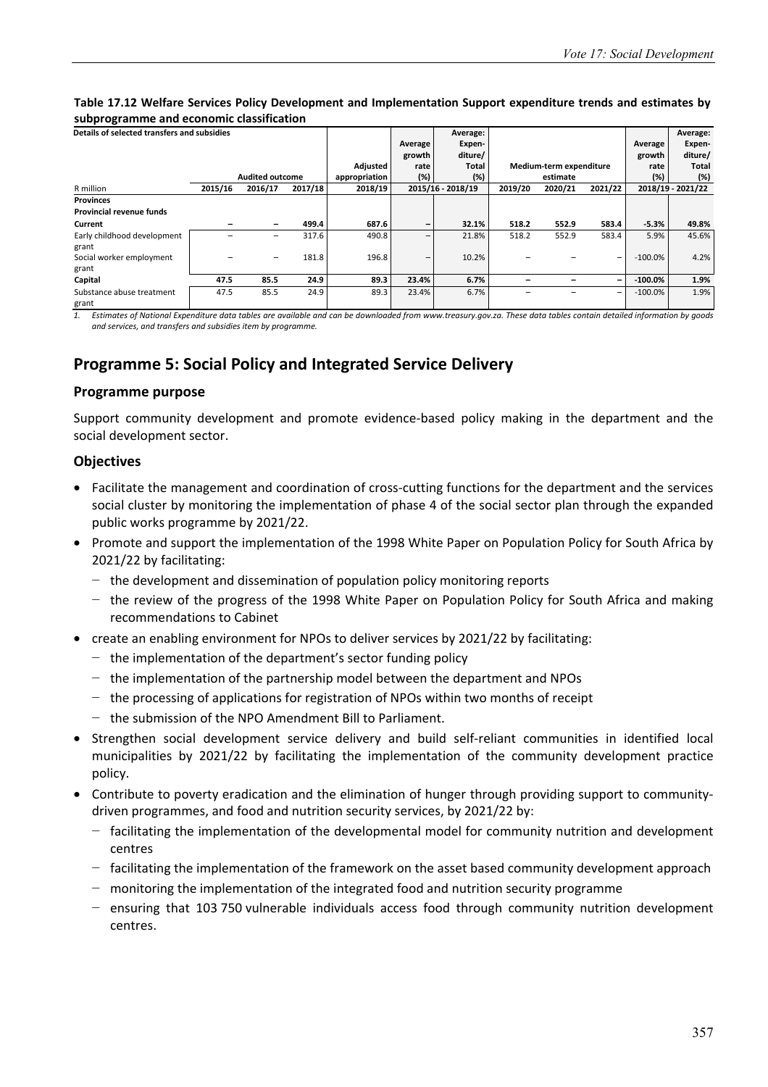#### **Table 17.12 Welfare Services Policy Development and Implementation Support expenditure trends and estimates by subprogramme and economic classification**

| Details of selected transfers and subsidies |         |                          |         |               | Average<br>growth | Average:<br>Expen-<br>diture/ |         |                         |                          | Average<br>growth | Average:<br>Expen-<br>diture/ |
|---------------------------------------------|---------|--------------------------|---------|---------------|-------------------|-------------------------------|---------|-------------------------|--------------------------|-------------------|-------------------------------|
|                                             |         |                          |         | Adjusted      | rate              | Total                         |         | Medium-term expenditure |                          | rate              | <b>Total</b>                  |
|                                             |         | <b>Audited outcome</b>   |         | appropriation | (%)               | (%)                           |         | estimate                |                          | (%)               | (%)                           |
| R million                                   | 2015/16 | 2016/17                  | 2017/18 | 2018/19       |                   | 2015/16 - 2018/19             | 2019/20 | 2020/21                 | 2021/22                  |                   | 2018/19 - 2021/22             |
| <b>Provinces</b>                            |         |                          |         |               |                   |                               |         |                         |                          |                   |                               |
| Provincial revenue funds                    |         |                          |         |               |                   |                               |         |                         |                          |                   |                               |
| Current                                     |         |                          | 499.4   | 687.6         | $\qquad \qquad$   | 32.1%                         | 518.2   | 552.9                   | 583.4                    | $-5.3%$           | 49.8%                         |
| Early childhood development                 |         | $\overline{\phantom{a}}$ | 317.6   | 490.8         | $\qquad \qquad -$ | 21.8%                         | 518.2   | 552.9                   | 583.4                    | 5.9%              | 45.6%                         |
| grant                                       |         |                          |         |               |                   |                               |         |                         |                          |                   |                               |
| Social worker employment                    |         |                          | 181.8   | 196.8         | $\qquad \qquad -$ | 10.2%                         |         |                         | $\overline{\phantom{a}}$ | $-100.0\%$        | 4.2%                          |
| grant                                       |         |                          |         |               |                   |                               |         |                         |                          |                   |                               |
| Capital                                     | 47.5    | 85.5                     | 24.9    | 89.3          | 23.4%             | 6.7%                          |         |                         | $\qquad \qquad$          | $-100.0%$         | 1.9%                          |
| Substance abuse treatment                   | 47.5    | 85.5                     | 24.9    | 89.3          | 23.4%             | 6.7%                          |         |                         | $\overline{\phantom{a}}$ | $-100.0%$         | 1.9%                          |
| grant                                       |         |                          |         |               |                   |                               |         |                         |                          |                   |                               |

*1. Estimates of National Expenditure data tables are available and can be downloaded from www.treasury.gov.za. These data tables contain detailed information by goods and services, and transfers and subsidies item by programme.* 

## **Programme 5: Social Policy and Integrated Service Delivery**

#### **Programme purpose**

Support community development and promote evidence-based policy making in the department and the social development sector.

#### **Objectives**

- Facilitate the management and coordination of cross-cutting functions for the department and the services social cluster by monitoring the implementation of phase 4 of the social sector plan through the expanded public works programme by 2021/22.
- Promote and support the implementation of the 1998 White Paper on Population Policy for South Africa by 2021/22 by facilitating:
	- − the development and dissemination of population policy monitoring reports
	- − the review of the progress of the 1998 White Paper on Population Policy for South Africa and making recommendations to Cabinet
- create an enabling environment for NPOs to deliver services by 2021/22 by facilitating:
	- − the implementation of the department's sector funding policy
	- − the implementation of the partnership model between the department and NPOs
	- − the processing of applications for registration of NPOs within two months of receipt
	- − the submission of the NPO Amendment Bill to Parliament.
- Strengthen social development service delivery and build self-reliant communities in identified local municipalities by 2021/22 by facilitating the implementation of the community development practice policy.
- Contribute to poverty eradication and the elimination of hunger through providing support to communitydriven programmes, and food and nutrition security services, by 2021/22 by:
	- − facilitating the implementation of the developmental model for community nutrition and development centres
	- − facilitating the implementation of the framework on the asset based community development approach
	- − monitoring the implementation of the integrated food and nutrition security programme
	- − ensuring that 103 750 vulnerable individuals access food through community nutrition development centres.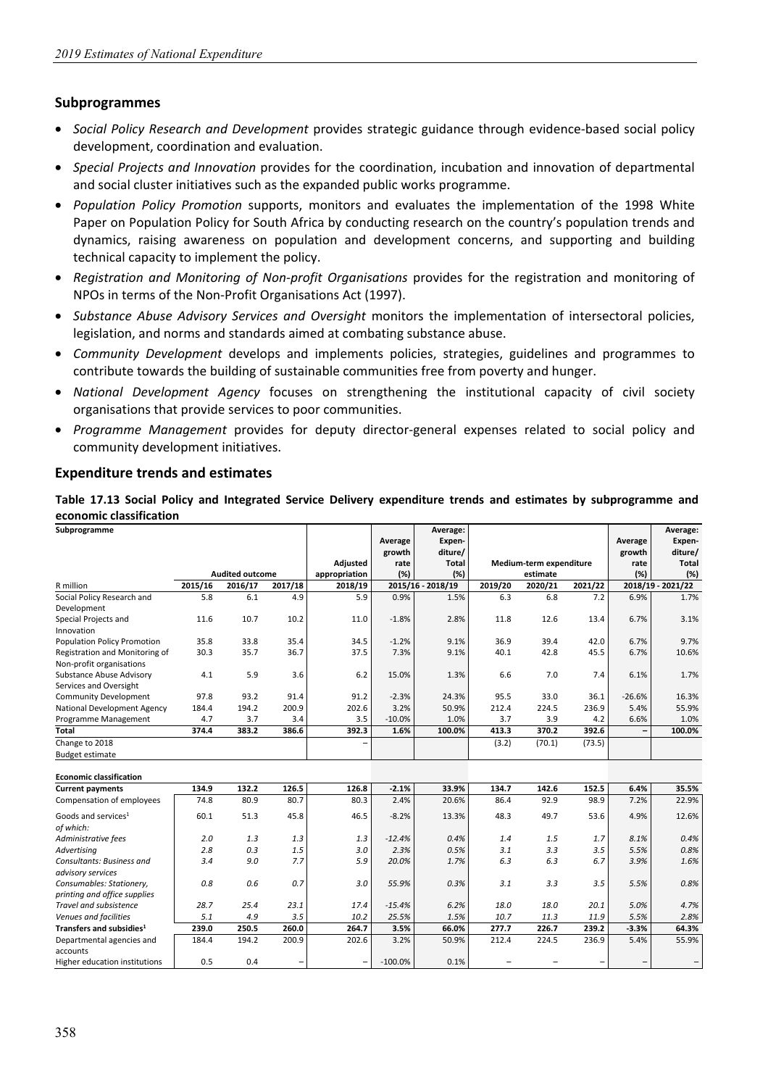#### **Subprogrammes**

- *Social Policy Research and Development* provides strategic guidance through evidence-based social policy development, coordination and evaluation.
- *Special Projects and Innovation* provides for the coordination, incubation and innovation of departmental and social cluster initiatives such as the expanded public works programme.
- *Population Policy Promotion* supports, monitors and evaluates the implementation of the 1998 White Paper on Population Policy for South Africa by conducting research on the country's population trends and dynamics, raising awareness on population and development concerns, and supporting and building technical capacity to implement the policy.
- *Registration and Monitoring of Non-profit Organisations* provides for the registration and monitoring of NPOs in terms of the Non-Profit Organisations Act (1997).
- *Substance Abuse Advisory Services and Oversight* monitors the implementation of intersectoral policies, legislation, and norms and standards aimed at combating substance abuse.
- *Community Development* develops and implements policies, strategies, guidelines and programmes to contribute towards the building of sustainable communities free from poverty and hunger.
- *National Development Agency* focuses on strengthening the institutional capacity of civil society organisations that provide services to poor communities.
- *Programme Management* provides for deputy director-general expenses related to social policy and community development initiatives.

#### **Expenditure trends and estimates**

**Table 17.13 Social Policy and Integrated Service Delivery expenditure trends and estimates by subprogramme and economic classification**

| Subprogramme                          |         |                                   |         |                          | Average<br>growth | Average:<br>Expen-<br>diture/ |         |                         |         | Average<br>growth | Average:<br>Expen-<br>diture/ |
|---------------------------------------|---------|-----------------------------------|---------|--------------------------|-------------------|-------------------------------|---------|-------------------------|---------|-------------------|-------------------------------|
|                                       |         |                                   |         | Adjusted                 | rate              | <b>Total</b>                  |         | Medium-term expenditure |         | rate              | <b>Total</b>                  |
| R million                             | 2015/16 | <b>Audited outcome</b><br>2016/17 | 2017/18 | appropriation<br>2018/19 | (%)               | (%)<br>2015/16 - 2018/19      | 2019/20 | estimate<br>2020/21     | 2021/22 | (%)               | (%)<br>2018/19 - 2021/22      |
| Social Policy Research and            | 5.8     | 6.1                               | 4.9     | 5.9                      | 0.9%              | 1.5%                          | 6.3     | 6.8                     | 7.2     | 6.9%              | 1.7%                          |
| Development                           |         |                                   |         |                          |                   |                               |         |                         |         |                   |                               |
| Special Projects and<br>Innovation    | 11.6    | 10.7                              | 10.2    | 11.0                     | $-1.8%$           | 2.8%                          | 11.8    | 12.6                    | 13.4    | 6.7%              | 3.1%                          |
| <b>Population Policy Promotion</b>    | 35.8    | 33.8                              | 35.4    | 34.5                     | $-1.2%$           | 9.1%                          | 36.9    | 39.4                    | 42.0    | 6.7%              | 9.7%                          |
| Registration and Monitoring of        | 30.3    | 35.7                              | 36.7    | 37.5                     | 7.3%              | 9.1%                          | 40.1    | 42.8                    | 45.5    | 6.7%              | 10.6%                         |
| Non-profit organisations              |         |                                   |         |                          |                   |                               |         |                         |         |                   |                               |
| Substance Abuse Advisory              | 4.1     | 5.9                               | 3.6     | 6.2                      | 15.0%             | 1.3%                          | 6.6     | 7.0                     | 7.4     | 6.1%              | 1.7%                          |
| Services and Oversight                |         |                                   |         |                          |                   |                               |         |                         |         |                   |                               |
| <b>Community Development</b>          | 97.8    | 93.2                              | 91.4    | 91.2                     | $-2.3%$           | 24.3%                         | 95.5    | 33.0                    | 36.1    | $-26.6%$          | 16.3%                         |
| National Development Agency           | 184.4   | 194.2                             | 200.9   | 202.6                    | 3.2%              | 50.9%                         | 212.4   | 224.5                   | 236.9   | 5.4%              | 55.9%                         |
| Programme Management                  | 4.7     | 3.7                               | 3.4     | 3.5                      | $-10.0%$          | 1.0%                          | 3.7     | 3.9                     | 4.2     | 6.6%              | 1.0%                          |
| <b>Total</b>                          | 374.4   | 383.2                             | 386.6   | 392.3                    | 1.6%              | 100.0%                        | 413.3   | 370.2                   | 392.6   | $\qquad \qquad -$ | 100.0%                        |
| Change to 2018                        |         |                                   |         |                          |                   |                               | (3.2)   | (70.1)                  | (73.5)  |                   |                               |
| <b>Budget estimate</b>                |         |                                   |         |                          |                   |                               |         |                         |         |                   |                               |
| <b>Economic classification</b>        |         |                                   |         |                          |                   |                               |         |                         |         |                   |                               |
| <b>Current payments</b>               | 134.9   | 132.2                             | 126.5   | 126.8                    | $-2.1%$           | 33.9%                         | 134.7   | 142.6                   | 152.5   | 6.4%              | 35.5%                         |
| Compensation of employees             | 74.8    | 80.9                              | 80.7    | 80.3                     | 2.4%              | 20.6%                         | 86.4    | 92.9                    | 98.9    | 7.2%              | 22.9%                         |
| Goods and services <sup>1</sup>       | 60.1    | 51.3                              | 45.8    | 46.5                     | $-8.2%$           | 13.3%                         | 48.3    | 49.7                    | 53.6    | 4.9%              | 12.6%                         |
| of which:                             |         |                                   |         |                          |                   |                               |         |                         |         |                   |                               |
| Administrative fees                   | 2.0     | 1.3                               | 1.3     | 1.3                      | $-12.4%$          | 0.4%                          | 1.4     | 1.5                     | 1.7     | 8.1%              | 0.4%                          |
| <b>Advertising</b>                    | 2.8     | 0.3                               | 1.5     | 3.0                      | 2.3%              | 0.5%                          | 3.1     | 3.3                     | 3.5     | 5.5%              | 0.8%                          |
| Consultants: Business and             | 3.4     | 9.0                               | 7.7     | 5.9                      | 20.0%             | 1.7%                          | 6.3     | 6.3                     | 6.7     | 3.9%              | 1.6%                          |
| advisory services                     |         |                                   |         |                          |                   |                               |         |                         |         |                   |                               |
| Consumables: Stationery,              | 0.8     | 0.6                               | 0.7     | 3.0                      | 55.9%             | 0.3%                          | 3.1     | 3.3                     | 3.5     | 5.5%              | 0.8%                          |
| printing and office supplies          |         |                                   |         |                          |                   |                               |         |                         |         |                   |                               |
| Travel and subsistence                | 28.7    | 25.4                              | 23.1    | 17.4                     | $-15.4%$          | 6.2%                          | 18.0    | 18.0                    | 20.1    | 5.0%              | 4.7%                          |
| Venues and facilities                 | 5.1     | 4.9                               | 3.5     | 10.2                     | 25.5%             | 1.5%                          | 10.7    | 11.3                    | 11.9    | 5.5%              | 2.8%                          |
| Transfers and subsidies <sup>1</sup>  | 239.0   | 250.5                             | 260.0   | 264.7                    | 3.5%              | 66.0%                         | 277.7   | 226.7                   | 239.2   | $-3.3%$           | 64.3%                         |
| Departmental agencies and<br>accounts | 184.4   | 194.2                             | 200.9   | 202.6                    | 3.2%              | 50.9%                         | 212.4   | 224.5                   | 236.9   | 5.4%              | 55.9%                         |
| Higher education institutions         | 0.5     | 0.4                               | -       |                          | $-100.0%$         | 0.1%                          |         |                         |         |                   | -                             |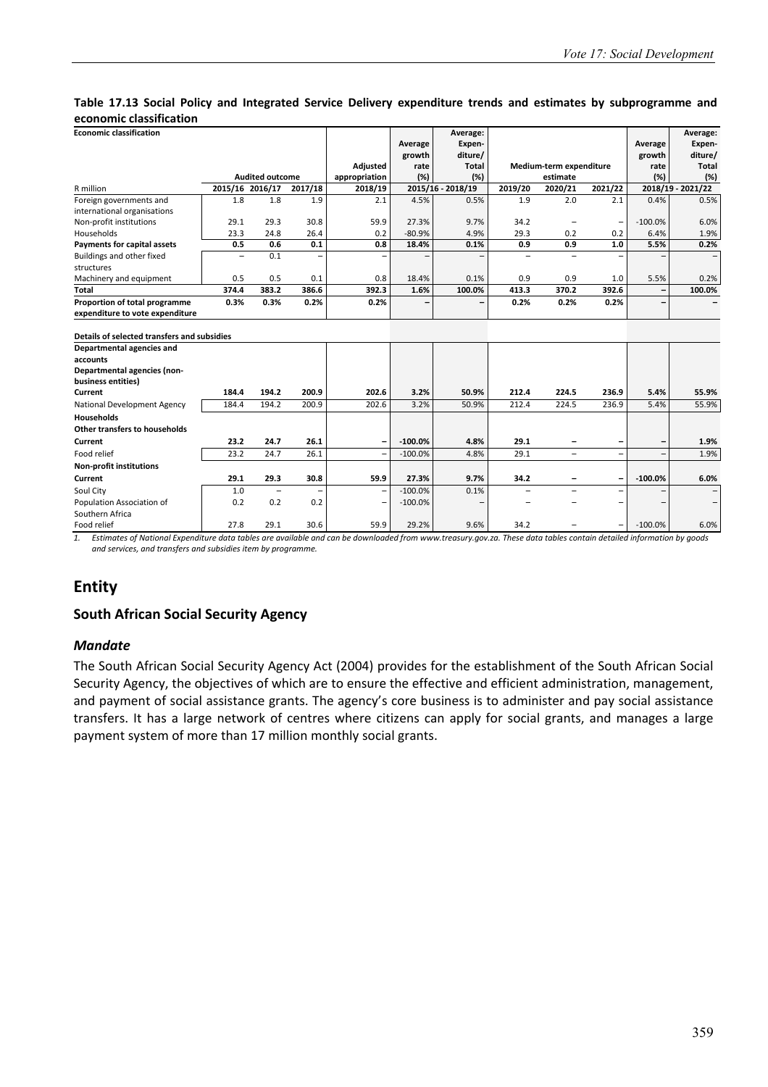#### **Table 17.13 Social Policy and Integrated Service Delivery expenditure trends and estimates by subprogramme and economic classification**

| <b>Economic classification</b>                                           |                 |                          |                          |                 |           | Average:          |         |                          |         |           | Average:          |
|--------------------------------------------------------------------------|-----------------|--------------------------|--------------------------|-----------------|-----------|-------------------|---------|--------------------------|---------|-----------|-------------------|
|                                                                          |                 |                          |                          |                 | Average   | Expen-            |         |                          |         | Average   | Expen-            |
|                                                                          |                 |                          |                          |                 | growth    | diture/           |         |                          |         | growth    | diture/           |
|                                                                          |                 |                          |                          | <b>Adjusted</b> | rate      | <b>Total</b>      |         | Medium-term expenditure  |         | rate      | <b>Total</b>      |
|                                                                          |                 | <b>Audited outcome</b>   |                          | appropriation   | (%)       | (%)               |         | estimate                 |         | (%)       | (%)               |
| R million                                                                | 2015/16 2016/17 |                          | 2017/18                  | 2018/19         |           | 2015/16 - 2018/19 | 2019/20 | 2020/21                  | 2021/22 |           | 2018/19 - 2021/22 |
| Foreign governments and                                                  | 1.8             | 1.8                      | 1.9                      | 2.1             | 4.5%      | 0.5%              | 1.9     | 2.0                      | 2.1     | 0.4%      | 0.5%              |
| international organisations                                              |                 |                          |                          |                 |           |                   |         |                          |         |           |                   |
| Non-profit institutions                                                  | 29.1            | 29.3                     | 30.8                     | 59.9            | 27.3%     | 9.7%              | 34.2    |                          |         | $-100.0%$ | 6.0%              |
| Households                                                               | 23.3            | 24.8                     | 26.4                     | 0.2             | $-80.9%$  | 4.9%              | 29.3    | 0.2                      | 0.2     | 6.4%      | 1.9%              |
| Payments for capital assets                                              | 0.5             | 0.6                      | 0.1                      | 0.8             | 18.4%     | 0.1%              | 0.9     | 0.9                      | 1.0     | 5.5%      | 0.2%              |
| Buildings and other fixed                                                |                 | 0.1                      | $\overline{\phantom{0}}$ |                 |           |                   |         |                          |         |           |                   |
| structures                                                               |                 |                          |                          |                 |           |                   |         |                          |         |           |                   |
| Machinery and equipment                                                  | 0.5             | 0.5                      | 0.1                      | 0.8             | 18.4%     | 0.1%              | 0.9     | 0.9                      | 1.0     | 5.5%      | 0.2%              |
| <b>Total</b>                                                             | 374.4           | 383.2                    | 386.6                    | 392.3           | 1.6%      | 100.0%            | 413.3   | 370.2                    | 392.6   |           | 100.0%            |
| Proportion of total programme                                            | 0.3%            | 0.3%                     | 0.2%                     | 0.2%            |           |                   | 0.2%    | 0.2%                     | 0.2%    |           |                   |
| expenditure to vote expenditure                                          |                 |                          |                          |                 |           |                   |         |                          |         |           |                   |
|                                                                          |                 |                          |                          |                 |           |                   |         |                          |         |           |                   |
| Details of selected transfers and subsidies<br>Departmental agencies and |                 |                          |                          |                 |           |                   |         |                          |         |           |                   |
| accounts                                                                 |                 |                          |                          |                 |           |                   |         |                          |         |           |                   |
| Departmental agencies (non-                                              |                 |                          |                          |                 |           |                   |         |                          |         |           |                   |
| business entities)                                                       |                 |                          |                          |                 |           |                   |         |                          |         |           |                   |
| Current                                                                  | 184.4           | 194.2                    | 200.9                    | 202.6           | 3.2%      | 50.9%             | 212.4   | 224.5                    | 236.9   | 5.4%      | 55.9%             |
| National Development Agency                                              | 184.4           | 194.2                    | 200.9                    | 202.6           | 3.2%      | 50.9%             | 212.4   | 224.5                    | 236.9   | 5.4%      | 55.9%             |
| <b>Households</b>                                                        |                 |                          |                          |                 |           |                   |         |                          |         |           |                   |
| <b>Other transfers to households</b>                                     |                 |                          |                          |                 |           |                   |         |                          |         |           |                   |
| Current                                                                  | 23.2            | 24.7                     | 26.1                     |                 | $-100.0%$ | 4.8%              | 29.1    |                          |         | -         | 1.9%              |
| Food relief                                                              | 23.2            | 24.7                     | 26.1                     |                 | $-100.0%$ | 4.8%              | 29.1    | -                        |         | -         | 1.9%              |
| <b>Non-profit institutions</b>                                           |                 |                          |                          |                 |           |                   |         |                          |         |           |                   |
| Current                                                                  | 29.1            | 29.3                     | 30.8                     | 59.9            | 27.3%     | 9.7%              | 34.2    | $\overline{\phantom{0}}$ |         | $-100.0%$ | 6.0%              |
| Soul City                                                                | 1.0             | $\overline{\phantom{0}}$ |                          |                 | $-100.0%$ | 0.1%              |         |                          |         |           |                   |
| Population Association of                                                | 0.2             | 0.2                      | 0.2                      |                 | $-100.0%$ |                   |         |                          |         |           |                   |
| Southern Africa                                                          |                 |                          |                          |                 |           |                   |         |                          |         |           |                   |
| Food relief                                                              | 27.8            | 29.1                     | 30.6                     | 59.9            | 29.2%     | 9.6%              | 34.2    |                          | -       | $-100.0%$ | 6.0%              |

*1. Estimates of National Expenditure data tables are available and can be downloaded from www.treasury.gov.za. These data tables contain detailed information by goods and services, and transfers and subsidies item by programme.* 

## **Entity**

#### **South African Social Security Agency**

#### *Mandate*

The South African Social Security Agency Act (2004) provides for the establishment of the South African Social Security Agency, the objectives of which are to ensure the effective and efficient administration, management, and payment of social assistance grants. The agency's core business is to administer and pay social assistance transfers. It has a large network of centres where citizens can apply for social grants, and manages a large payment system of more than 17 million monthly social grants.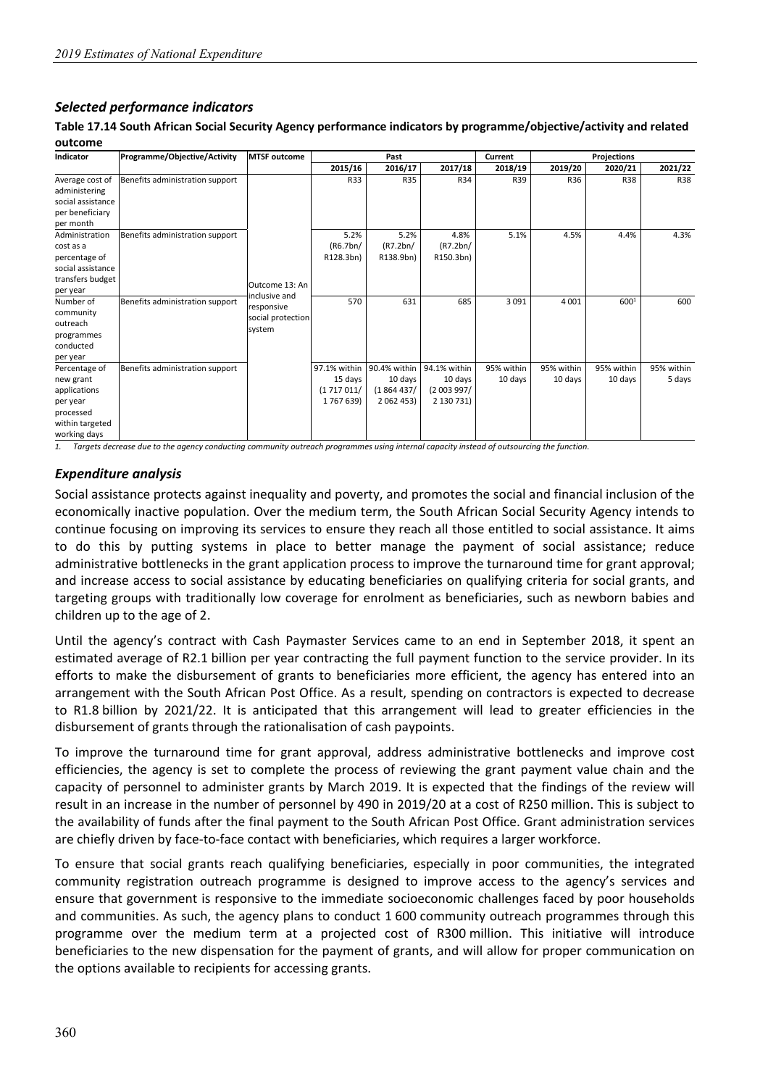#### *Selected performance indicators*

**Table 17.14 South African Social Security Agency performance indicators by programme/objective/activity and related outcome**

| Indicator         | Programme/Objective/Activity    | <b>MTSF outcome</b> |              | Past         |              | Current    |            | Projections |            |
|-------------------|---------------------------------|---------------------|--------------|--------------|--------------|------------|------------|-------------|------------|
|                   |                                 |                     | 2015/16      | 2016/17      | 2017/18      | 2018/19    | 2019/20    | 2020/21     | 2021/22    |
| Average cost of   | Benefits administration support |                     | R33          | <b>R35</b>   | R34          | R39        | R36        | <b>R38</b>  | R38        |
| administering     |                                 |                     |              |              |              |            |            |             |            |
| social assistance |                                 |                     |              |              |              |            |            |             |            |
| per beneficiary   |                                 |                     |              |              |              |            |            |             |            |
| per month         |                                 |                     |              |              |              |            |            |             |            |
| Administration    | Benefits administration support |                     | 5.2%         | 5.2%         | 4.8%         | 5.1%       | 4.5%       | 4.4%        | 4.3%       |
| cost as a         |                                 |                     | (R6.7bn/     | (R7.2bn/     | (R7.2bn/     |            |            |             |            |
| percentage of     |                                 |                     | R128.3bn)    | R138.9bn)    | R150.3bn)    |            |            |             |            |
| social assistance |                                 |                     |              |              |              |            |            |             |            |
| transfers budget  |                                 | Outcome 13: An      |              |              |              |            |            |             |            |
| per year          |                                 | inclusive and       |              |              |              |            |            |             |            |
| Number of         | Benefits administration support | responsive          | 570          | 631          | 685          | 3 0 9 1    | 4 0 0 1    | 6001        | 600        |
| community         |                                 | social protection   |              |              |              |            |            |             |            |
| outreach          |                                 | system              |              |              |              |            |            |             |            |
| programmes        |                                 |                     |              |              |              |            |            |             |            |
| conducted         |                                 |                     |              |              |              |            |            |             |            |
| per year          |                                 |                     |              |              |              |            |            |             |            |
| Percentage of     | Benefits administration support |                     | 97.1% within | 90.4% within | 94.1% within | 95% within | 95% within | 95% within  | 95% within |
| new grant         |                                 |                     | 15 days      | 10 days      | 10 days      | 10 days    | 10 days    | 10 days     | 5 days     |
| applications      |                                 |                     | (1717011/    | (1864437)    | (2 003 997/  |            |            |             |            |
| per year          |                                 |                     | 1767639)     | 2 062 453)   | 2 130 731)   |            |            |             |            |
| processed         |                                 |                     |              |              |              |            |            |             |            |
| within targeted   |                                 |                     |              |              |              |            |            |             |            |
| working days      |                                 |                     |              |              |              |            |            |             |            |

*1. Targets decrease due to the agency conducting community outreach programmes using internal capacity instead of outsourcing the function.* 

#### *Expenditure analysis*

Social assistance protects against inequality and poverty, and promotes the social and financial inclusion of the economically inactive population. Over the medium term, the South African Social Security Agency intends to continue focusing on improving its services to ensure they reach all those entitled to social assistance. It aims to do this by putting systems in place to better manage the payment of social assistance; reduce administrative bottlenecks in the grant application process to improve the turnaround time for grant approval; and increase access to social assistance by educating beneficiaries on qualifying criteria for social grants, and targeting groups with traditionally low coverage for enrolment as beneficiaries, such as newborn babies and children up to the age of 2.

Until the agency's contract with Cash Paymaster Services came to an end in September 2018, it spent an estimated average of R2.1 billion per year contracting the full payment function to the service provider. In its efforts to make the disbursement of grants to beneficiaries more efficient, the agency has entered into an arrangement with the South African Post Office. As a result, spending on contractors is expected to decrease to R1.8 billion by 2021/22. It is anticipated that this arrangement will lead to greater efficiencies in the disbursement of grants through the rationalisation of cash paypoints.

To improve the turnaround time for grant approval, address administrative bottlenecks and improve cost efficiencies, the agency is set to complete the process of reviewing the grant payment value chain and the capacity of personnel to administer grants by March 2019. It is expected that the findings of the review will result in an increase in the number of personnel by 490 in 2019/20 at a cost of R250 million. This is subject to the availability of funds after the final payment to the South African Post Office. Grant administration services are chiefly driven by face-to-face contact with beneficiaries, which requires a larger workforce.

To ensure that social grants reach qualifying beneficiaries, especially in poor communities, the integrated community registration outreach programme is designed to improve access to the agency's services and ensure that government is responsive to the immediate socioeconomic challenges faced by poor households and communities. As such, the agency plans to conduct 1 600 community outreach programmes through this programme over the medium term at a projected cost of R300 million. This initiative will introduce beneficiaries to the new dispensation for the payment of grants, and will allow for proper communication on the options available to recipients for accessing grants.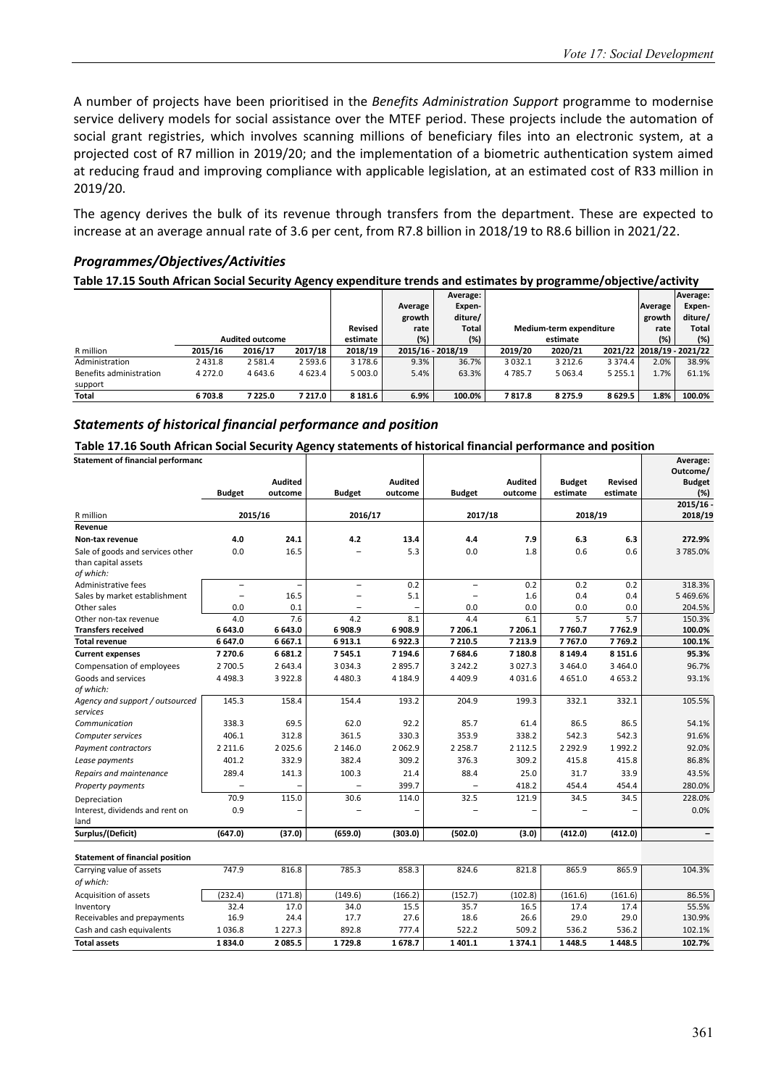A number of projects have been prioritised in the *Benefits Administration Support* programme to modernise service delivery models for social assistance over the MTEF period. These projects include the automation of social grant registries, which involves scanning millions of beneficiary files into an electronic system, at a projected cost of R7 million in 2019/20; and the implementation of a biometric authentication system aimed at reducing fraud and improving compliance with applicable legislation, at an estimated cost of R33 million in 2019/20.

The agency derives the bulk of its revenue through transfers from the department. These are expected to increase at an average annual rate of 3.6 per cent, from R7.8 billion in 2018/19 to R8.6 billion in 2021/22.

#### *Programmes/Objectives/Activities*

**Table 17.15 South African Social Security Agency expenditure trends and estimates by programme/objective/activity**

|                         |            |                        |             |          |         | Average:          |             |                         |             |         | Average:                  |
|-------------------------|------------|------------------------|-------------|----------|---------|-------------------|-------------|-------------------------|-------------|---------|---------------------------|
|                         |            |                        |             |          | Average | Expen-            |             |                         |             | Average | Expen-                    |
|                         |            |                        |             |          | growth  | diture/           |             |                         |             | growth  | diture/                   |
|                         |            |                        |             | Revised  | rate    | Total             |             | Medium-term expenditure |             | rate    | Total                     |
|                         |            | <b>Audited outcome</b> |             | estimate | $(\%)$  | (%)               |             | estimate                |             | (%)     | (%)                       |
| R million               | 2015/16    | 2016/17                | 2017/18     | 2018/19  |         | 2015/16 - 2018/19 | 2019/20     | 2020/21                 |             |         | 2021/22 2018/19 - 2021/22 |
| Administration          | 2 4 3 1.8  | 2 5 8 1.4              | 2 5 9 3 . 6 | 3 178.6  | 9.3%    | 36.7%             | 3 0 3 2 . 1 | 3 2 1 2 . 6             | 3 3 7 4 . 4 | 2.0%    | 38.9%                     |
| Benefits administration | 4 2 7 2 .0 | 4 643.6                | 4 6 2 3 . 4 | 5 003.0  | 5.4%    | 63.3%             | 4785.7      | 5 0 63.4                | 5 2 5 5 . 1 | 1.7%    | 61.1%                     |
| support                 |            |                        |             |          |         |                   |             |                         |             |         |                           |
| Total                   | 6703.8     | 7 2 2 5 .0             | 7 217.0     | 8 181.6  | 6.9%    | 100.0%            | 7817.8      | 8 2 7 5 . 9             | 8 6 2 9 . 5 | 1.8%    | 100.0%                    |

#### *Statements of historical financial performance and position*

**Table 17.16 South African Social Security Agency statements of historical financial performance and position**

| <b>Statement of financial performanc</b>                             |                          |                   |                          |                |                          |                |               |                | Average:                  |
|----------------------------------------------------------------------|--------------------------|-------------------|--------------------------|----------------|--------------------------|----------------|---------------|----------------|---------------------------|
|                                                                      |                          | <b>Audited</b>    |                          | <b>Audited</b> |                          | <b>Audited</b> | <b>Budget</b> | <b>Revised</b> | Outcome/<br><b>Budget</b> |
|                                                                      | <b>Budget</b>            | outcome           | <b>Budget</b>            | outcome        | <b>Budget</b>            | outcome        | estimate      | estimate       | (%)                       |
|                                                                      |                          |                   |                          |                |                          |                |               |                | 2015/16                   |
| R million                                                            | 2015/16                  |                   | 2016/17                  |                | 2017/18                  |                | 2018/19       |                | 2018/19                   |
| Revenue                                                              |                          |                   |                          |                |                          |                |               |                |                           |
| Non-tax revenue                                                      | 4.0                      | 24.1              | 4.2                      | 13.4           | 4.4                      | 7.9            | 6.3           | 6.3            | 272.9%                    |
| Sale of goods and services other<br>than capital assets<br>of which: | 0.0                      | 16.5              |                          | 5.3            | 0.0                      | 1.8            | 0.6           | 0.6            | 3785.0%                   |
| Administrative fees                                                  | $\overline{\phantom{0}}$ | $\qquad \qquad -$ | $\overline{\phantom{0}}$ | 0.2            | $\overline{\phantom{0}}$ | 0.2            | 0.2           | 0.2            | 318.3%                    |
| Sales by market establishment                                        |                          | 16.5              |                          | 5.1            |                          | 1.6            | 0.4           | 0.4            | 5 469.6%                  |
| Other sales                                                          | 0.0                      | 0.1               |                          |                | 0.0                      | 0.0            | 0.0           | 0.0            | 204.5%                    |
| Other non-tax revenue                                                | 4.0                      | 7.6               | 4.2                      | 8.1            | 4.4                      | 6.1            | 5.7           | 5.7            | 150.3%                    |
| <b>Transfers received</b>                                            | 6 643.0                  | 6 643.0           | 6 908.9                  | 6 908.9        | 7 206.1                  | 7 206.1        | 7760.7        | 7762.9         | 100.0%                    |
| <b>Total revenue</b>                                                 | 6647.0                   | 6 6 6 7.1         | 6913.1                   | 6922.3         | 7 2 1 0.5                | 7 213.9        | 7767.0        | 7769.2         | 100.1%                    |
| <b>Current expenses</b>                                              | 7 270.6                  | 6 681.2           | 7545.1                   | 7 194.6        | 7684.6                   | 7 180.8        | 8 1 4 9 . 4   | 8 1 5 1 . 6    | 95.3%                     |
| Compensation of employees                                            | 2700.5                   | 2 643.4           | 3 0 3 4 . 3              | 2895.7         | 3 2 4 2 . 2              | 3027.3         | 3 4 6 4 .0    | 3 4 6 4 .0     | 96.7%                     |
| Goods and services                                                   | 4 4 9 8.3                | 3922.8            | 4480.3                   | 4 1 8 4 .9     | 4 4 0 9.9                | 4031.6         | 4 651.0       | 4653.2         | 93.1%                     |
| of which:                                                            |                          |                   |                          |                |                          |                |               |                |                           |
| Agency and support / outsourced                                      | 145.3                    | 158.4             | 154.4                    | 193.2          | 204.9                    | 199.3          | 332.1         | 332.1          | 105.5%                    |
| services                                                             |                          |                   |                          |                |                          |                |               |                |                           |
| Communication                                                        | 338.3                    | 69.5              | 62.0                     | 92.2           | 85.7                     | 61.4           | 86.5          | 86.5           | 54.1%                     |
| Computer services                                                    | 406.1                    | 312.8             | 361.5                    | 330.3          | 353.9                    | 338.2          | 542.3         | 542.3          | 91.6%                     |
| Payment contractors                                                  | 2 2 1 1.6                | 2025.6            | 2 146.0                  | 2 0 6 2 . 9    | 2 2 5 8.7                | 2 1 1 2 .5     | 2 2 9 2 . 9   | 1992.2         | 92.0%                     |
| Lease payments                                                       | 401.2                    | 332.9             | 382.4                    | 309.2          | 376.3                    | 309.2          | 415.8         | 415.8          | 86.8%                     |
| Repairs and maintenance                                              | 289.4                    | 141.3             | 100.3                    | 21.4           | 88.4                     | 25.0           | 31.7          | 33.9           | 43.5%                     |
| <b>Property payments</b>                                             |                          |                   | $\overline{\phantom{0}}$ | 399.7          |                          | 418.2          | 454.4         | 454.4          | 280.0%                    |
| Depreciation                                                         | 70.9                     | 115.0             | 30.6                     | 114.0          | 32.5                     | 121.9          | 34.5          | 34.5           | 228.0%                    |
| Interest, dividends and rent on<br>land                              | 0.9                      | ۰                 |                          |                |                          |                |               |                | 0.0%                      |
| Surplus/(Deficit)                                                    | (647.0)                  | (37.0)            | (659.0)                  | (303.0)        | (502.0)                  | (3.0)          | (412.0)       | (412.0)        |                           |
|                                                                      |                          |                   |                          |                |                          |                |               |                |                           |
| <b>Statement of financial position</b>                               |                          |                   |                          |                |                          |                |               |                |                           |
| Carrying value of assets                                             | 747.9                    | 816.8             | 785.3                    | 858.3          | 824.6                    | 821.8          | 865.9         | 865.9          | 104.3%                    |
| of which:                                                            |                          |                   |                          |                |                          |                |               |                |                           |
| Acquisition of assets                                                | (232.4)                  | (171.8)           | (149.6)                  | (166.2)        | (152.7)                  | (102.8)        | (161.6)       | (161.6)        | 86.5%                     |
| Inventory                                                            | 32.4                     | 17.0              | 34.0                     | 15.5           | 35.7                     | 16.5           | 17.4          | 17.4           | 55.5%                     |
| Receivables and prepayments                                          | 16.9                     | 24.4              | 17.7                     | 27.6           | 18.6                     | 26.6           | 29.0          | 29.0           | 130.9%                    |
| Cash and cash equivalents                                            | 1036.8                   | 1 2 2 7 . 3       | 892.8                    | 777.4          | 522.2                    | 509.2          | 536.2         | 536.2          | 102.1%                    |
| <b>Total assets</b>                                                  | 1834.0                   | 2085.5            | 1729.8                   | 1678.7         | 1401.1                   | 1374.1         | 1 4 4 8.5     | 1448.5         | 102.7%                    |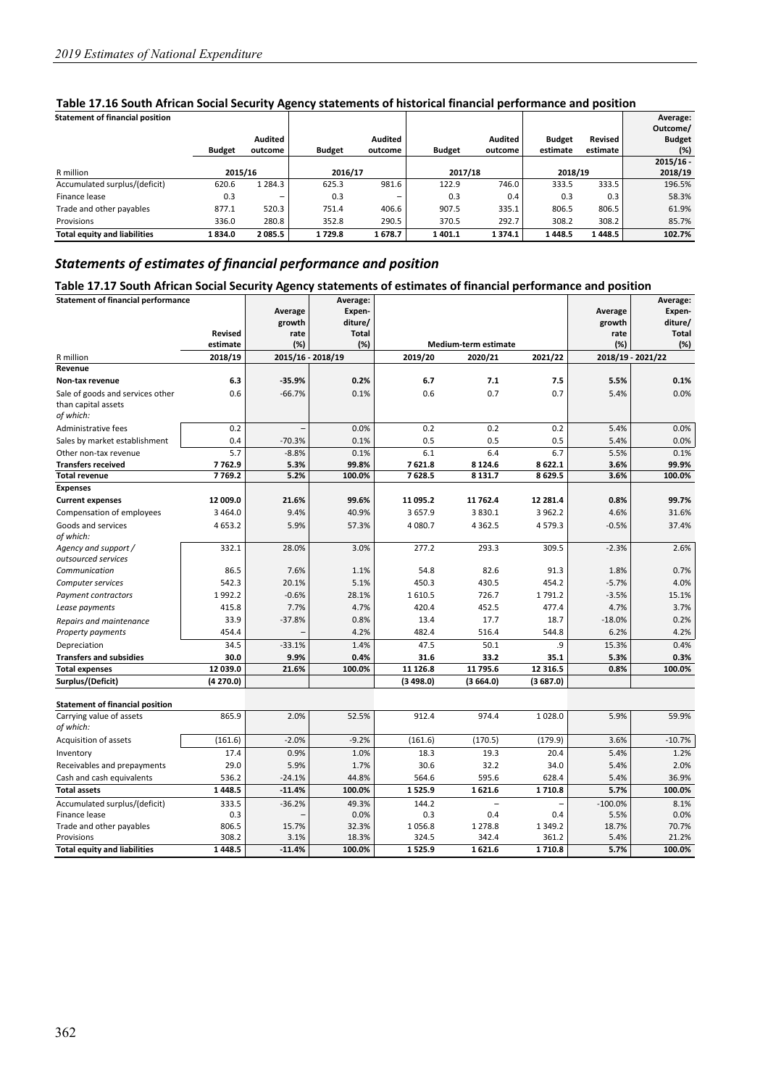| <b>Statement of financial position</b> |               |             |               |                |               |         |               |          | Average:      |
|----------------------------------------|---------------|-------------|---------------|----------------|---------------|---------|---------------|----------|---------------|
|                                        |               |             |               |                |               |         |               |          | Outcome/      |
|                                        |               | Audited     |               | <b>Audited</b> |               | Audited | <b>Budget</b> | Revised  | <b>Budget</b> |
|                                        | <b>Budget</b> | outcome     | <b>Budget</b> | outcome        | <b>Budget</b> | outcome | estimate      | estimate | (%)           |
|                                        |               |             |               |                |               |         |               |          | $2015/16 -$   |
| R million                              | 2015/16       |             | 2016/17       |                |               | 2017/18 | 2018/19       |          | 2018/19       |
| Accumulated surplus/(deficit)          | 620.6         | 1 2 8 4 . 3 | 625.3         | 981.6          | 122.9         | 746.0   | 333.5         | 333.5    | 196.5%        |
| Finance lease                          | 0.3           | -           | 0.3           | -              | 0.3           | 0.4     | 0.3           | 0.3      | 58.3%         |
| Trade and other payables               | 877.1         | 520.3       | 751.4         | 406.6          | 907.5         | 335.1   | 806.5         | 806.5    | 61.9%         |
| Provisions                             | 336.0         | 280.8       | 352.8         | 290.5          | 370.5         | 292.7   | 308.2         | 308.2    | 85.7%         |
| <b>Total equity and liabilities</b>    | 1834.0        | 2085.5      | 1729.8        | 1678.7         | 1401.1        | 1374.1  | 1448.5        | 1448.5   | 102.7%        |

#### **Table 17.16 South African Social Security Agency statements of historical financial performance and position**

## *Statements of estimates of financial performance and position*

#### **Table 17.17 South African Social Security Agency statements of estimates of financial performance and position**

| <b>Statement of financial performance</b> |                |                   | Average:     |          |                             |             |           | Average:          |
|-------------------------------------------|----------------|-------------------|--------------|----------|-----------------------------|-------------|-----------|-------------------|
|                                           |                | Average           | Expen-       |          |                             |             | Average   | Expen-            |
|                                           |                | growth            | diture/      |          |                             |             | growth    | diture/           |
|                                           | <b>Revised</b> | rate              | <b>Total</b> |          |                             |             | rate      | <b>Total</b>      |
|                                           | estimate       | (%)               | (%)          |          | <b>Medium-term estimate</b> |             | (%)       | (%)               |
| R million                                 | 2018/19        | 2015/16 - 2018/19 |              | 2019/20  | 2020/21                     | 2021/22     |           | 2018/19 - 2021/22 |
| Revenue                                   |                |                   |              |          |                             |             |           |                   |
| Non-tax revenue                           | 6.3            | $-35.9%$          | 0.2%         | 6.7      | 7.1                         | 7.5         | 5.5%      | 0.1%              |
| Sale of goods and services other          | 0.6            | $-66.7%$          | 0.1%         | 0.6      | 0.7                         | 0.7         | 5.4%      | 0.0%              |
| than capital assets                       |                |                   |              |          |                             |             |           |                   |
| of which:                                 |                |                   |              |          |                             |             |           |                   |
| Administrative fees                       | 0.2            |                   | 0.0%         | 0.2      | 0.2                         | 0.2         | 5.4%      | 0.0%              |
| Sales by market establishment             | 0.4            | $-70.3%$          | 0.1%         | 0.5      | 0.5                         | 0.5         | 5.4%      | 0.0%              |
| Other non-tax revenue                     | 5.7            | $-8.8%$           | 0.1%         | 6.1      | 6.4                         | 6.7         | 5.5%      | 0.1%              |
| <b>Transfers received</b>                 | 7762.9         | 5.3%              | 99.8%        | 7621.8   | 8 1 2 4 . 6                 | 8622.1      | 3.6%      | 99.9%             |
| <b>Total revenue</b>                      | 7769.2         | 5.2%              | 100.0%       | 7628.5   | 8 1 3 1.7                   | 8629.5      | 3.6%      | 100.0%            |
| <b>Expenses</b>                           |                |                   |              |          |                             |             |           |                   |
| <b>Current expenses</b>                   | 12 009.0       | 21.6%             | 99.6%        | 11 095.2 | 11 762.4                    | 12 28 1.4   | 0.8%      | 99.7%             |
| Compensation of employees                 | 3 4 6 4 . 0    | 9.4%              | 40.9%        | 3 657.9  | 3830.1                      | 3 962.2     | 4.6%      | 31.6%             |
| Goods and services                        | 4 6 5 3.2      | 5.9%              | 57.3%        | 4 080.7  | 4 3 6 2 . 5                 | 4579.3      | $-0.5%$   | 37.4%             |
| of which:                                 |                |                   |              |          |                             |             |           |                   |
| Agency and support /                      | 332.1          | 28.0%             | 3.0%         | 277.2    | 293.3                       | 309.5       | $-2.3%$   | 2.6%              |
| outsourced services<br>Communication      | 86.5           | 7.6%              | 1.1%         | 54.8     | 82.6                        | 91.3        | 1.8%      | 0.7%              |
|                                           | 542.3          |                   | 5.1%         | 450.3    | 430.5                       | 454.2       | $-5.7%$   | 4.0%              |
| Computer services                         |                | 20.1%             |              |          |                             |             |           |                   |
| Payment contractors                       | 1992.2         | $-0.6%$           | 28.1%        | 1610.5   | 726.7                       | 1791.2      | $-3.5%$   | 15.1%             |
| Lease payments                            | 415.8          | 7.7%              | 4.7%         | 420.4    | 452.5                       | 477.4       | 4.7%      | 3.7%              |
| Repairs and maintenance                   | 33.9           | $-37.8%$          | 0.8%         | 13.4     | 17.7                        | 18.7        | $-18.0%$  | 0.2%              |
| <b>Property payments</b>                  | 454.4          |                   | 4.2%         | 482.4    | 516.4                       | 544.8       | 6.2%      | 4.2%              |
| Depreciation                              | 34.5           | $-33.1%$          | 1.4%         | 47.5     | 50.1                        | .9          | 15.3%     | 0.4%              |
| <b>Transfers and subsidies</b>            | 30.0           | 9.9%              | 0.4%         | 31.6     | 33.2                        | 35.1        | 5.3%      | 0.3%              |
| <b>Total expenses</b>                     | 12 039.0       | 21.6%             | 100.0%       | 11 126.8 | 11 795.6                    | 12 316.5    | 0.8%      | 100.0%            |
| Surplus/(Deficit)                         | (4270.0)       |                   |              | (3498.0) | (3664.0)                    | (3687.0)    |           |                   |
|                                           |                |                   |              |          |                             |             |           |                   |
| <b>Statement of financial position</b>    |                |                   |              |          |                             |             |           |                   |
| Carrying value of assets<br>of which:     | 865.9          | 2.0%              | 52.5%        | 912.4    | 974.4                       | 1028.0      | 5.9%      | 59.9%             |
|                                           | (161.6)        | $-2.0%$           | $-9.2%$      | (161.6)  | (170.5)                     | (179.9)     | 3.6%      | $-10.7%$          |
| Acquisition of assets                     |                |                   |              |          |                             |             |           |                   |
| Inventory                                 | 17.4           | 0.9%              | 1.0%         | 18.3     | 19.3                        | 20.4        | 5.4%      | 1.2%              |
| Receivables and prepayments               | 29.0           | 5.9%              | 1.7%         | 30.6     | 32.2                        | 34.0        | 5.4%      | 2.0%              |
| Cash and cash equivalents                 | 536.2          | $-24.1%$          | 44.8%        | 564.6    | 595.6                       | 628.4       | 5.4%      | 36.9%             |
| <b>Total assets</b>                       | 1448.5         | $-11.4%$          | 100.0%       | 1525.9   | 1621.6                      | 1710.8      | 5.7%      | 100.0%            |
| Accumulated surplus/(deficit)             | 333.5          | $-36.2%$          | 49.3%        | 144.2    | $\overline{a}$              | ۰           | $-100.0%$ | 8.1%              |
| Finance lease                             | 0.3            |                   | 0.0%         | 0.3      | 0.4                         | 0.4         | 5.5%      | 0.0%              |
| Trade and other payables                  | 806.5          | 15.7%             | 32.3%        | 1056.8   | 1 2 7 8.8                   | 1 3 4 9 . 2 | 18.7%     | 70.7%<br>21.2%    |
| Provisions                                | 308.2          | 3.1%              | 18.3%        | 324.5    | 342.4                       | 361.2       | 5.4%      |                   |
| <b>Total equity and liabilities</b>       | 1448.5         | $-11.4%$          | 100.0%       | 1525.9   | 1621.6                      | 1710.8      | 5.7%      | 100.0%            |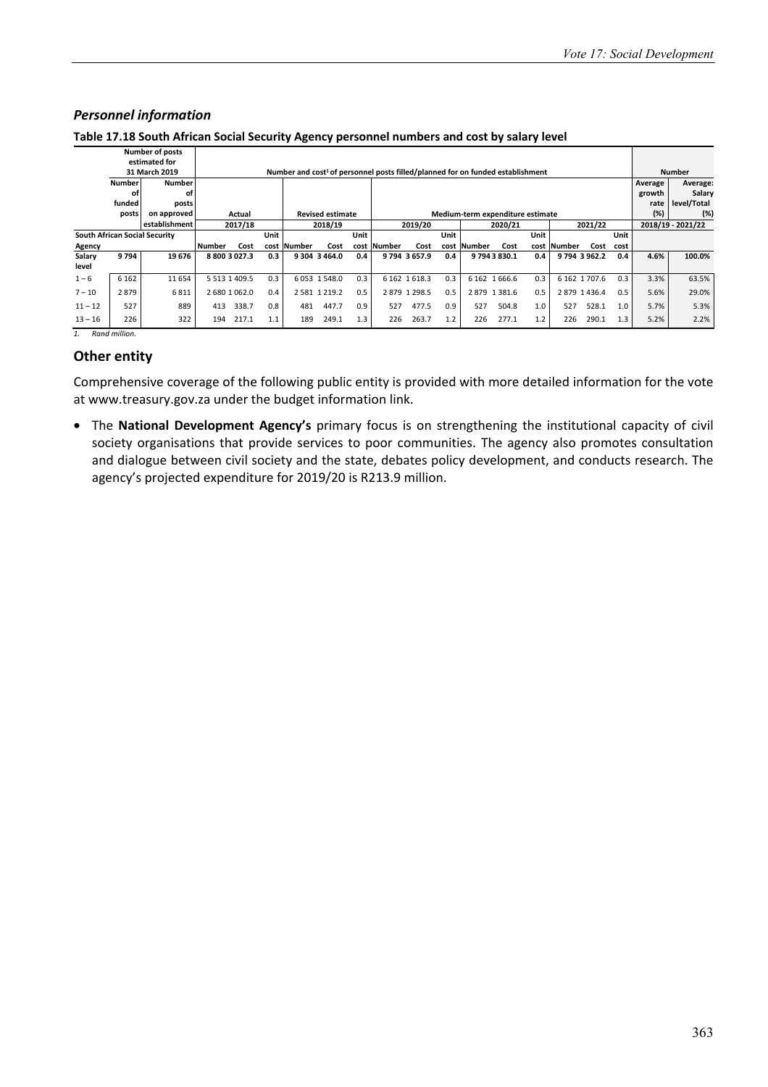|           |               | <b>Number of posts</b>               |                     |               |      |                                                                                            |                         |      |        |                |      |             |                                  |      |        |               |      |         |                   |
|-----------|---------------|--------------------------------------|---------------------|---------------|------|--------------------------------------------------------------------------------------------|-------------------------|------|--------|----------------|------|-------------|----------------------------------|------|--------|---------------|------|---------|-------------------|
|           |               | estimated for                        |                     |               |      |                                                                                            |                         |      |        |                |      |             |                                  |      |        |               |      |         |                   |
|           |               | 31 March 2019                        |                     |               |      | Number and cost <sup>1</sup> of personnel posts filled/planned for on funded establishment |                         |      |        |                |      |             |                                  |      |        |               |      |         | <b>Number</b>     |
|           | <b>Number</b> | <b>Number</b>                        |                     |               |      |                                                                                            |                         |      |        |                |      |             |                                  |      |        |               |      | Average | Average:          |
|           | οf            | οf                                   |                     |               |      |                                                                                            |                         |      |        |                |      |             |                                  |      |        |               |      | growth  | Salary            |
|           | funded        | posts                                |                     |               |      |                                                                                            |                         |      |        |                |      |             |                                  |      |        |               |      | rate    | level/Total       |
|           | posts         | on approved                          |                     | Actual        |      |                                                                                            | <b>Revised estimate</b> |      |        |                |      |             | Medium-term expenditure estimate |      |        |               |      | (%)     | (%)               |
|           |               | establishment                        |                     | 2017/18       |      |                                                                                            | 2018/19                 |      |        | 2019/20        |      |             | 2020/21                          |      |        | 2021/22       |      |         | 2018/19 - 2021/22 |
|           |               | <b>South African Social Security</b> |                     |               | Unit |                                                                                            |                         | Unit |        |                | Unit |             |                                  | Unit |        |               | Unit |         |                   |
| Agency    |               |                                      | Number              | Cost          | cost | <b>Number</b>                                                                              | Cost                    | cost | Number | Cost           |      | cost Number | Cost                             | cost | Number | Cost          | cost |         |                   |
| Salary    | 9794          | 19676                                | 8 800 3 027.3       |               | 0.3  |                                                                                            | 9 304 3 464.0           | 0.4  |        | 9794 3657.9    | 0.4  |             | 97943830.1                       | 0.4  |        | 9794 3962.2   | 0.4  | 4.6%    | 100.0%            |
| level     |               |                                      |                     |               |      |                                                                                            |                         |      |        |                |      |             |                                  |      |        |               |      |         |                   |
| $1 - 6$   | 6 1 6 2       | 11 654                               | 5 5 1 3 1 4 0 9 . 5 |               | 0.3  |                                                                                            | 6053 1548.0             | 0.3  |        | 6 162 1 6 18.3 | 0.3  |             | 6 162 1 666.6                    | 0.3  |        | 6 162 1 707.6 | 0.3  | 3.3%    | 63.5%             |
| $7 - 10$  | 2879          | 6811                                 |                     | 2 680 1 062.0 | 0.4  |                                                                                            | 2 581 1 219.2           | 0.5  |        | 2879 1298.5    | 0.5  |             | 2879 1381.6                      | 0.5  |        | 2879 1436.4   | 0.5  | 5.6%    | 29.0%             |
| $11 - 12$ | 527           | 889                                  | 413                 | 338.7         | 0.8  | 481                                                                                        | 447.7                   | 0.9  | 527    | 477.5          | 0.9  | 527         | 504.8                            | 1.0  | 527    | 528.1         | 1.0  | 5.7%    | 5.3%              |
| $13 - 16$ | 226           | 322                                  | 194                 | 217.1         | 1.1  | 189                                                                                        | 249.1                   | 1.3  | 226    | 263.7          | 1.2  | 226         | 277.1                            | 1.2  | 226    | 290.1         | 1.3  | 5.2%    | 2.2%              |
|           | Rand million. |                                      |                     |               |      |                                                                                            |                         |      |        |                |      |             |                                  |      |        |               |      |         |                   |

#### *Personnel information*

**Table 17.18 South African Social Security Agency personnel numbers and cost by salary level**

## **Other entity**

Comprehensive coverage of the following public entity is provided with more detailed information for the vote at www.treasury.gov.za under the budget information link.

• The **National Development Agency's** primary focus is on strengthening the institutional capacity of civil society organisations that provide services to poor communities. The agency also promotes consultation and dialogue between civil society and the state, debates policy development, and conducts research. The agency's projected expenditure for 2019/20 is R213.9 million.